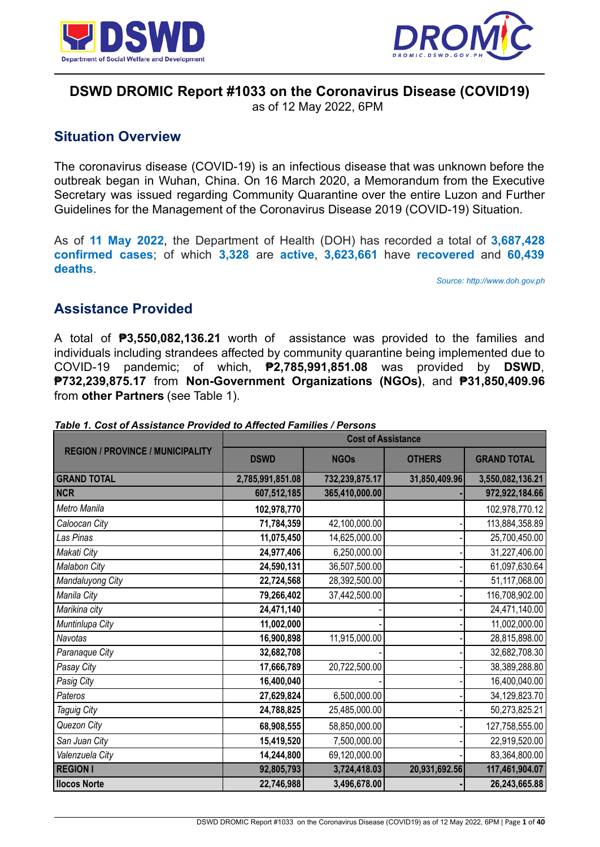



# **DSWD DROMIC Report #1033 on the Coronavirus Disease (COVID19)**

as of 12 May 2022, 6PM

# **Situation Overview**

The coronavirus disease (COVID-19) is an infectious disease that was unknown before the outbreak began in Wuhan, China. On 16 March 2020, a Memorandum from the Executive Secretary was issued regarding Community Quarantine over the entire Luzon and Further Guidelines for the Management of the Coronavirus Disease 2019 (COVID-19) Situation.

As of **11 May 2022**, the Department of Health (DOH) has recorded a total of **3,687,428 confirmed cases**; of which **3,328** are **active**, **3,623,661** have **recovered** and **60,439 deaths**.

*Source: http://www.doh.gov.ph*

# **Assistance Provided**

A total of **₱3,550,082,136.21** worth of assistance was provided to the families and individuals including strandees affected by community quarantine being implemented due to COVID-19 pandemic; of which, **₱2,785,991,851.08** was provided by **DSWD**, **₱732,239,875.17** from **Non-Government Organizations (NGOs)**, and **₱31,850,409.96** from **other Partners** (see Table 1).

|                                         |                  | <b>Cost of Assistance</b> |               |                    |
|-----------------------------------------|------------------|---------------------------|---------------|--------------------|
| <b>REGION / PROVINCE / MUNICIPALITY</b> | <b>DSWD</b>      | <b>NGOs</b>               | <b>OTHERS</b> | <b>GRAND TOTAL</b> |
| <b>GRAND TOTAL</b>                      | 2,785,991,851.08 | 732,239,875.17            | 31,850,409.96 | 3,550,082,136.21   |
| <b>NCR</b>                              | 607,512,185      | 365,410,000.00            |               | 972,922,184.66     |
| Metro Manila                            | 102,978,770      |                           |               | 102,978,770.12     |
| Caloocan City                           | 71,784,359       | 42,100,000.00             |               | 113,884,358.89     |
| Las Pinas                               | 11,075,450       | 14,625,000.00             |               | 25,700,450.00      |
| Makati City                             | 24,977,406       | 6,250,000.00              |               | 31,227,406.00      |
| Malabon City                            | 24,590,131       | 36,507,500.00             |               | 61,097,630.64      |
| Mandaluyong City                        | 22,724,568       | 28,392,500.00             |               | 51,117,068.00      |
| Manila City                             | 79,266,402       | 37,442,500.00             |               | 116,708,902.00     |
| Marikina city                           | 24,471,140       |                           |               | 24,471,140.00      |
| Muntinlupa City                         | 11,002,000       |                           |               | 11,002,000.00      |
| Navotas                                 | 16,900,898       | 11,915,000.00             |               | 28,815,898.00      |
| Paranaque City                          | 32,682,708       |                           |               | 32,682,708.30      |
| Pasay City                              | 17,666,789       | 20,722,500.00             |               | 38,389,288.80      |
| Pasig City                              | 16,400,040       |                           |               | 16,400,040.00      |
| Pateros                                 | 27,629,824       | 6,500,000.00              |               | 34,129,823.70      |
| Taguig City                             | 24,788,825       | 25,485,000.00             |               | 50,273,825.21      |
| Quezon City                             | 68,908,555       | 58,850,000.00             |               | 127,758,555.00     |
| San Juan City                           | 15,419,520       | 7,500,000.00              |               | 22,919,520.00      |
| Valenzuela City                         | 14,244,800       | 69,120,000.00             |               | 83,364,800.00      |
| <b>REGION I</b>                         | 92,805,793       | 3,724,418.03              | 20,931,692.56 | 117,461,904.07     |
| <b>Ilocos Norte</b>                     | 22,746,988       | 3,496,678.00              |               | 26,243,665.88      |

*Table 1. Cost of Assistance Provided to Affected Families / Persons*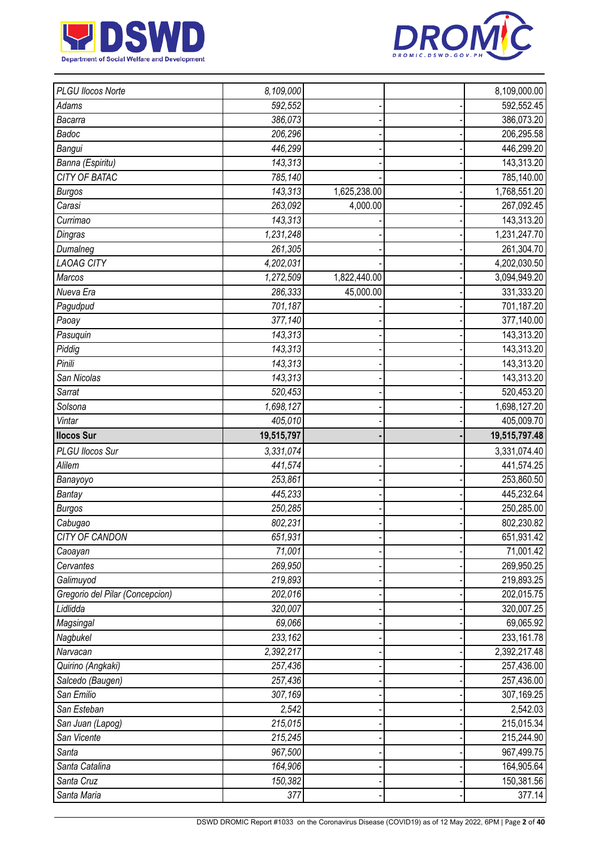



| PLGU Ilocos Norte               | 8,109,000              |              | 8,109,000.00         |
|---------------------------------|------------------------|--------------|----------------------|
| Adams                           | 592,552                |              | 592,552.45           |
| Bacarra                         | 386,073                |              | 386,073.20           |
| Badoc                           | 206,296                |              | 206,295.58           |
| Bangui                          | 446,299                |              | 446,299.20           |
| Banna (Espiritu)                | 143,313                |              | 143,313.20           |
| <b>CITY OF BATAC</b>            | 785,140                |              | 785,140.00           |
| <b>Burgos</b>                   | 143,313                | 1,625,238.00 | 1,768,551.20         |
| Carasi                          | 263,092                | 4,000.00     | 267,092.45           |
| Currimao                        | 143,313                |              | 143,313.20           |
| Dingras                         | $\overline{1,231,248}$ |              | 1,231,247.70         |
| Dumalneg                        | 261,305                |              | 261,304.70           |
| <b>LAOAG CITY</b>               | 4,202,031              |              | 4,202,030.50         |
| Marcos                          | 1,272,509              | 1,822,440.00 | 3,094,949.20         |
| Nueva Era                       | 286,333                | 45,000.00    | 331,333.20           |
| Pagudpud                        | 701,187                |              | 701,187.20           |
| Paoay                           | 377,140                |              | 377,140.00           |
| Pasuquin                        | 143,313                |              | 143,313.20           |
| Piddig                          | 143,313                |              | 143,313.20           |
| Pinili                          | 143,313                |              | 143,313.20           |
| San Nicolas                     | 143,313                |              | 143,313.20           |
| Sarrat                          | 520,453                |              | 520,453.20           |
| Solsona                         | 1,698,127              |              | 1,698,127.20         |
| Vintar                          | 405,010                |              | 405,009.70           |
| <b>Ilocos Sur</b>               | 19,515,797             |              | 19,515,797.48        |
|                                 |                        |              |                      |
| PLGU Ilocos Sur                 | 3,331,074              |              | 3,331,074.40         |
| Alilem                          | 441,574                |              | 441,574.25           |
| Banayoyo                        | 253,861                |              | 253,860.50           |
| <b>Bantay</b>                   | 445,233                |              | 445,232.64           |
| <b>Burgos</b>                   | 250,285                |              | 250,285.00           |
| Cabugao                         | 802,231                |              | 802,230.82           |
| <b>CITY OF CANDON</b>           | 651,931                |              | 651,931.42           |
| Caoayan                         | 71,001                 |              | 71,001.42            |
| Cervantes                       | 269,950                |              | 269,950.25           |
| Galimuyod                       | 219,893                |              | 219,893.25           |
| Gregorio del Pilar (Concepcion) | 202,016                |              | 202,015.75           |
| Lidlidda                        | 320,007                |              | 320,007.25           |
| Magsingal                       | 69,066                 |              | 69,065.92            |
| Nagbukel                        | 233,162                |              | 233,161.78           |
| Narvacan                        | 2,392,217              |              | 2,392,217.48         |
| Quirino (Angkaki)               | 257,436                |              | 257,436.00           |
| Salcedo (Baugen)                | 257,436                |              | 257,436.00           |
| San Emilio                      | 307,169                |              | 307,169.25           |
| San Esteban                     | 2,542                  |              | 2,542.03             |
| San Juan (Lapog)                | 215,015                |              | 215,015.34           |
| San Vicente                     | 215,245                |              | 215,244.90           |
| Santa                           | 967,500                |              | 967,499.75           |
| Santa Catalina                  | 164,906                |              | 164,905.64           |
| Santa Cruz<br>Santa Maria       | 150,382<br>377         |              | 150,381.56<br>377.14 |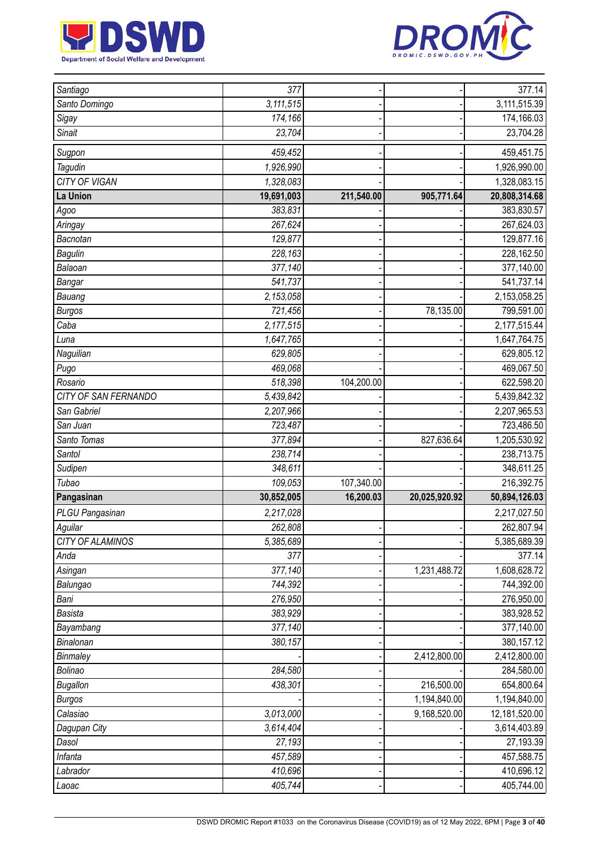



| Santiago             | 377                       |            |               | 377.14        |
|----------------------|---------------------------|------------|---------------|---------------|
| Santo Domingo        | $\overline{3}$ , 111, 515 |            |               | 3,111,515.39  |
| Sigay                | 174,166                   |            |               | 174,166.03    |
| <b>Sinait</b>        | 23,704                    |            |               | 23,704.28     |
| Sugpon               | 459,452                   |            |               | 459,451.75    |
| Tagudin              | 1,926,990                 |            |               | 1,926,990.00  |
| CITY OF VIGAN        | 1,328,083                 |            |               | 1,328,083.15  |
| La Union             | 19,691,003                | 211,540.00 | 905,771.64    | 20,808,314.68 |
| Agoo                 | 383,831                   |            |               | 383,830.57    |
| Aringay              | 267,624                   |            |               | 267,624.03    |
| Bacnotan             | 129,877                   |            |               | 129,877.16    |
| <b>Bagulin</b>       | 228,163                   |            |               | 228,162.50    |
| Balaoan              | 377,140                   |            |               | 377,140.00    |
| Bangar               | 541,737                   |            |               | 541,737.14    |
| Bauang               | 2,153,058                 |            |               | 2,153,058.25  |
| <b>Burgos</b>        | 721,456                   |            | 78,135.00     | 799,591.00    |
| Caba                 | 2,177,515                 |            |               | 2,177,515.44  |
| Luna                 | 1,647,765                 |            |               | 1,647,764.75  |
| Naguilian            | 629,805                   |            |               | 629,805.12    |
| Pugo                 | 469,068                   |            |               | 469,067.50    |
| Rosario              | 518,398                   | 104,200.00 |               | 622,598.20    |
| CITY OF SAN FERNANDO | 5,439,842                 |            |               | 5,439,842.32  |
| San Gabriel          | 2,207,966                 |            |               | 2,207,965.53  |
| San Juan             | 723,487                   |            |               | 723,486.50    |
| Santo Tomas          | 377,894                   |            | 827,636.64    | 1,205,530.92  |
| Santol               | 238,714                   |            |               | 238,713.75    |
| Sudipen              | 348,611                   |            |               | 348,611.25    |
| Tubao                | 109,053                   | 107,340.00 |               | 216,392.75    |
| Pangasinan           | 30,852,005                | 16,200.03  | 20,025,920.92 | 50,894,126.03 |
| PLGU Pangasinan      | 2,217,028                 |            |               | 2,217,027.50  |
| Aguilar              | 262,808                   |            |               | 262,807.94    |
| CITY OF ALAMINOS     | 5,385,689                 |            |               | 5,385,689.39  |
| Anda                 | 377                       |            |               | 377.14        |
| Asingan              | 377,140                   |            | 1,231,488.72  | 1,608,628.72  |
| Balungao             | 744,392                   |            |               | 744,392.00    |
| Bani                 | 276,950                   |            |               | 276,950.00    |
| <b>Basista</b>       | 383,929                   |            |               | 383,928.52    |
| Bayambang            | 377,140                   |            |               | 377,140.00    |
| Binalonan            | 380,157                   |            |               | 380,157.12    |
| Binmaley             |                           |            | 2,412,800.00  | 2,412,800.00  |
| Bolinao              | 284,580                   |            |               | 284,580.00    |
| <b>Bugallon</b>      | 438,301                   |            | 216,500.00    | 654,800.64    |
| <b>Burgos</b>        |                           |            | 1,194,840.00  | 1,194,840.00  |
| Calasiao             | 3,013,000                 |            | 9,168,520.00  | 12,181,520.00 |
| Dagupan City         | 3,614,404                 |            |               | 3,614,403.89  |
| Dasol                | 27,193                    |            |               | 27,193.39     |
| Infanta              | 457,589                   |            |               | 457,588.75    |
| Labrador             | 410,696                   |            |               | 410,696.12    |
| Laoac                | 405,744                   |            |               | 405,744.00    |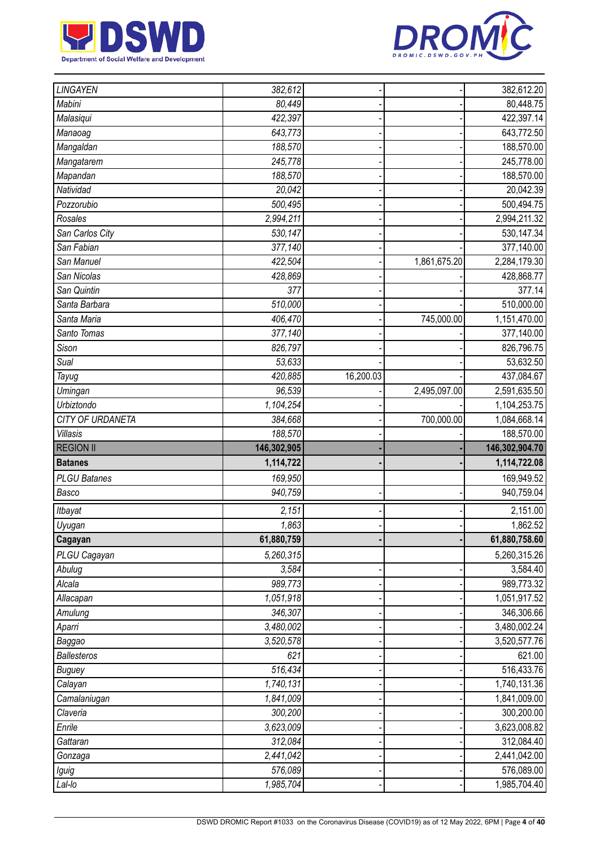



| LINGAYEN            | 382,612              |           |              | 382,612.20                 |
|---------------------|----------------------|-----------|--------------|----------------------------|
| Mabini              | 80,449               |           |              | 80,448.75                  |
| Malasiqui           | 422,397              |           |              | 422,397.14                 |
| Manaoag             | 643,773              |           |              | 643,772.50                 |
| Mangaldan           | 188,570              |           |              | 188,570.00                 |
| Mangatarem          | 245,778              |           |              | 245,778.00                 |
| Mapandan            | 188,570              |           |              | 188,570.00                 |
| Natividad           | 20,042               |           |              | 20,042.39                  |
| Pozzorubio          | 500,495              |           |              | 500,494.75                 |
| Rosales             | 2,994,211            |           |              | 2,994,211.32               |
| San Carlos City     | 530,147              |           |              | 530,147.34                 |
| San Fabian          | 377,140              |           |              | 377,140.00                 |
| San Manuel          | 422,504              |           | 1,861,675.20 | 2,284,179.30               |
| San Nicolas         | 428,869              |           |              | 428,868.77                 |
| San Quintin         | 377                  |           |              | 377.14                     |
| Santa Barbara       | 510,000              |           |              | 510,000.00                 |
| Santa Maria         | 406,470              |           | 745,000.00   | 1,151,470.00               |
| Santo Tomas         | 377,140              |           |              | 377,140.00                 |
| Sison               | 826,797              |           |              | 826,796.75                 |
| Sual                | 53,633               |           |              | 53,632.50                  |
| Tayug               | 420,885              | 16,200.03 |              | 437,084.67                 |
| Umingan             | 96,539               |           | 2,495,097.00 | 2,591,635.50               |
| <b>Urbiztondo</b>   | 1,104,254            |           |              | 1,104,253.75               |
| CITY OF URDANETA    | 384,668              |           | 700,000.00   | 1,084,668.14               |
| Villasis            | 188,570              |           |              | 188,570.00                 |
|                     |                      |           |              |                            |
| <b>REGION II</b>    | 146,302,905          |           |              | 146,302,904.70             |
| <b>Batanes</b>      | 1,114,722            |           |              | 1,114,722.08               |
| <b>PLGU Batanes</b> | 169,950              |           |              | 169,949.52                 |
| Basco               | 940,759              |           |              | 940,759.04                 |
| Itbayat             | 2,151                |           |              | 2,151.00                   |
| Uyugan              | 1,863                |           |              | 1,862.52                   |
| Cagayan             | 61,880,759           |           |              | 61,880,758.60              |
| PLGU Cagayan        | 5,260,315            |           |              | 5,260,315.26               |
| Abulug              | 3,584                |           |              | 3,584.40                   |
| Alcala              | 989,773              |           |              | 989,773.32                 |
| Allacapan           | 1,051,918            |           |              | 1,051,917.52               |
| Amulung             | 346,307              |           |              | 346,306.66                 |
| Aparri              | 3,480,002            |           |              | 3,480,002.24               |
| Baggao              | 3,520,578            |           |              | 3,520,577.76               |
| <b>Ballesteros</b>  | 621                  |           |              | 621.00                     |
| <b>Buguey</b>       | 516,434              |           |              | 516,433.76                 |
| Calayan             | 1,740,131            |           |              | 1,740,131.36               |
| Camalaniugan        | 1,841,009            |           |              | 1,841,009.00               |
| Claveria            | 300,200              |           |              | 300,200.00                 |
| Enrile              | 3,623,009            |           |              | 3,623,008.82               |
| Gattaran            | 312,084              |           |              | 312,084.40                 |
| Gonzaga             | 2,441,042            |           |              | 2,441,042.00               |
| Iguig<br>Lal-lo     | 576,089<br>1,985,704 |           |              | 576,089.00<br>1,985,704.40 |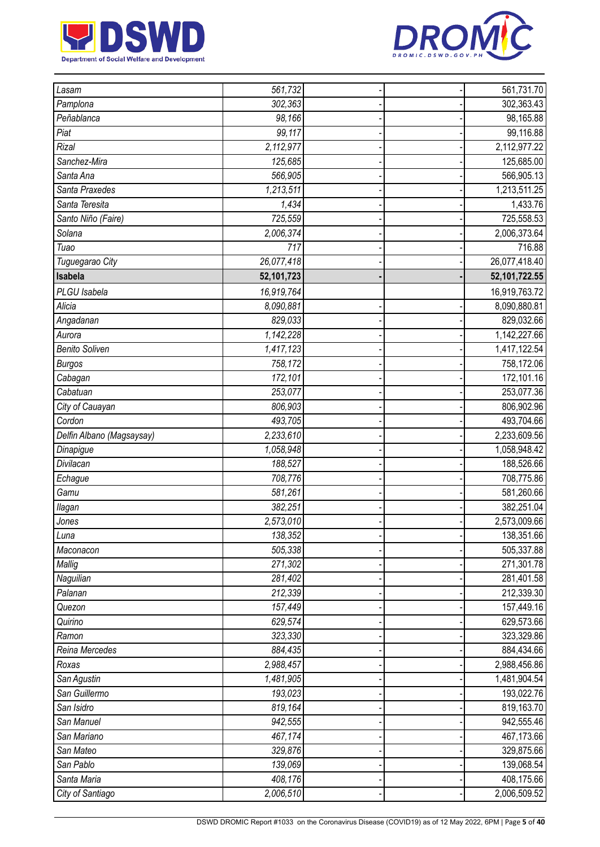



| Lasam                     | 561,732    |  | 561,731.70       |
|---------------------------|------------|--|------------------|
| Pamplona                  | 302,363    |  | 302,363.43       |
| Peñablanca                | 98,166     |  | 98,165.88        |
| Piat                      | 99,117     |  | 99,116.88        |
| <b>Rizal</b>              | 2,112,977  |  | 2,112,977.22     |
| Sanchez-Mira              | 125,685    |  | 125,685.00       |
| Santa Ana                 | 566,905    |  | 566,905.13       |
| Santa Praxedes            | 1,213,511  |  | 1,213,511.25     |
| Santa Teresita            | 1,434      |  | 1,433.76         |
| Santo Niño (Faire)        | 725,559    |  | 725,558.53       |
| Solana                    | 2,006,374  |  | 2,006,373.64     |
| Tuao                      | 717        |  | 716.88           |
| Tuguegarao City           | 26,077,418 |  | 26,077,418.40    |
| Isabela                   | 52,101,723 |  | 52, 101, 722. 55 |
| PLGU Isabela              | 16,919,764 |  | 16,919,763.72    |
| Alicia                    | 8,090,881  |  | 8,090,880.81     |
| Angadanan                 | 829,033    |  | 829,032.66       |
| Aurora                    | 1,142,228  |  | 1,142,227.66     |
| <b>Benito Soliven</b>     | 1,417,123  |  | 1,417,122.54     |
| <b>Burgos</b>             | 758,172    |  | 758,172.06       |
| Cabagan                   | 172,101    |  | 172,101.16       |
| Cabatuan                  | 253,077    |  | 253,077.36       |
| City of Cauayan           | 806,903    |  | 806,902.96       |
| Cordon                    | 493,705    |  | 493,704.66       |
| Delfin Albano (Magsaysay) | 2,233,610  |  | 2,233,609.56     |
| Dinapigue                 | 1,058,948  |  | 1,058,948.42     |
| Divilacan                 | 188,527    |  | 188,526.66       |
| Echague                   | 708,776    |  | 708,775.86       |
| Gamu                      | 581,261    |  | 581,260.66       |
| llagan                    | 382,251    |  | 382,251.04       |
| Jones                     | 2,573,010  |  | 2,573,009.66     |
| Luna                      | 138,352    |  | 138,351.66       |
| Maconacon                 | 505,338    |  | 505,337.88       |
| Mallig                    | 271,302    |  | 271,301.78       |
| Naguilian                 | 281,402    |  | 281,401.58       |
| Palanan                   | 212,339    |  | 212,339.30       |
| Quezon                    | 157,449    |  | 157,449.16       |
| Quirino                   | 629,574    |  | 629,573.66       |
| Ramon                     | 323,330    |  | 323,329.86       |
| Reina Mercedes            | 884,435    |  | 884,434.66       |
| Roxas                     | 2,988,457  |  | 2,988,456.86     |
| San Agustin               | 1,481,905  |  | 1,481,904.54     |
| San Guillermo             | 193,023    |  | 193,022.76       |
| San Isidro                | 819,164    |  | 819,163.70       |
| San Manuel                | 942,555    |  | 942,555.46       |
| San Mariano               | 467,174    |  | 467,173.66       |
| San Mateo                 | 329,876    |  | 329,875.66       |
| San Pablo                 | 139,069    |  | 139,068.54       |
| Santa Maria               | 408,176    |  | 408,175.66       |
| City of Santiago          | 2,006,510  |  | 2,006,509.52     |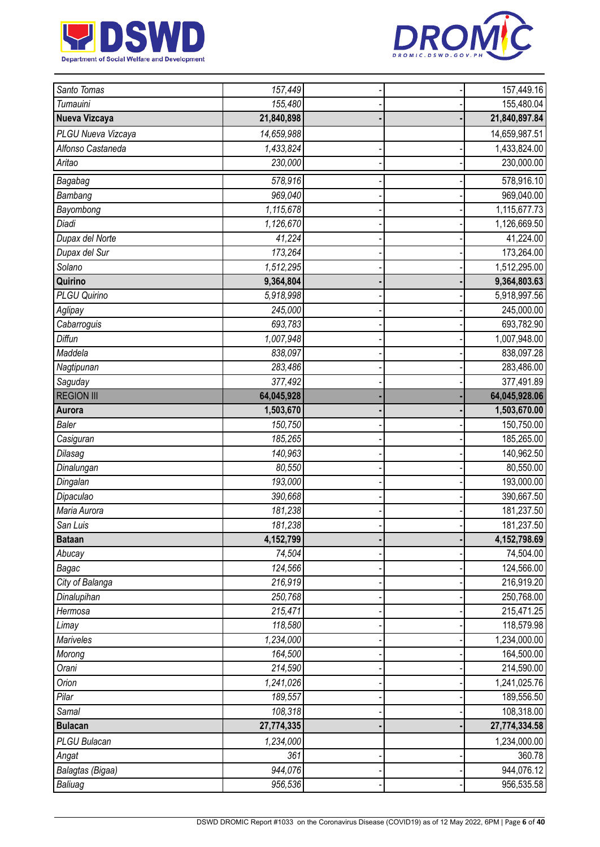



| Santo Tomas         | $\overline{157,}449$ |  | 157,449.16     |
|---------------------|----------------------|--|----------------|
| Tumauini            | 155,480              |  | 155,480.04     |
| Nueva Vizcaya       | 21,840,898           |  | 21,840,897.84  |
| PLGU Nueva Vizcaya  | 14,659,988           |  | 14,659,987.51  |
| Alfonso Castaneda   | 1,433,824            |  | 1,433,824.00   |
| Aritao              | 230,000              |  | 230,000.00     |
| Bagabag             | 578,916              |  | 578,916.10     |
| Bambang             | 969,040              |  | 969,040.00     |
| Bayombong           | 1,115,678            |  | 1,115,677.73   |
| Diadi               | 1,126,670            |  | 1,126,669.50   |
| Dupax del Norte     | 41,224               |  | 41,224.00      |
| Dupax del Sur       | 173,264              |  | 173,264.00     |
| Solano              | 1,512,295            |  | 1,512,295.00   |
| Quirino             | 9,364,804            |  | 9,364,803.63   |
| <b>PLGU Quirino</b> | 5,918,998            |  | 5,918,997.56   |
| Aglipay             | 245,000              |  | 245,000.00     |
| Cabarroguis         | 693,783              |  | 693,782.90     |
| Diffun              | 1,007,948            |  | 1,007,948.00   |
| Maddela             | 838,097              |  | 838,097.28     |
| Nagtipunan          | 283,486              |  | 283,486.00     |
| Saguday             | 377,492              |  | 377,491.89     |
| <b>REGION III</b>   | 64,045,928           |  | 64,045,928.06  |
| Aurora              | 1,503,670            |  | 1,503,670.00   |
| <b>Baler</b>        | 150,750              |  | 150,750.00     |
| Casiguran           | 185,265              |  | 185,265.00     |
| Dilasag             | 140,963              |  | 140,962.50     |
| Dinalungan          | 80,550               |  | 80,550.00      |
| Dingalan            | 193,000              |  | 193,000.00     |
| Dipaculao           | 390,668              |  | 390,667.50     |
| Maria Aurora        | 181,238              |  | 181,237.50     |
| San Luis            | 181,238              |  | 181,237.50     |
| <b>Bataan</b>       | 4,152,799            |  | 4, 152, 798.69 |
| Abucay              | 74,504               |  | 74,504.00      |
| Bagac               | 124,566              |  | 124,566.00     |
| City of Balanga     | 216,919              |  | 216,919.20     |
| Dinalupihan         | 250,768              |  | 250,768.00     |
| Hermosa             | 215,471              |  | 215,471.25     |
| Limay               | 118,580              |  | 118,579.98     |
| Mariveles           | 1,234,000            |  | 1,234,000.00   |
| Morong              | 164,500              |  | 164,500.00     |
| Orani               | 214,590              |  | 214,590.00     |
| Orion               | 1,241,026            |  | 1,241,025.76   |
| Pilar               | 189,557              |  | 189,556.50     |
| Samal               | $\overline{108,}318$ |  | 108,318.00     |
| <b>Bulacan</b>      | 27,774,335           |  | 27,774,334.58  |
| PLGU Bulacan        | 1,234,000            |  | 1,234,000.00   |
| Angat               | 361                  |  | 360.78         |
| Balagtas (Bigaa)    | 944,076              |  | 944,076.12     |
| Baliuag             | 956,536              |  | 956,535.58     |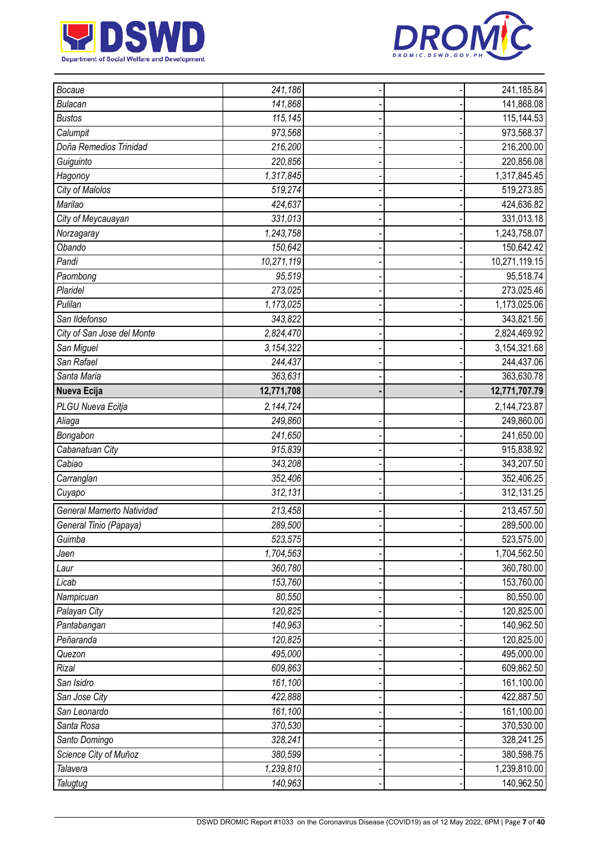



| Bocaue                     | 241,186    |  | 241,185.84     |
|----------------------------|------------|--|----------------|
| <b>Bulacan</b>             | 141,868    |  | 141,868.08     |
| <b>Bustos</b>              | 115,145    |  | 115,144.53     |
| Calumpit                   | 973,568    |  | 973,568.37     |
| Doña Remedios Trinidad     | 216,200    |  | 216,200.00     |
| Guiguinto                  | 220,856    |  | 220,856.08     |
| Hagonoy                    | 1,317,845  |  | 1,317,845.45   |
| City of Malolos            | 519,274    |  | 519,273.85     |
| Marilao                    | 424,637    |  | 424,636.82     |
| City of Meycauayan         | 331,013    |  | 331,013.18     |
| Norzagaray                 | 1,243,758  |  | 1,243,758.07   |
| Obando                     | 150,642    |  | 150,642.42     |
| Pandi                      | 10,271,119 |  | 10,271,119.15  |
| Paombong                   | 95,519     |  | 95,518.74      |
| Plaridel                   | 273,025    |  | 273,025.46     |
| Pulilan                    | 1,173,025  |  | 1,173,025.06   |
| San Ildefonso              | 343,822    |  | 343,821.56     |
| City of San Jose del Monte | 2,824,470  |  | 2,824,469.92   |
| San Miguel                 | 3,154,322  |  | 3, 154, 321.68 |
| San Rafael                 | 244,437    |  | 244,437.06     |
| Santa Maria                | 363,631    |  | 363,630.78     |
| Nueva Ecija                | 12,771,708 |  | 12,771,707.79  |
| PLGU Nueva Ecitja          | 2,144,724  |  | 2,144,723.87   |
| Aliaga                     | 249,860    |  | 249,860.00     |
| Bongabon                   | 241,650    |  | 241,650.00     |
| Cabanatuan City            | 915,839    |  | 915,838.92     |
| Cabiao                     | 343,208    |  | 343,207.50     |
| Carranglan                 | 352,406    |  | 352,406.25     |
| Cuyapo                     | 312,131    |  | 312,131.25     |
| General Mamerto Natividad  | 213,458    |  | 213,457.50     |
| General Tinio (Papaya)     | 289,500    |  | 289,500.00     |
| Guimba                     | 523,575    |  | 523,575.00     |
| Jaen                       | 1,704,563  |  | 1,704,562.50   |
| Laur                       | 360,780    |  | 360,780.00     |
| Licab                      | 153,760    |  | 153,760.00     |
| Nampicuan                  | 80,550     |  | 80,550.00      |
| Palayan City               | 120,825    |  | 120,825.00     |
| Pantabangan                | 140,963    |  | 140,962.50     |
| Peñaranda                  | 120,825    |  | 120,825.00     |
| Quezon                     | 495,000    |  | 495,000.00     |
| Rizal                      | 609,863    |  | 609,862.50     |
| San Isidro                 | 161,100    |  | 161,100.00     |
| San Jose City              | 422,888    |  | 422,887.50     |
| San Leonardo               | 161,100    |  | 161,100.00     |
| Santa Rosa                 | 370,530    |  | 370,530.00     |
| Santo Domingo              | 328,241    |  | 328,241.25     |
| Science City of Muñoz      | 380,599    |  | 380,598.75     |
| Talavera                   | 1,239,810  |  | 1,239,810.00   |
| Talugtug                   | 140,963    |  | 140,962.50     |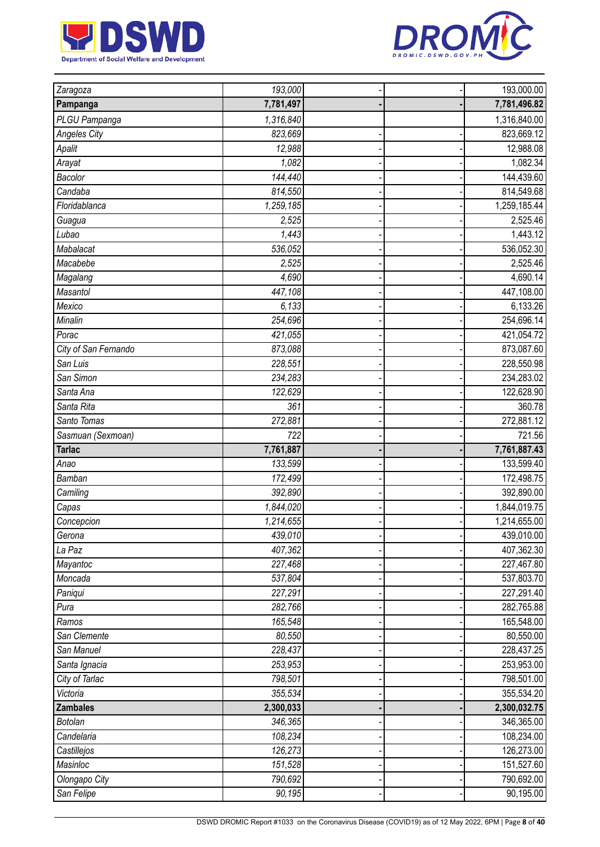



| Zaragoza                    | 193,000           |  | 193,000.00              |
|-----------------------------|-------------------|--|-------------------------|
| Pampanga                    | 7,781,497         |  | 7,781,496.82            |
| PLGU Pampanga               | 1,316,840         |  | 1,316,840.00            |
| <b>Angeles City</b>         | 823,669           |  | 823,669.12              |
| Apalit                      | 12,988            |  | 12,988.08               |
| Arayat                      | 1,082             |  | 1,082.34                |
| Bacolor                     | 144,440           |  | 144,439.60              |
| Candaba                     | 814,550           |  | 814,549.68              |
| Floridablanca               | 1,259,185         |  | 1,259,185.44            |
| Guagua                      | 2,525             |  | 2,525.46                |
| Lubao                       | 1,443             |  | 1,443.12                |
| Mabalacat                   | 536,052           |  | 536,052.30              |
| Macabebe                    | 2,525             |  | 2,525.46                |
| Magalang                    | 4,690             |  | 4,690.14                |
| Masantol                    | 447,108           |  | 447,108.00              |
| Mexico                      | 6,133             |  | 6,133.26                |
| Minalin                     | 254,696           |  | 254,696.14              |
| Porac                       | 421,055           |  | 421,054.72              |
| City of San Fernando        | 873,088           |  | 873,087.60              |
| San Luis                    | 228,551           |  | 228,550.98              |
| San Simon                   | 234,283           |  | 234,283.02              |
| Santa Ana                   | 122,629           |  | 122,628.90              |
| Santa Rita                  | 361               |  | 360.78                  |
| Santo Tomas                 | 272,881           |  | 272,881.12              |
| Sasmuan (Sexmoan)           | 722               |  | 721.56                  |
|                             |                   |  |                         |
| <b>Tarlac</b>               | 7,761,887         |  | 7,761,887.43            |
| Anao                        | 133,599           |  | 133,599.40              |
| Bamban                      | 172,499           |  | 172,498.75              |
| Camiling                    | 392,890           |  | 392,890.00              |
| Capas                       | 1,844,020         |  | 1,844,019.75            |
| Concepcion                  | 1,214,655         |  | 1,214,655.00            |
| Gerona                      | 439,010           |  | 439,010.00              |
| La Paz                      | 407,362           |  | 407,362.30              |
| Mayantoc                    | 227,468           |  | 227,467.80              |
| Moncada                     | 537,804           |  | 537,803.70              |
| Paniqui                     | 227,291           |  | 227,291.40              |
| Pura                        | 282,766           |  | 282,765.88              |
| Ramos                       | 165,548           |  | 165,548.00              |
| San Clemente                | 80,550            |  | 80,550.00               |
| San Manuel                  | 228,437           |  | 228,437.25              |
| Santa Ignacia               | 253,953           |  | 253,953.00              |
| City of Tarlac              | 798,501           |  | 798,501.00              |
| Victoria                    | 355,534           |  | 355,534.20              |
| <b>Zambales</b>             | 2,300,033         |  | 2,300,032.75            |
| <b>Botolan</b>              | 346,365           |  | 346,365.00              |
| Candelaria                  | 108,234           |  | 108,234.00              |
| Castillejos                 | 126,273           |  | 126,273.00              |
| Masinloc                    | 151,528           |  | 151,527.60              |
| Olongapo City<br>San Felipe | 790,692<br>90,195 |  | 790,692.00<br>90,195.00 |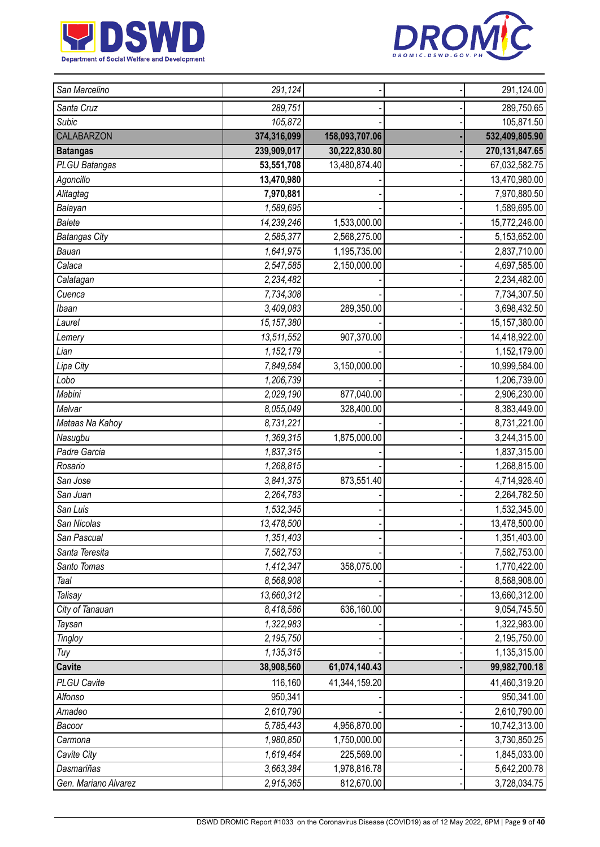



| San Marcelino        | 291,124                 |                | 291,124.00        |
|----------------------|-------------------------|----------------|-------------------|
| Santa Cruz           | 289,751                 |                | 289,750.65        |
| <b>Subic</b>         | 105,872                 |                | 105,871.50        |
| CALABARZON           | 374,316,099             | 158,093,707.06 | 532,409,805.90    |
| <b>Batangas</b>      | 239,909,017             | 30,222,830.80  | 270, 131, 847. 65 |
| PLGU Batangas        | 53,551,708              | 13,480,874.40  | 67,032,582.75     |
| Agoncillo            | 13,470,980              |                | 13,470,980.00     |
| Alitagtag            | 7,970,881               |                | 7,970,880.50      |
| Balayan              | 1,589,695               |                | 1,589,695.00      |
| <b>Balete</b>        | 14,239,246              | 1,533,000.00   | 15,772,246.00     |
| <b>Batangas City</b> | 2,585,377               | 2,568,275.00   | 5,153,652.00      |
| Bauan                | 1,641,975               | 1,195,735.00   | 2,837,710.00      |
| Calaca               | 2,547,585               | 2,150,000.00   | 4,697,585.00      |
| Calatagan            | 2,234,482               |                | 2,234,482.00      |
| Cuenca               | 7,734,308               |                | 7,734,307.50      |
| Ibaan                | 3,409,083               | 289,350.00     | 3,698,432.50      |
| Laurel               | 15,157,380              |                | 15, 157, 380.00   |
| Lemery               | $\overline{13,}511,552$ | 907,370.00     | 14,418,922.00     |
| Lian                 | 1,152,179               |                | 1,152,179.00      |
| Lipa City            | 7,849,584               | 3,150,000.00   | 10,999,584.00     |
| Lobo                 | 1,206,739               |                | 1,206,739.00      |
| Mabini               | 2,029,190               | 877,040.00     | 2,906,230.00      |
| Malvar               | 8,055,049               | 328,400.00     | 8,383,449.00      |
| Mataas Na Kahoy      | 8,731,221               |                | 8,731,221.00      |
| Nasugbu              | 1,369,315               | 1,875,000.00   | 3,244,315.00      |
| Padre Garcia         | 1,837,315               |                | 1,837,315.00      |
| Rosario              | 1,268,815               |                | 1,268,815.00      |
| San Jose             | 3,841,375               | 873,551.40     | 4,714,926.40      |
| San Juan             | 2,264,783               |                | 2,264,782.50      |
| San Luis             | 1,532,345               |                | 1,532,345.00      |
| San Nicolas          | 13,478,500              |                | 13,478,500.00     |
| San Pascual          | 1,351,403               |                | 1,351,403.00      |
| Santa Teresita       | 7,582,753               |                | 7,582,753.00      |
| Santo Tomas          | 1,412,347               | 358,075.00     | 1,770,422.00      |
| Taal                 | 8,568,908               |                | 8,568,908.00      |
| Talisay              | 13,660,312              |                | 13,660,312.00     |
| City of Tanauan      | 8,418,586               | 636,160.00     | 9,054,745.50      |
| Taysan               | 1,322,983               |                | 1,322,983.00      |
| Tingloy              | 2,195,750               |                | 2,195,750.00      |
| Tuy                  | 1,135,315               |                | 1,135,315.00      |
| <b>Cavite</b>        | 38,908,560              | 61,074,140.43  | 99,982,700.18     |
| PLGU Cavite          | 116,160                 | 41,344,159.20  | 41,460,319.20     |
| Alfonso              | 950,341                 |                | 950,341.00        |
| Amadeo               | 2,610,790               |                | 2,610,790.00      |
| Bacoor               | 5,785,443               | 4,956,870.00   | 10,742,313.00     |
| Carmona              | 1,980,850               | 1,750,000.00   | 3,730,850.25      |
| Cavite City          | 1,619,464               | 225,569.00     | 1,845,033.00      |
| Dasmariñas           | 3,663,384               | 1,978,816.78   | 5,642,200.78      |
| Gen. Mariano Alvarez | 2,915,365               | 812,670.00     | 3,728,034.75      |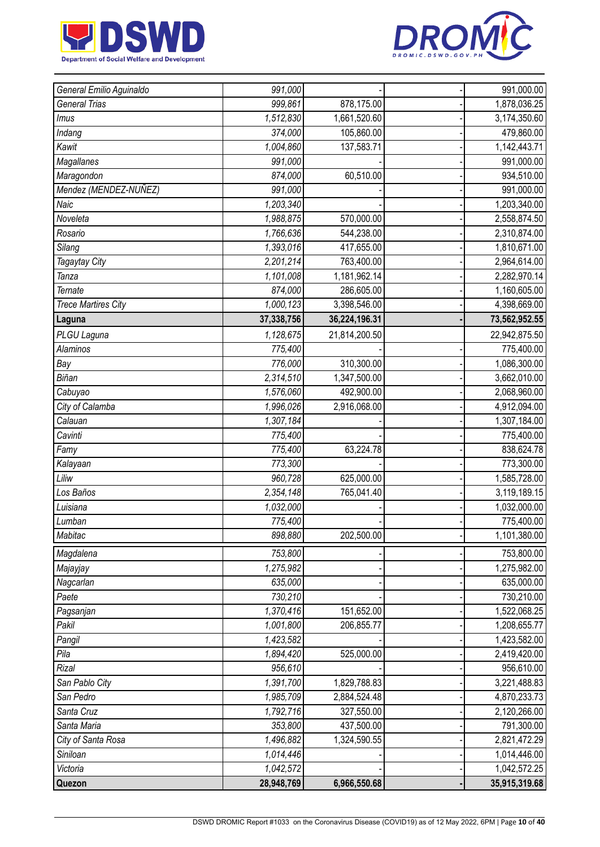



| General Emilio Aguinaldo   | 991,000    |               | 991,000.00    |
|----------------------------|------------|---------------|---------------|
| General Trias              | 999,861    | 878,175.00    | 1,878,036.25  |
| Imus                       | 1,512,830  | 1,661,520.60  | 3,174,350.60  |
| Indang                     | 374,000    | 105,860.00    | 479,860.00    |
| Kawit                      | 1,004,860  | 137,583.71    | 1,142,443.71  |
| Magallanes                 | 991,000    |               | 991,000.00    |
| Maragondon                 | 874,000    | 60,510.00     | 934,510.00    |
| Mendez (MENDEZ-NUÑEZ)      | 991,000    |               | 991,000.00    |
| Naic                       | 1,203,340  |               | 1,203,340.00  |
| Noveleta                   | 1,988,875  | 570,000.00    | 2,558,874.50  |
| Rosario                    | 1,766,636  | 544,238.00    | 2,310,874.00  |
| Silang                     | 1,393,016  | 417,655.00    | 1,810,671.00  |
| Tagaytay City              | 2,201,214  | 763,400.00    | 2,964,614.00  |
| Tanza                      | 1,101,008  | 1,181,962.14  | 2,282,970.14  |
| <b>Ternate</b>             | 874,000    | 286,605.00    | 1,160,605.00  |
| <b>Trece Martires City</b> | 1,000,123  | 3,398,546.00  | 4,398,669.00  |
| Laguna                     | 37,338,756 | 36,224,196.31 | 73,562,952.55 |
| PLGU Laguna                | 1,128,675  | 21,814,200.50 | 22,942,875.50 |
| <b>Alaminos</b>            | 775,400    |               | 775,400.00    |
| Bay                        | 776,000    | 310,300.00    | 1,086,300.00  |
| Biñan                      | 2,314,510  | 1,347,500.00  | 3,662,010.00  |
| Cabuyao                    | 1,576,060  | 492,900.00    | 2,068,960.00  |
| City of Calamba            | 1,996,026  | 2,916,068.00  | 4,912,094.00  |
| Calauan                    | 1,307,184  |               | 1,307,184.00  |
| Cavinti                    | 775,400    |               | 775,400.00    |
| Famy                       | 775,400    | 63,224.78     | 838,624.78    |
| Kalayaan                   | 773,300    |               | 773,300.00    |
| Liliw                      | 960,728    | 625,000.00    | 1,585,728.00  |
| Los Baños                  | 2,354,148  | 765,041.40    | 3,119,189.15  |
| Luisiana                   | 1,032,000  |               | 1,032,000.00  |
| Lumban                     | 775,400    |               | 775,400.00    |
| Mabitac                    | 898,880    | 202,500.00    | 1,101,380.00  |
| Magdalena                  | 753,800    |               | 753,800.00    |
| Majayjay                   | 1,275,982  |               | 1,275,982.00  |
| Nagcarlan                  | 635,000    |               | 635,000.00    |
| Paete                      | 730,210    |               | 730,210.00    |
| Pagsanjan                  | 1,370,416  | 151,652.00    | 1,522,068.25  |
| Pakil                      | 1,001,800  | 206,855.77    | 1,208,655.77  |
| Pangil                     | 1,423,582  |               | 1,423,582.00  |
| Pila                       | 1,894,420  | 525,000.00    | 2,419,420.00  |
| Rizal                      | 956,610    |               | 956,610.00    |
| San Pablo City             | 1,391,700  | 1,829,788.83  | 3,221,488.83  |
| San Pedro                  | 1,985,709  | 2,884,524.48  | 4,870,233.73  |
| Santa Cruz                 | 1,792,716  | 327,550.00    | 2,120,266.00  |
| Santa Maria                | 353,800    | 437,500.00    | 791,300.00    |
| City of Santa Rosa         | 1,496,882  | 1,324,590.55  | 2,821,472.29  |
| Siniloan                   | 1,014,446  |               | 1,014,446.00  |
| Victoria                   | 1,042,572  |               | 1,042,572.25  |
| Quezon                     | 28,948,769 | 6,966,550.68  | 35,915,319.68 |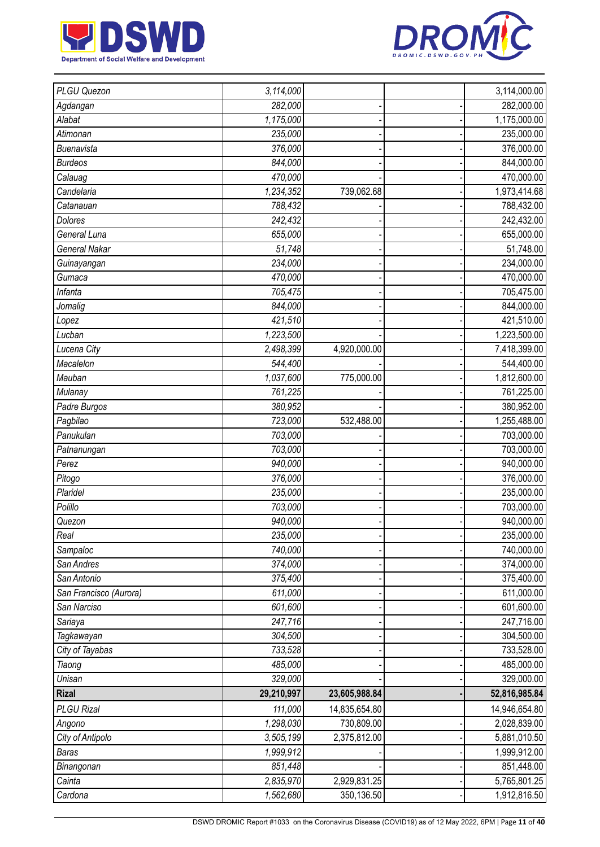



| PLGU Quezon            | 3,114,000  |               | 3,114,000.00  |
|------------------------|------------|---------------|---------------|
| Agdangan               | 282,000    |               | 282,000.00    |
| Alabat                 | 1,175,000  |               | 1,175,000.00  |
| Atimonan               | 235,000    |               | 235,000.00    |
| <b>Buenavista</b>      | 376,000    |               | 376,000.00    |
| <b>Burdeos</b>         | 844,000    |               | 844,000.00    |
| Calauag                | 470,000    |               | 470,000.00    |
| Candelaria             | 1,234,352  | 739,062.68    | 1,973,414.68  |
| Catanauan              | 788,432    |               | 788,432.00    |
| <b>Dolores</b>         | 242,432    |               | 242,432.00    |
| General Luna           | 655,000    |               | 655,000.00    |
| <b>General Nakar</b>   | 51,748     |               | 51,748.00     |
| Guinayangan            | 234,000    |               | 234,000.00    |
| Gumaca                 | 470,000    |               | 470,000.00    |
| Infanta                | 705,475    |               | 705,475.00    |
| Jomalig                | 844,000    |               | 844,000.00    |
| Lopez                  | 421,510    |               | 421,510.00    |
| Lucban                 | 1,223,500  |               | 1,223,500.00  |
| Lucena City            | 2,498,399  | 4,920,000.00  | 7,418,399.00  |
| Macalelon              | 544,400    |               | 544,400.00    |
| Mauban                 | 1,037,600  | 775,000.00    | 1,812,600.00  |
| Mulanay                | 761,225    |               | 761,225.00    |
| Padre Burgos           | 380,952    |               | 380,952.00    |
| Pagbilao               | 723,000    | 532,488.00    | 1,255,488.00  |
| Panukulan              | 703,000    |               | 703,000.00    |
| Patnanungan            | 703,000    |               | 703,000.00    |
| Perez                  | 940,000    |               | 940,000.00    |
| Pitogo                 | 376,000    |               | 376,000.00    |
| Plaridel               | 235,000    |               | 235,000.00    |
| Polillo                | 703,000    |               | 703,000.00    |
| Quezon                 | 940,000    |               | 940,000.00    |
| Real                   | 235,000    |               | 235,000.00    |
| Sampaloc               | 740,000    |               | 740,000.00    |
| San Andres             | 374,000    |               | 374,000.00    |
| San Antonio            | 375,400    |               | 375,400.00    |
| San Francisco (Aurora) | 611,000    |               | 611,000.00    |
| San Narciso            | 601,600    |               | 601,600.00    |
| Sariaya                | 247,716    |               | 247,716.00    |
| Tagkawayan             | 304,500    |               | 304,500.00    |
| City of Tayabas        | 733,528    |               | 733,528.00    |
| Tiaong                 | 485,000    |               | 485,000.00    |
| Unisan                 | 329,000    |               | 329,000.00    |
| <b>Rizal</b>           | 29,210,997 | 23,605,988.84 | 52,816,985.84 |
| <b>PLGU Rizal</b>      | 111,000    | 14,835,654.80 | 14,946,654.80 |
| Angono                 | 1,298,030  | 730,809.00    | 2,028,839.00  |
| City of Antipolo       | 3,505,199  | 2,375,812.00  | 5,881,010.50  |
| <b>Baras</b>           | 1,999,912  |               | 1,999,912.00  |
| Binangonan             | 851,448    |               | 851,448.00    |
| Cainta                 | 2,835,970  | 2,929,831.25  | 5,765,801.25  |
| Cardona                | 1,562,680  | 350,136.50    | 1,912,816.50  |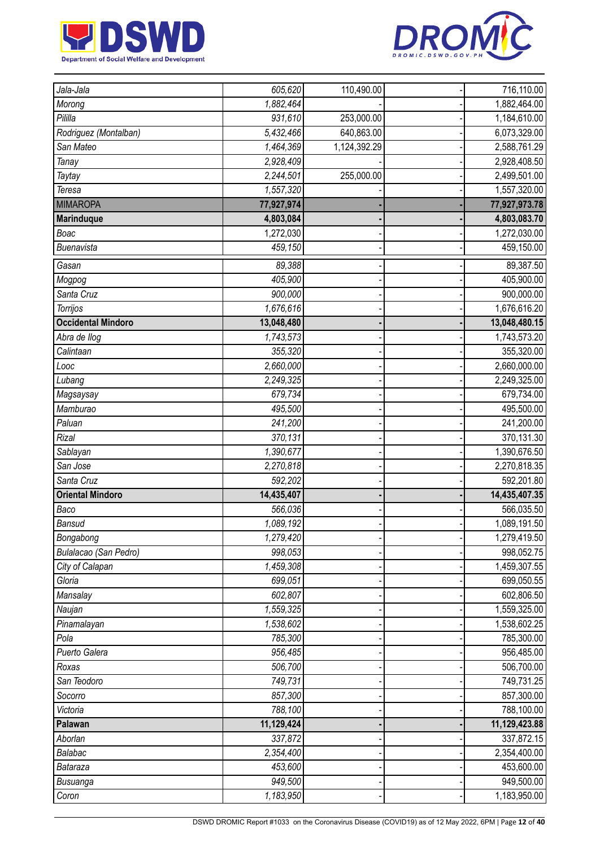



| Jala-Jala                 | 605,620                | 110,490.00   | 716,110.00                 |
|---------------------------|------------------------|--------------|----------------------------|
| Morong                    | 1,882,464              |              | 1,882,464.00               |
| Pililla                   | 931,610                | 253,000.00   | 1,184,610.00               |
| Rodriguez (Montalban)     | 5,432,466              | 640,863.00   | 6,073,329.00               |
| San Mateo                 | 1,464,369              | 1,124,392.29 | 2,588,761.29               |
| Tanay                     | 2,928,409              |              | 2,928,408.50               |
| Taytay                    | 2,244,501              | 255,000.00   | 2,499,501.00               |
| Teresa                    | 1,557,320              |              | 1,557,320.00               |
| <b>MIMAROPA</b>           | 77,927,974             |              | 77,927,973.78              |
| <b>Marinduque</b>         | 4,803,084              |              | 4,803,083.70               |
| Boac                      | 1,272,030              |              | 1,272,030.00               |
| Buenavista                | 459,150                |              | 459,150.00                 |
| Gasan                     | 89,388                 |              | 89,387.50                  |
| Mogpog                    | 405,900                |              | 405,900.00                 |
| Santa Cruz                | 900,000                |              | 900,000.00                 |
| Torrijos                  | 1,676,616              |              | 1,676,616.20               |
| <b>Occidental Mindoro</b> | 13,048,480             |              | 13,048,480.15              |
| Abra de llog              | $\overline{1,743,573}$ |              | 1,743,573.20               |
| Calintaan                 | 355,320                |              | 355,320.00                 |
| Looc                      | 2,660,000              |              | 2,660,000.00               |
| Lubang                    | 2,249,325              |              | 2,249,325.00               |
| Magsaysay                 | 679,734                |              | 679,734.00                 |
| Mamburao                  | 495,500                |              | 495,500.00                 |
| Paluan                    | 241,200                |              | 241,200.00                 |
| Rizal                     | 370,131                |              | 370,131.30                 |
| Sablayan                  | 1,390,677              |              | 1,390,676.50               |
| San Jose                  | 2,270,818              |              | 2,270,818.35               |
| Santa Cruz                | 592,202                |              | 592,201.80                 |
| <b>Oriental Mindoro</b>   | 14,435,407             |              | 14,435,407.35              |
| Baco                      | 566,036                |              | 566,035.50                 |
| Bansud                    | 1,089,192              |              | 1,089,191.50               |
| Bongabong                 | 1,279,420              |              | 1,279,419.50               |
| Bulalacao (San Pedro)     | 998,053                |              | 998,052.75                 |
| City of Calapan           | 1,459,308              |              | 1,459,307.55               |
| Gloria                    | 699,051                |              | 699,050.55                 |
| Mansalay                  | 602,807                |              | 602,806.50                 |
| Naujan                    | 1,559,325              |              | 1,559,325.00               |
| Pinamalayan               | 1,538,602              |              | 1,538,602.25               |
| Pola                      | 785,300                |              | 785,300.00                 |
| Puerto Galera             | 956,485                |              | 956,485.00                 |
| Roxas                     | 506,700                |              | 506,700.00                 |
| San Teodoro               | 749,731                |              | 749,731.25                 |
| Socorro                   | 857,300                |              | 857,300.00                 |
| Victoria                  | 788,100                |              | 788,100.00                 |
| Palawan                   | 11,129,424             |              | 11,129,423.88              |
| Aborlan                   | 337,872                |              | 337,872.15                 |
| Balabac                   |                        |              | 2,354,400.00               |
|                           | 2,354,400              |              |                            |
| Bataraza                  | 453,600                |              | 453,600.00                 |
| Busuanga<br>Coron         | 949,500<br>1,183,950   |              | 949,500.00<br>1,183,950.00 |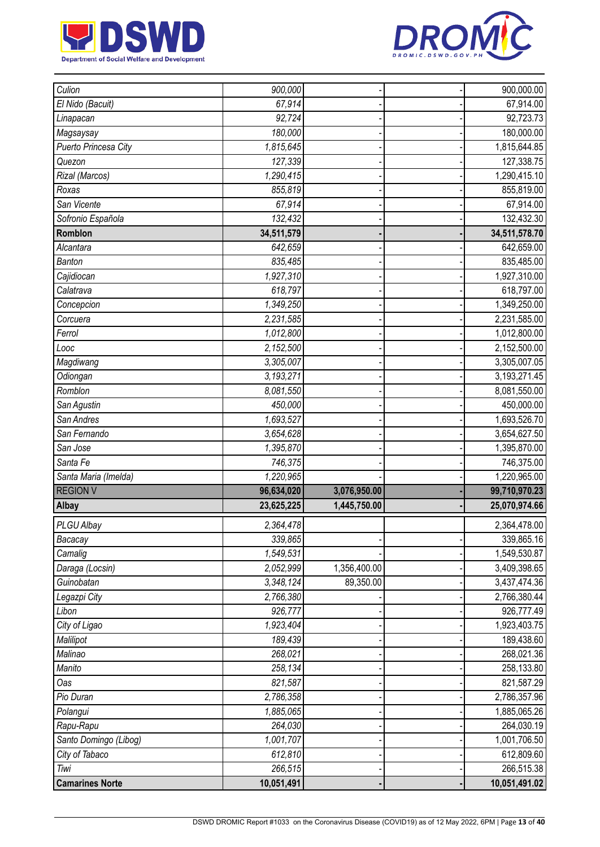



| Culion                 | 900,000               |              | 900,000.00                  |
|------------------------|-----------------------|--------------|-----------------------------|
| El Nido (Bacuit)       | 67,914                |              | 67,914.00                   |
| Linapacan              | 92,724                |              | 92,723.73                   |
| Magsaysay              | 180,000               |              | 180,000.00                  |
| Puerto Princesa City   | 1,815,645             |              | 1,815,644.85                |
| Quezon                 | 127,339               |              | 127,338.75                  |
| Rizal (Marcos)         | 1,290,415             |              | 1,290,415.10                |
| Roxas                  | 855,819               |              | 855,819.00                  |
| San Vicente            | 67,914                |              | 67,914.00                   |
| Sofronio Española      | 132,432               |              | 132,432.30                  |
| Romblon                | 34,511,579            |              | 34,511,578.70               |
| Alcantara              | $\overline{642,}659$  |              | 642,659.00                  |
| <b>Banton</b>          | 835,485               |              | 835,485.00                  |
| Cajidiocan             | 1,927,310             |              | 1,927,310.00                |
| Calatrava              | 618,797               |              | 618,797.00                  |
| Concepcion             | 1,349,250             |              | 1,349,250.00                |
| Corcuera               | 2,231,585             |              | 2,231,585.00                |
| Ferrol                 | 1,012,800             |              | 1,012,800.00                |
| Looc                   | 2,152,500             |              | 2,152,500.00                |
| Magdiwang              | 3,305,007             |              | 3,305,007.05                |
| Odiongan               | 3,193,271             |              | 3,193,271.45                |
| Romblon                | 8,081,550             |              | 8,081,550.00                |
| San Agustin            | 450,000               |              | 450,000.00                  |
| San Andres             | 1,693,527             |              | 1,693,526.70                |
| San Fernando           | 3,654,628             |              | 3,654,627.50                |
| San Jose               | 1,395,870             |              | 1,395,870.00                |
| Santa Fe               | 746,375               |              | 746,375.00                  |
| Santa Maria (Imelda)   | 1,220,965             |              | 1,220,965.00                |
| <b>REGION V</b>        | 96,634,020            | 3,076,950.00 | 99,710,970.23               |
| Albay                  | 23,625,225            | 1,445,750.00 | 25,070,974.66               |
| PLGU Albay             | 2,364,478             |              | 2,364,478.00                |
| Bacacay                | 339,865               |              | 339,865.16                  |
| Camalig                | 1,549,531             |              | 1,549,530.87                |
| Daraga (Locsin)        | 2,052,999             | 1,356,400.00 | 3,409,398.65                |
| Guinobatan             | 3,348,124             | 89,350.00    | 3,437,474.36                |
| Legazpi City           | 2,766,380             |              | 2,766,380.44                |
| Libon                  | 926,777               |              | 926,777.49                  |
| City of Ligao          | 1,923,404             |              | 1,923,403.75                |
| Malilipot              | 189,439               |              | 189,438.60                  |
| Malinao                | 268,021               |              | 268,021.36                  |
| Manito                 | 258,134               |              | 258,133.80                  |
| Oas                    | 821,587               |              | 821,587.29                  |
| Pio Duran              | 2,786,358             |              | 2,786,357.96                |
| Polangui               | 1,885,065             |              | 1,885,065.26                |
| Rapu-Rapu              | 264,030               |              | 264,030.19                  |
| Santo Domingo (Libog)  | 1,001,707             |              | 1,001,706.50                |
| City of Tabaco         | 612,810               |              | 612,809.60                  |
| Tiwi                   |                       |              |                             |
| <b>Camarines Norte</b> | 266,515<br>10,051,491 |              | 266,515.38<br>10,051,491.02 |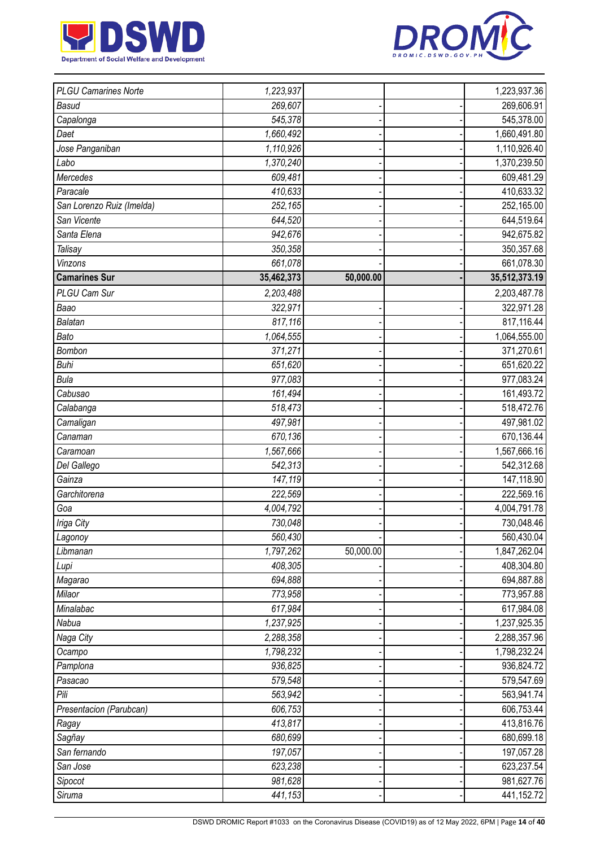



| <b>PLGU Camarines Norte</b> | 1,223,937  |           | 1,223,937.36  |
|-----------------------------|------------|-----------|---------------|
| <b>Basud</b>                | 269,607    |           | 269,606.91    |
| Capalonga                   | 545,378    |           | 545,378.00    |
| Daet                        | 1,660,492  |           | 1,660,491.80  |
| Jose Panganiban             | 1,110,926  |           | 1,110,926.40  |
| Labo                        | 1,370,240  |           | 1,370,239.50  |
| Mercedes                    | 609,481    |           | 609,481.29    |
| Paracale                    | 410,633    |           | 410,633.32    |
| San Lorenzo Ruiz (Imelda)   | 252,165    |           | 252,165.00    |
| San Vicente                 | 644,520    |           | 644,519.64    |
| Santa Elena                 | 942,676    |           | 942,675.82    |
| <b>Talisay</b>              | 350,358    |           | 350,357.68    |
| Vinzons                     | 661,078    |           | 661,078.30    |
| <b>Camarines Sur</b>        | 35,462,373 | 50,000.00 | 35,512,373.19 |
| PLGU Cam Sur                | 2,203,488  |           | 2,203,487.78  |
| Baao                        | 322,971    |           | 322,971.28    |
| Balatan                     | 817,116    |           | 817,116.44    |
| Bato                        | 1,064,555  |           | 1,064,555.00  |
| Bombon                      | 371,271    |           | 371,270.61    |
| <b>Buhi</b>                 | 651,620    |           | 651,620.22    |
| <b>Bula</b>                 | 977,083    |           | 977,083.24    |
| Cabusao                     | 161,494    |           | 161,493.72    |
| Calabanga                   | 518,473    |           | 518,472.76    |
| Camaligan                   | 497,981    |           | 497,981.02    |
| Canaman                     | 670,136    |           | 670,136.44    |
| Caramoan                    | 1,567,666  |           | 1,567,666.16  |
| Del Gallego                 | 542,313    |           | 542,312.68    |
| Gainza                      | 147,119    |           | 147,118.90    |
| Garchitorena                | 222,569    |           | 222,569.16    |
| Goa                         | 4,004,792  |           | 4,004,791.78  |
| Iriga City                  | 730,048    |           | 730,048.46    |
| Lagonoy                     | 560,430    |           | 560,430.04    |
| Libmanan                    | 1,797,262  | 50,000.00 | 1,847,262.04  |
| Lupi                        | 408,305    |           | 408,304.80    |
| Magarao                     | 694,888    |           | 694,887.88    |
| Milaor                      | 773,958    |           | 773,957.88    |
| Minalabac                   | 617,984    |           | 617,984.08    |
| Nabua                       | 1,237,925  |           | 1,237,925.35  |
| Naga City                   | 2,288,358  |           | 2,288,357.96  |
| Ocampo                      | 1,798,232  |           | 1,798,232.24  |
| Pamplona                    | 936,825    |           | 936,824.72    |
| Pasacao                     | 579,548    |           | 579,547.69    |
| Pili                        | 563,942    |           | 563,941.74    |
| Presentacion (Parubcan)     | 606,753    |           | 606,753.44    |
| Ragay                       | 413,817    |           | 413,816.76    |
| Sagñay                      | 680,699    |           | 680,699.18    |
| San fernando                | 197,057    |           | 197,057.28    |
| San Jose                    | 623,238    |           | 623,237.54    |
| Sipocot                     | 981,628    |           | 981,627.76    |
| Siruma                      | 441,153    |           | 441,152.72    |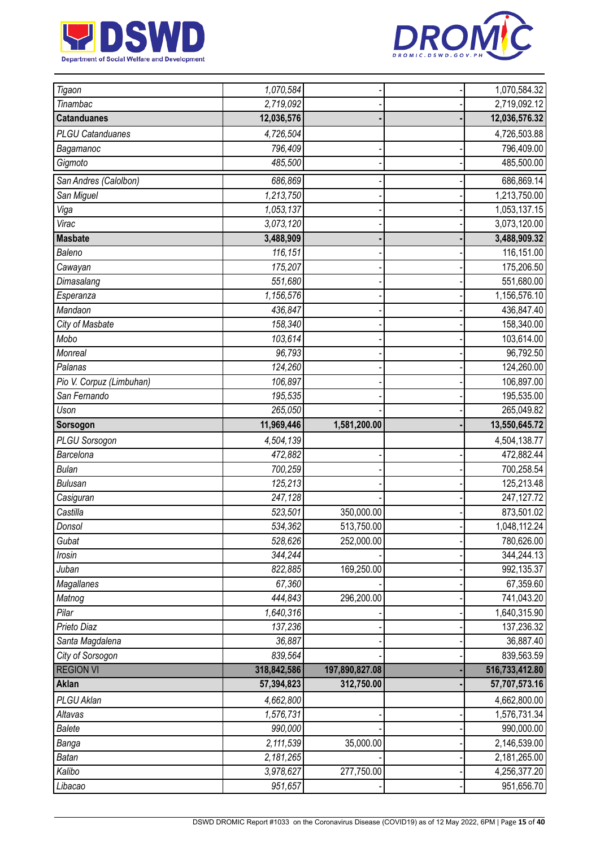



| Tigaon                   | 1,070,584   |                | 1,070,584.32   |
|--------------------------|-------------|----------------|----------------|
| Tinambac                 | 2,719,092   |                | 2,719,092.12   |
| <b>Catanduanes</b>       | 12,036,576  |                | 12,036,576.32  |
| <b>PLGU Catanduanes</b>  | 4,726,504   |                | 4,726,503.88   |
| Bagamanoc                | 796,409     |                | 796,409.00     |
| Gigmoto                  | 485,500     |                | 485,500.00     |
| San Andres (Calolbon)    | 686,869     |                | 686,869.14     |
| San Miguel               | 1,213,750   |                | 1,213,750.00   |
| Viga                     | 1,053,137   |                | 1,053,137.15   |
| Virac                    | 3,073,120   |                | 3,073,120.00   |
| <b>Masbate</b>           | 3,488,909   |                | 3,488,909.32   |
| Baleno                   | 116,151     |                | 116,151.00     |
| Cawayan                  | 175,207     |                | 175,206.50     |
| Dimasalang               | 551,680     |                | 551,680.00     |
| Esperanza                | 1,156,576   |                | 1,156,576.10   |
| Mandaon                  | 436,847     |                | 436,847.40     |
| City of Masbate          | 158,340     |                | 158,340.00     |
| Mobo                     | 103,614     |                | 103,614.00     |
| Monreal                  | 96,793      |                | 96,792.50      |
| Palanas                  | 124,260     |                | 124,260.00     |
| Pio V. Corpuz (Limbuhan) | 106,897     |                | 106,897.00     |
| San Fernando             | 195,535     |                | 195,535.00     |
| Uson                     | 265,050     |                | 265,049.82     |
| Sorsogon                 | 11,969,446  | 1,581,200.00   | 13,550,645.72  |
| PLGU Sorsogon            | 4,504,139   |                | 4,504,138.77   |
| Barcelona                | 472,882     |                | 472,882.44     |
| <b>Bulan</b>             | 700,259     |                | 700,258.54     |
| <b>Bulusan</b>           | 125,213     |                | 125,213.48     |
| Casiguran                | 247,128     |                | 247, 127. 72   |
| Castilla                 | 523,501     | 350,000.00     | 873,501.02     |
| Donsol                   | 534,362     | 513,750.00     | 1,048,112.24   |
| Gubat                    | 528,626     | 252,000.00     | 780,626.00     |
| Irosin                   | 344,244     |                | 344,244.13     |
| Juban                    | 822,885     | 169,250.00     | 992,135.37     |
| Magallanes               | 67,360      |                | 67,359.60      |
| Matnog                   | 444,843     | 296,200.00     | 741,043.20     |
| Pilar                    | 1,640,316   |                | 1,640,315.90   |
| Prieto Diaz              | 137,236     |                | 137,236.32     |
| Santa Magdalena          | 36,887      |                | 36,887.40      |
| City of Sorsogon         | 839,564     |                | 839,563.59     |
| <b>REGION VI</b>         | 318,842,586 | 197,890,827.08 | 516,733,412.80 |
| <b>Aklan</b>             | 57,394,823  | 312,750.00     | 57,707,573.16  |
| PLGU Aklan               | 4,662,800   |                | 4,662,800.00   |
| Altavas                  | 1,576,731   |                | 1,576,731.34   |
| <b>Balete</b>            | 990,000     |                | 990,000.00     |
| Banga                    | 2,111,539   | 35,000.00      | 2,146,539.00   |
| <b>Batan</b>             | 2,181,265   |                | 2,181,265.00   |
| Kalibo                   | 3,978,627   | 277,750.00     | 4,256,377.20   |
| Libacao                  | 951,657     |                | 951,656.70     |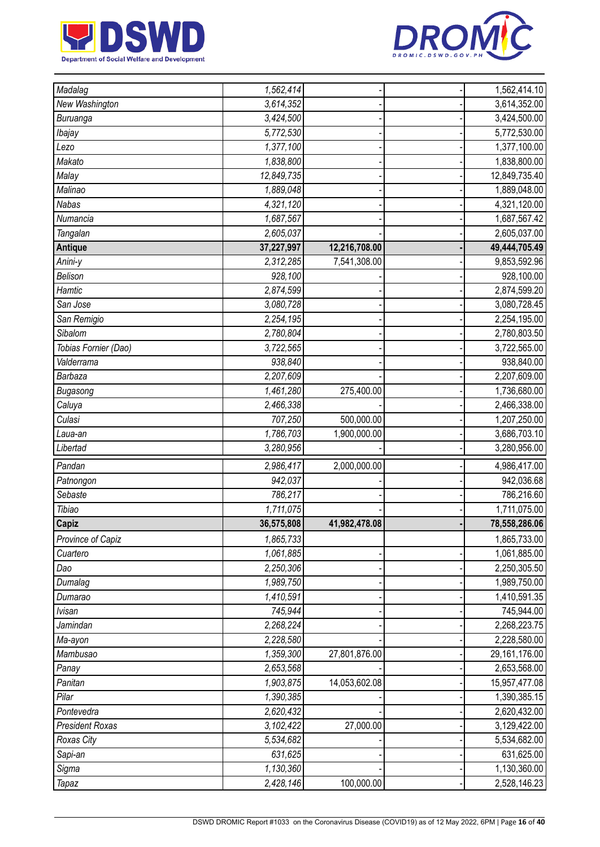



| Madalag                | 1,562,414                 |               | 1,562,414.10  |
|------------------------|---------------------------|---------------|---------------|
| New Washington         | 3,614,352                 |               | 3,614,352.00  |
| Buruanga               | 3,424,500                 |               | 3,424,500.00  |
| Ibajay                 | 5,772,530                 |               | 5,772,530.00  |
| Lezo                   | 1,377,100                 |               | 1,377,100.00  |
| Makato                 | 1,838,800                 |               | 1,838,800.00  |
| Malay                  | 12,849,735                |               | 12,849,735.40 |
| Malinao                | 1,889,048                 |               | 1,889,048.00  |
| <b>Nabas</b>           | $\overline{4}$ , 321, 120 |               | 4,321,120.00  |
| Numancia               | 1,687,567                 |               | 1,687,567.42  |
| Tangalan               | 2,605,037                 |               | 2,605,037.00  |
| <b>Antique</b>         | 37,227,997                | 12,216,708.00 | 49,444,705.49 |
| Anini-y                | 2,312,285                 | 7,541,308.00  | 9,853,592.96  |
| Belison                | 928,100                   |               | 928,100.00    |
| Hamtic                 | 2,874,599                 |               | 2,874,599.20  |
| San Jose               | 3,080,728                 |               | 3,080,728.45  |
| San Remigio            | 2,254,195                 |               | 2,254,195.00  |
| Sibalom                | 2,780,804                 |               | 2,780,803.50  |
| Tobias Fornier (Dao)   | 3,722,565                 |               | 3,722,565.00  |
| Valderrama             | 938,840                   |               | 938,840.00    |
| Barbaza                | 2,207,609                 |               | 2,207,609.00  |
| Bugasong               | 1,461,280                 | 275,400.00    | 1,736,680.00  |
| Caluya                 | 2,466,338                 |               | 2,466,338.00  |
| Culasi                 | 707,250                   | 500,000.00    | 1,207,250.00  |
| Laua-an                | 1,786,703                 | 1,900,000.00  | 3,686,703.10  |
| Libertad               | 3,280,956                 |               | 3,280,956.00  |
| Pandan                 | 2,986,417                 | 2,000,000.00  | 4,986,417.00  |
| Patnongon              | 942,037                   |               | 942,036.68    |
| Sebaste                | 786,217                   |               | 786,216.60    |
| Tibiao                 | 1,711,075                 |               | 1,711,075.00  |
| Capiz                  | 36,575,808                | 41,982,478.08 | 78,558,286.06 |
| Province of Capiz      | 1,865,733                 |               | 1,865,733.00  |
| Cuartero               | 1,061,885                 |               | 1,061,885.00  |
| Dao                    | 2,250,306                 |               | 2,250,305.50  |
| Dumalag                | 1,989,750                 |               | 1,989,750.00  |
| Dumarao                | 1,410,591                 |               | 1,410,591.35  |
| <b>Ivisan</b>          | 745,944                   |               | 745,944.00    |
| Jamindan               | 2,268,224                 |               | 2,268,223.75  |
| Ma-ayon                | 2,228,580                 |               | 2,228,580.00  |
| Mambusao               | 1,359,300                 | 27,801,876.00 | 29,161,176.00 |
| Panay                  | 2,653,568                 |               | 2,653,568.00  |
| Panitan                | 1,903,875                 | 14,053,602.08 | 15,957,477.08 |
| Pilar                  | 1,390,385                 |               | 1,390,385.15  |
| Pontevedra             | 2,620,432                 |               | 2,620,432.00  |
| <b>President Roxas</b> | 3,102,422                 | 27,000.00     | 3,129,422.00  |
| Roxas City             | 5,534,682                 |               | 5,534,682.00  |
| Sapi-an                | 631,625                   |               | 631,625.00    |
| Sigma                  | 1,130,360                 |               | 1,130,360.00  |
| <b>Tapaz</b>           | 2,428,146                 | 100,000.00    | 2,528,146.23  |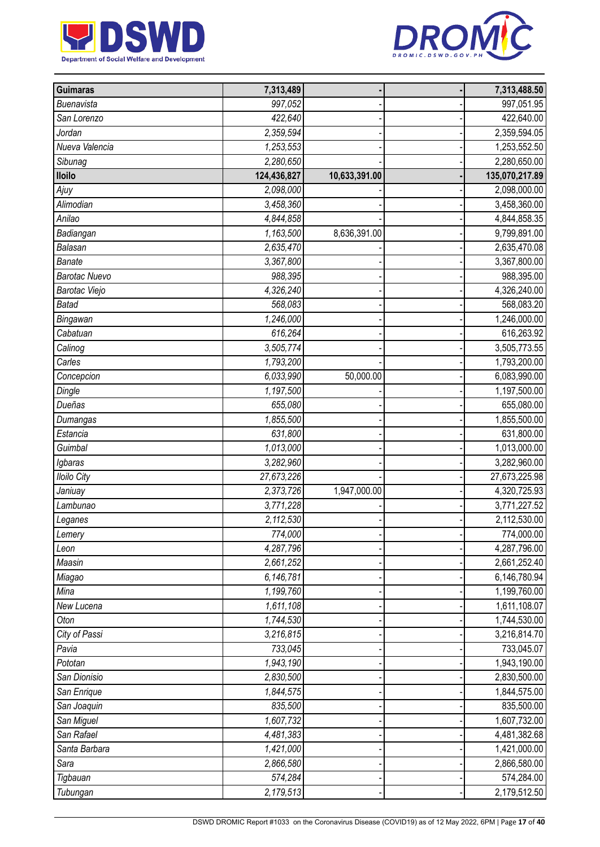



| <b>Guimaras</b>      | 7,313,489   |               | 7,313,488.50   |
|----------------------|-------------|---------------|----------------|
| Buenavista           | 997,052     |               | 997,051.95     |
| San Lorenzo          | 422,640     |               | 422,640.00     |
| Jordan               | 2,359,594   |               | 2,359,594.05   |
| Nueva Valencia       | 1,253,553   |               | 1,253,552.50   |
| Sibunag              | 2,280,650   |               | 2,280,650.00   |
| <b>Iloilo</b>        | 124,436,827 | 10,633,391.00 | 135,070,217.89 |
| Ajuy                 | 2,098,000   |               | 2,098,000.00   |
| Alimodian            | 3,458,360   |               | 3,458,360.00   |
| Anilao               | 4,844,858   |               | 4,844,858.35   |
| Badiangan            | 1,163,500   | 8,636,391.00  | 9,799,891.00   |
| <b>Balasan</b>       | 2,635,470   |               | 2,635,470.08   |
| <b>Banate</b>        | 3,367,800   |               | 3,367,800.00   |
| <b>Barotac Nuevo</b> | 988,395     |               | 988,395.00     |
| Barotac Viejo        | 4,326,240   |               | 4,326,240.00   |
| <b>Batad</b>         | 568,083     |               | 568,083.20     |
| Bingawan             | 1,246,000   |               | 1,246,000.00   |
| Cabatuan             | 616,264     |               | 616,263.92     |
| Calinog              | 3,505,774   |               | 3,505,773.55   |
| Carles               | 1,793,200   |               | 1,793,200.00   |
| Concepcion           | 6,033,990   | 50,000.00     | 6,083,990.00   |
| Dingle               | 1,197,500   |               | 1,197,500.00   |
| Dueñas               | 655,080     |               | 655,080.00     |
| Dumangas             | 1,855,500   |               | 1,855,500.00   |
| Estancia             | 631,800     |               | 631,800.00     |
| Guimbal              | 1,013,000   |               | 1,013,000.00   |
| Igbaras              | 3,282,960   |               | 3,282,960.00   |
| <b>Iloilo City</b>   | 27,673,226  |               | 27,673,225.98  |
| Janiuay              | 2,373,726   | 1,947,000.00  | 4,320,725.93   |
| Lambunao             | 3,771,228   |               | 3,771,227.52   |
| Leganes              | 2,112,530   |               | 2,112,530.00   |
| Lemery               | 774,000     |               | 774,000.00     |
| Leon                 | 4,287,796   |               | 4,287,796.00   |
| Maasin               | 2,661,252   |               | 2,661,252.40   |
| Miagao               | 6,146,781   |               | 6,146,780.94   |
| Mina                 | 1,199,760   |               | 1,199,760.00   |
| New Lucena           | 1,611,108   |               | 1,611,108.07   |
| Oton                 | 1,744,530   |               | 1,744,530.00   |
| City of Passi        | 3,216,815   |               | 3,216,814.70   |
| Pavia                | 733,045     |               | 733,045.07     |
| Pototan              | 1,943,190   |               | 1,943,190.00   |
| San Dionisio         | 2,830,500   |               | 2,830,500.00   |
| San Enrique          | 1,844,575   |               | 1,844,575.00   |
| San Joaquin          | 835,500     |               | 835,500.00     |
| San Miguel           | 1,607,732   |               | 1,607,732.00   |
| San Rafael           | 4,481,383   |               | 4,481,382.68   |
| Santa Barbara        | 1,421,000   |               | 1,421,000.00   |
| Sara                 | 2,866,580   |               | 2,866,580.00   |
| Tigbauan             | 574,284     |               | 574,284.00     |
| Tubungan             | 2,179,513   |               | 2,179,512.50   |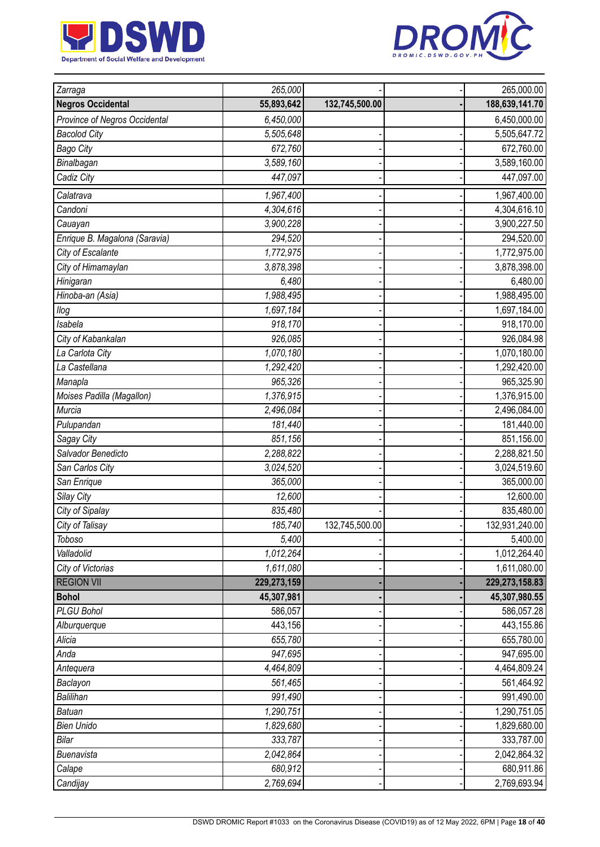



| Zarraga                       | 265,000     |                | 265,000.00       |
|-------------------------------|-------------|----------------|------------------|
| <b>Negros Occidental</b>      | 55,893,642  | 132,745,500.00 | 188,639,141.70   |
| Province of Negros Occidental | 6,450,000   |                | 6,450,000.00     |
| <b>Bacolod City</b>           | 5,505,648   |                | 5,505,647.72     |
| <b>Bago City</b>              | 672,760     |                | 672,760.00       |
| Binalbagan                    | 3,589,160   |                | 3,589,160.00     |
| Cadiz City                    | 447,097     |                | 447,097.00       |
| Calatrava                     | 1,967,400   |                | 1,967,400.00     |
| Candoni                       | 4,304,616   |                | 4,304,616.10     |
| Cauayan                       | 3,900,228   |                | 3,900,227.50     |
| Enrique B. Magalona (Saravia) | 294,520     |                | 294,520.00       |
| City of Escalante             | 1,772,975   |                | 1,772,975.00     |
| City of Himamaylan            | 3,878,398   |                | 3,878,398.00     |
| Hinigaran                     | 6,480       |                | 6,480.00         |
| Hinoba-an (Asia)              | 1,988,495   |                | 1,988,495.00     |
| llog                          | 1,697,184   |                | 1,697,184.00     |
| Isabela                       | 918,170     |                | 918,170.00       |
| City of Kabankalan            | 926,085     |                | 926,084.98       |
| La Carlota City               | 1,070,180   |                | 1,070,180.00     |
| La Castellana                 | 1,292,420   |                | 1,292,420.00     |
| Manapla                       | 965,326     |                | 965,325.90       |
| Moises Padilla (Magallon)     | 1,376,915   |                | 1,376,915.00     |
| Murcia                        | 2,496,084   |                | 2,496,084.00     |
| Pulupandan                    | 181,440     |                | 181,440.00       |
| Sagay City                    | 851,156     |                | 851,156.00       |
| Salvador Benedicto            | 2,288,822   |                | 2,288,821.50     |
| San Carlos City               | 3,024,520   |                | 3,024,519.60     |
| San Enrique                   | 365,000     |                | 365,000.00       |
| Silay City                    | 12,600      |                | 12,600.00        |
| City of Sipalay               | 835,480     |                | 835,480.00       |
| City of Talisay               | 185,740     | 132,745,500.00 | 132,931,240.00   |
| Toboso                        | 5,400       |                | 5,400.00         |
| Valladolid                    | 1,012,264   |                | 1,012,264.40     |
| City of Victorias             | 1,611,080   |                | 1,611,080.00     |
| <b>REGION VII</b>             | 229,273,159 |                | 229, 273, 158.83 |
| <b>Bohol</b>                  | 45,307,981  |                | 45,307,980.55    |
| PLGU Bohol                    | 586,057     |                | 586,057.28       |
| Alburquerque                  | 443,156     |                | 443,155.86       |
| Alicia                        | 655,780     |                | 655,780.00       |
| Anda                          | 947,695     |                | 947,695.00       |
| Antequera                     | 4,464,809   |                | 4,464,809.24     |
| Baclayon                      | 561,465     |                | 561,464.92       |
| Balilihan                     | 991,490     |                | 991,490.00       |
| <b>Batuan</b>                 | 1,290,751   |                | 1,290,751.05     |
| <b>Bien Unido</b>             | 1,829,680   |                | 1,829,680.00     |
| Bilar                         | 333,787     |                | 333,787.00       |
| Buenavista                    | 2,042,864   |                | 2,042,864.32     |
| Calape                        | 680,912     |                | 680,911.86       |
| Candijay                      | 2,769,694   |                | 2,769,693.94     |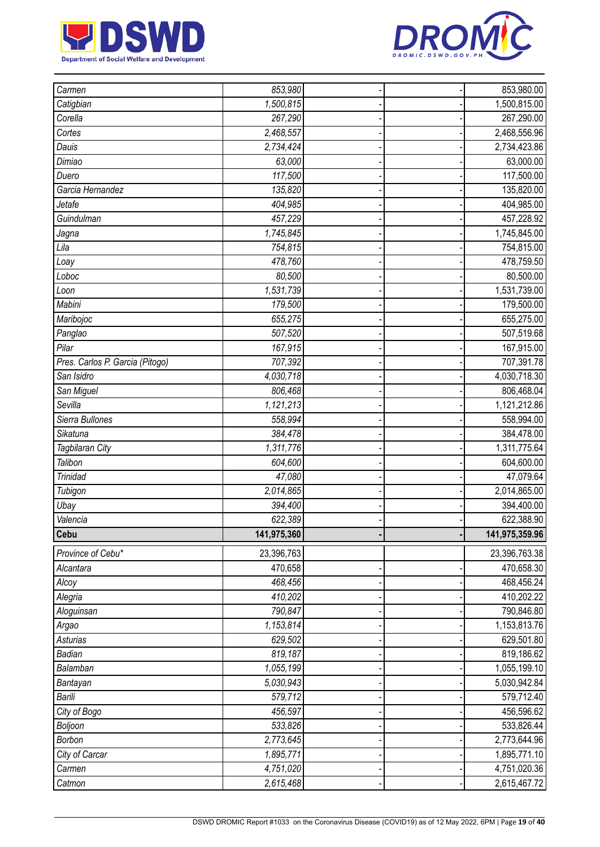



| Carmen                          | 853,980     |  | 853,980.00     |
|---------------------------------|-------------|--|----------------|
| Catigbian                       | 1,500,815   |  | 1,500,815.00   |
| Corella                         | 267,290     |  | 267,290.00     |
| Cortes                          | 2,468,557   |  | 2,468,556.96   |
| Dauis                           | 2,734,424   |  | 2,734,423.86   |
| Dimiao                          | 63,000      |  | 63,000.00      |
| Duero                           | 117,500     |  | 117,500.00     |
| Garcia Hernandez                | 135,820     |  | 135,820.00     |
| Jetafe                          | 404,985     |  | 404,985.00     |
| Guindulman                      | 457,229     |  | 457,228.92     |
| Jagna                           | 1,745,845   |  | 1,745,845.00   |
| Lila                            | 754,815     |  | 754,815.00     |
| Loay                            | 478,760     |  | 478,759.50     |
| Loboc                           | 80,500      |  | 80,500.00      |
| Loon                            | 1,531,739   |  | 1,531,739.00   |
| Mabini                          | 179,500     |  | 179,500.00     |
| Maribojoc                       | 655,275     |  | 655,275.00     |
| Panglao                         | 507,520     |  | 507,519.68     |
| Pilar                           | 167,915     |  | 167,915.00     |
| Pres. Carlos P. Garcia (Pitogo) | 707,392     |  | 707,391.78     |
| San Isidro                      | 4,030,718   |  | 4,030,718.30   |
| San Miguel                      | 806,468     |  | 806,468.04     |
| Sevilla                         | 1,121,213   |  | 1,121,212.86   |
| Sierra Bullones                 | 558,994     |  | 558,994.00     |
| Sikatuna                        | 384,478     |  | 384,478.00     |
| Tagbilaran City                 | 1,311,776   |  | 1,311,775.64   |
| Talibon                         | 604,600     |  | 604,600.00     |
| <b>Trinidad</b>                 | 47,080      |  | 47,079.64      |
| Tubigon                         | 2,014,865   |  | 2,014,865.00   |
| Ubay                            | 394,400     |  | 394,400.00     |
| Valencia                        | 622,389     |  | 622,388.90     |
| Cebu                            | 141,975,360 |  | 141,975,359.96 |
| Province of Cebu*               | 23,396,763  |  | 23,396,763.38  |
| Alcantara                       | 470,658     |  | 470,658.30     |
| Alcoy                           | 468,456     |  | 468,456.24     |
| Alegria                         | 410,202     |  | 410,202.22     |
| Aloguinsan                      | 790,847     |  | 790,846.80     |
| Argao                           | 1,153,814   |  | 1,153,813.76   |
| Asturias                        | 629,502     |  | 629,501.80     |
| Badian                          | 819,187     |  | 819,186.62     |
| Balamban                        | 1,055,199   |  | 1,055,199.10   |
| Bantayan                        | 5,030,943   |  | 5,030,942.84   |
| Barili                          | 579,712     |  | 579,712.40     |
| City of Bogo                    | 456,597     |  | 456,596.62     |
| Boljoon                         | 533,826     |  | 533,826.44     |
| Borbon                          | 2,773,645   |  | 2,773,644.96   |
| City of Carcar                  | 1,895,771   |  | 1,895,771.10   |
| Carmen                          | 4,751,020   |  | 4,751,020.36   |
| Catmon                          | 2,615,468   |  | 2,615,467.72   |
|                                 |             |  |                |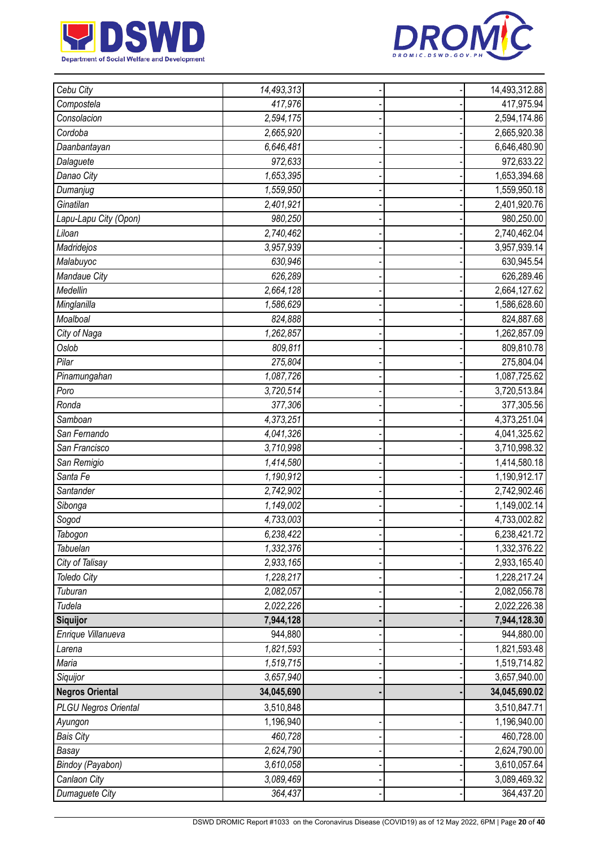



| Cebu City                   | 14,493,313             |  | 14,493,312.88 |
|-----------------------------|------------------------|--|---------------|
| Compostela                  | 417,976                |  | 417,975.94    |
| Consolacion                 | 2,594,175              |  | 2,594,174.86  |
| Cordoba                     | 2,665,920              |  | 2,665,920.38  |
| Daanbantayan                | 6,646,481              |  | 6,646,480.90  |
| Dalaguete                   | 972,633                |  | 972,633.22    |
| Danao City                  | 1,653,395              |  | 1,653,394.68  |
| Dumanjug                    | 1,559,950              |  | 1,559,950.18  |
| Ginatilan                   | 2,401,921              |  | 2,401,920.76  |
| Lapu-Lapu City (Opon)       | 980,250                |  | 980,250.00    |
| Liloan                      | 2,740,462              |  | 2,740,462.04  |
| Madridejos                  | 3,957,939              |  | 3,957,939.14  |
| Malabuyoc                   | 630,946                |  | 630,945.54    |
| Mandaue City                | 626,289                |  | 626,289.46    |
| Medellin                    | 2,664,128              |  | 2,664,127.62  |
| Minglanilla                 | 1,586,629              |  | 1,586,628.60  |
| Moalboal                    | 824,888                |  | 824,887.68    |
| City of Naga                | 1,262,857              |  | 1,262,857.09  |
| Oslob                       | 809,811                |  | 809,810.78    |
| Pilar                       | 275,804                |  | 275,804.04    |
| Pinamungahan                | 1,087,726              |  | 1,087,725.62  |
| Poro                        | 3,720,514              |  | 3,720,513.84  |
| Ronda                       | 377,306                |  | 377,305.56    |
| Samboan                     | 4,373,251              |  | 4,373,251.04  |
| San Fernando                | 4,041,326              |  | 4,041,325.62  |
| San Francisco               | 3,710,998              |  | 3,710,998.32  |
| San Remigio                 | 1,414,580              |  | 1,414,580.18  |
| Santa Fe                    | 1,190,912              |  | 1,190,912.17  |
| Santander                   | 2,742,902              |  | 2,742,902.46  |
| Sibonga                     | 1,149,002              |  | 1,149,002.14  |
| Sogod                       | 4,733,003              |  | 4,733,002.82  |
| Tabogon                     | 6,238,422              |  | 6,238,421.72  |
| Tabuelan                    | 1,332,376              |  | 1,332,376.22  |
| City of Talisay             | 2,933,165              |  | 2,933,165.40  |
| <b>Toledo City</b>          | 1,228,217              |  | 1,228,217.24  |
| Tuburan                     | 2,082,057              |  | 2,082,056.78  |
| Tudela                      | 2,022,226              |  | 2,022,226.38  |
| Siquijor                    | 7,944,128              |  | 7,944,128.30  |
| Enrique Villanueva          | 944,880                |  | 944,880.00    |
| Larena                      | 1,821,593              |  | 1,821,593.48  |
| Maria                       | 1,519,715              |  | 1,519,714.82  |
| Siquijor                    | 3,657,940              |  | 3,657,940.00  |
| <b>Negros Oriental</b>      | 34,045,690             |  | 34,045,690.02 |
| <b>PLGU Negros Oriental</b> | 3,510,848              |  | 3,510,847.71  |
| Ayungon                     | 1,196,940              |  | 1,196,940.00  |
| <b>Bais City</b>            | 460,728                |  | 460,728.00    |
| Basay                       | $\overline{2,624,790}$ |  | 2,624,790.00  |
| Bindoy (Payabon)            | 3,610,058              |  | 3,610,057.64  |
| Canlaon City                | 3,089,469              |  | 3,089,469.32  |
| Dumaguete City              | 364,437                |  | 364,437.20    |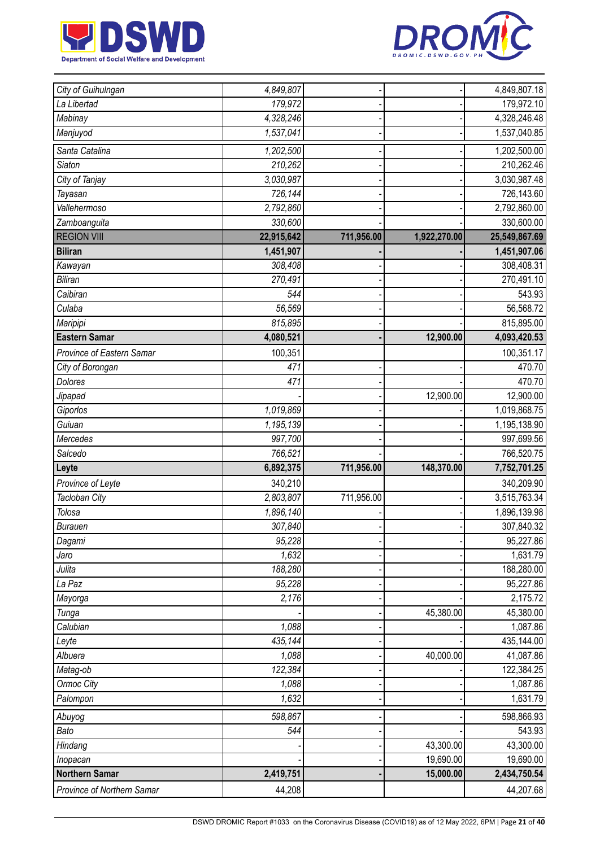



| City of Guihulngan        | 4,849,807  |            |              | 4,849,807.18  |
|---------------------------|------------|------------|--------------|---------------|
| La Libertad               | 179,972    |            |              | 179,972.10    |
| Mabinay                   | 4,328,246  |            |              | 4,328,246.48  |
| Manjuyod                  | 1,537,041  |            |              | 1,537,040.85  |
| Santa Catalina            | 1,202,500  |            |              | 1,202,500.00  |
| <b>Siaton</b>             | 210,262    |            |              | 210,262.46    |
| City of Tanjay            | 3,030,987  |            |              | 3,030,987.48  |
| Tayasan                   | 726,144    |            |              | 726,143.60    |
| Vallehermoso              | 2,792,860  |            |              | 2,792,860.00  |
| Zamboanguita              | 330,600    |            |              | 330,600.00    |
| <b>REGION VIII</b>        | 22,915,642 | 711,956.00 | 1,922,270.00 | 25,549,867.69 |
| <b>Biliran</b>            | 1,451,907  |            |              | 1,451,907.06  |
| Kawayan                   | 308,408    |            |              | 308,408.31    |
| <b>Biliran</b>            | 270,491    |            |              | 270,491.10    |
| Caibiran                  | 544        |            |              | 543.93        |
| Culaba                    | 56,569     |            |              | 56,568.72     |
| Maripipi                  | 815,895    |            |              | 815,895.00    |
| <b>Eastern Samar</b>      | 4,080,521  |            | 12,900.00    | 4,093,420.53  |
| Province of Eastern Samar | 100,351    |            |              | 100,351.17    |
| City of Borongan          | 471        |            |              | 470.70        |
| <b>Dolores</b>            | 471        |            |              | 470.70        |
| Jipapad                   |            |            | 12,900.00    | 12,900.00     |
| Giporlos                  | 1,019,869  |            |              | 1,019,868.75  |
| Guiuan                    | 1,195,139  |            |              | 1,195,138.90  |
| Mercedes                  | 997,700    |            |              | 997,699.56    |
| Salcedo                   | 766,521    |            |              | 766,520.75    |
| Leyte                     | 6,892,375  | 711,956.00 | 148,370.00   | 7,752,701.25  |
| Province of Leyte         | 340,210    |            |              | 340,209.90    |
| Tacloban City             | 2,803,807  | 711,956.00 |              | 3,515,763.34  |
| Tolosa                    | 1,896,140  |            |              | 1,896,139.98  |
| <b>Burauen</b>            | 307,840    |            |              | 307,840.32    |
| Dagami                    | 95,228     |            |              | 95,227.86     |
| Jaro                      | 1,632      |            |              | 1,631.79      |
| Julita                    | 188,280    |            |              | 188,280.00    |
| La Paz                    | 95,228     |            |              | 95,227.86     |
| Mayorga                   | 2,176      |            |              | 2,175.72      |
| Tunga                     |            |            | 45,380.00    | 45,380.00     |
| Calubian                  | 1,088      |            |              | 1,087.86      |
| Leyte                     | 435,144    |            |              | 435,144.00    |
| Albuera                   | 1,088      |            | 40,000.00    | 41,087.86     |
| Matag-ob                  | 122,384    |            |              | 122,384.25    |
| Ormoc City                | 1,088      |            |              | 1,087.86      |
| Palompon                  | 1,632      |            |              | 1,631.79      |
| Abuyog                    | 598,867    |            |              | 598,866.93    |
| Bato                      | 544        |            |              | 543.93        |
| Hindang                   |            |            | 43,300.00    | 43,300.00     |
| Inopacan                  |            |            | 19,690.00    | 19,690.00     |
| <b>Northern Samar</b>     |            |            |              |               |
|                           | 2,419,751  |            | 15,000.00    | 2,434,750.54  |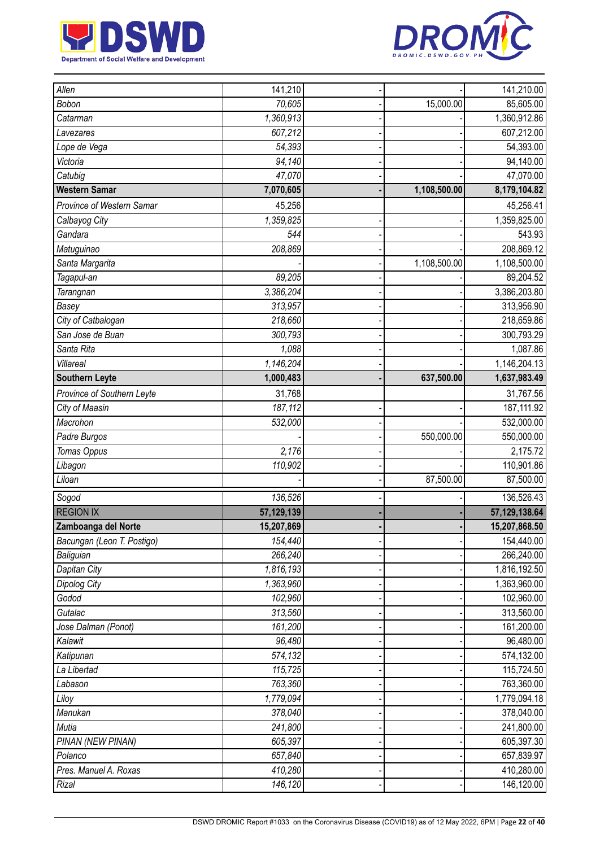



| Allen                      | 141,210    |              | 141,210.00                |
|----------------------------|------------|--------------|---------------------------|
| Bobon                      | 70,605     | 15,000.00    | 85,605.00                 |
| Catarman                   | 1,360,913  |              | 1,360,912.86              |
|                            | 607,212    |              | 607,212.00                |
| Lavezares<br>Lope de Vega  | 54,393     |              | 54,393.00                 |
| Victoria                   | 94,140     |              |                           |
| Catubig                    | 47,070     |              | 94,140.00<br>47,070.00    |
| <b>Western Samar</b>       |            |              |                           |
|                            | 7,070,605  | 1,108,500.00 | 8,179,104.82              |
| Province of Western Samar  | 45,256     |              | 45,256.41                 |
| Calbayog City              | 1,359,825  |              | 1,359,825.00              |
| Gandara                    | 544        |              | 543.93                    |
| Matuguinao                 | 208,869    |              | 208,869.12                |
| Santa Margarita            |            | 1,108,500.00 | 1,108,500.00              |
| Tagapul-an                 | 89,205     |              | 89,204.52                 |
| Tarangnan                  | 3,386,204  |              | 3,386,203.80              |
| Basey                      | 313,957    |              | 313,956.90                |
| City of Catbalogan         | 218,660    |              | 218,659.86                |
| San Jose de Buan           | 300,793    |              | 300,793.29                |
| Santa Rita                 | 1,088      |              | 1,087.86                  |
| Villareal                  | 1,146,204  |              | $\overline{1,}146,204.13$ |
| <b>Southern Leyte</b>      | 1,000,483  | 637,500.00   | 1,637,983.49              |
| Province of Southern Leyte | 31,768     |              | 31,767.56                 |
| City of Maasin             | 187,112    |              | 187, 111.92               |
| Macrohon                   | 532,000    |              | 532,000.00                |
| Padre Burgos               |            | 550,000.00   | 550,000.00                |
| Tomas Oppus                | 2,176      |              | 2,175.72                  |
| Libagon                    | 110,902    |              | 110,901.86                |
| Liloan                     |            | 87,500.00    | 87,500.00                 |
| Sogod                      | 136,526    |              | 136,526.43                |
| <b>REGION IX</b>           | 57,129,139 |              | 57,129,138.64             |
| Zamboanga del Norte        | 15,207,869 |              | 15,207,868.50             |
| Bacungan (Leon T. Postigo) | 154,440    |              | 154,440.00                |
| Baliguian                  | 266,240    |              | 266,240.00                |
| Dapitan City               | 1,816,193  |              | 1,816,192.50              |
| Dipolog City               | 1,363,960  |              | 1,363,960.00              |
| Godod                      | 102,960    |              | 102,960.00                |
| Gutalac                    | 313,560    |              | 313,560.00                |
| Jose Dalman (Ponot)        | 161,200    |              | 161,200.00                |
| Kalawit                    | 96,480     |              | 96,480.00                 |
| Katipunan                  | 574,132    |              | 574,132.00                |
| La Libertad                | 115,725    |              | 115,724.50                |
| Labason                    | 763,360    |              | 763,360.00                |
| Liloy                      | 1,779,094  |              | 1,779,094.18              |
| Manukan                    | 378,040    |              | 378,040.00                |
| Mutia                      | 241,800    |              | 241,800.00                |
| PINAN (NEW PINAN)          | 605,397    |              | 605,397.30                |
| Polanco                    | 657,840    |              | 657,839.97                |
| Pres. Manuel A. Roxas      | 410,280    |              | 410,280.00                |
| Rizal                      | 146,120    |              | 146,120.00                |
|                            |            |              |                           |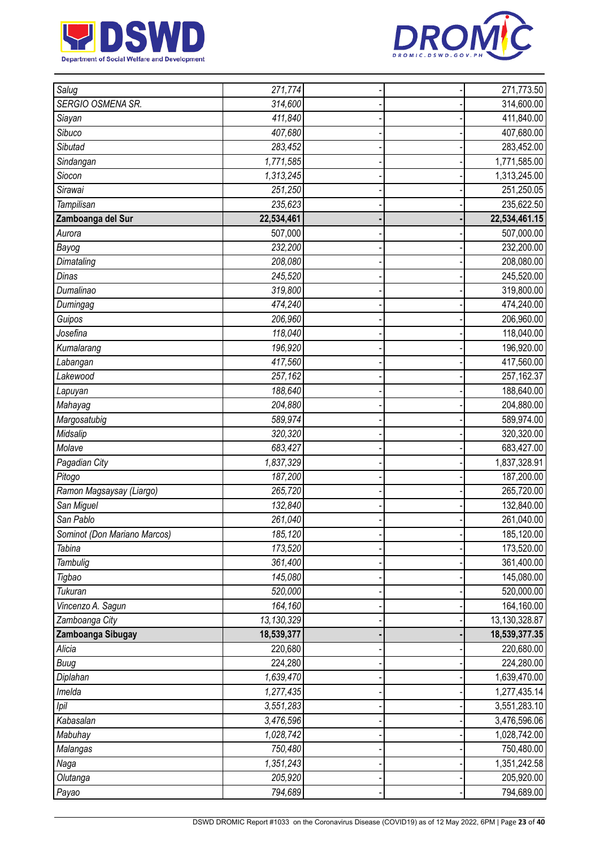



| Salug                        | 271,774    |  | 271,773.50    |
|------------------------------|------------|--|---------------|
| SERGIO OSMENA SR.            | 314,600    |  | 314,600.00    |
| Siayan                       | 411,840    |  | 411,840.00    |
| Sibuco                       | 407,680    |  | 407,680.00    |
| Sibutad                      | 283,452    |  | 283,452.00    |
| Sindangan                    | 1,771,585  |  | 1,771,585.00  |
| Siocon                       | 1,313,245  |  | 1,313,245.00  |
| Sirawai                      | 251,250    |  | 251,250.05    |
| Tampilisan                   | 235,623    |  | 235,622.50    |
| Zamboanga del Sur            | 22,534,461 |  | 22,534,461.15 |
| Aurora                       | 507,000    |  | 507,000.00    |
| Bayog                        | 232,200    |  | 232,200.00    |
| Dimataling                   | 208,080    |  | 208,080.00    |
| Dinas                        | 245,520    |  | 245,520.00    |
| Dumalinao                    | 319,800    |  | 319,800.00    |
| Dumingag                     | 474,240    |  | 474,240.00    |
| Guipos                       | 206,960    |  | 206,960.00    |
| Josefina                     | 118,040    |  | 118,040.00    |
| Kumalarang                   | 196,920    |  | 196,920.00    |
| Labangan                     | 417,560    |  | 417,560.00    |
| Lakewood                     | 257,162    |  | 257,162.37    |
| Lapuyan                      | 188,640    |  | 188,640.00    |
| Mahayag                      | 204,880    |  | 204,880.00    |
| Margosatubig                 | 589,974    |  | 589,974.00    |
| Midsalip                     | 320,320    |  | 320,320.00    |
| Molave                       | 683,427    |  | 683,427.00    |
| Pagadian City                | 1,837,329  |  | 1,837,328.91  |
| Pitogo                       | 187,200    |  | 187,200.00    |
| Ramon Magsaysay (Liargo)     | 265,720    |  | 265,720.00    |
| San Miguel                   | 132,840    |  | 132,840.00    |
| San Pablo                    | 261,040    |  | 261,040.00    |
| Sominot (Don Mariano Marcos) | 185,120    |  | 185,120.00    |
| Tabina                       | 173,520    |  | 173,520.00    |
| Tambulig                     | 361,400    |  | 361,400.00    |
| Tigbao                       | 145,080    |  | 145,080.00    |
| Tukuran                      | 520,000    |  | 520,000.00    |
| Vincenzo A. Sagun            | 164,160    |  | 164,160.00    |
| Zamboanga City               | 13,130,329 |  | 13,130,328.87 |
| Zamboanga Sibugay            | 18,539,377 |  | 18,539,377.35 |
| Alicia                       | 220,680    |  | 220,680.00    |
| <b>Buug</b>                  | 224,280    |  | 224,280.00    |
| Diplahan                     | 1,639,470  |  | 1,639,470.00  |
| Imelda                       | 1,277,435  |  | 1,277,435.14  |
| Ipil                         | 3,551,283  |  | 3,551,283.10  |
| Kabasalan                    | 3,476,596  |  | 3,476,596.06  |
| Mabuhay                      | 1,028,742  |  | 1,028,742.00  |
| Malangas                     | 750,480    |  | 750,480.00    |
| Naga                         | 1,351,243  |  | 1,351,242.58  |
| Olutanga                     | 205,920    |  | 205,920.00    |
| Payao                        | 794,689    |  | 794,689.00    |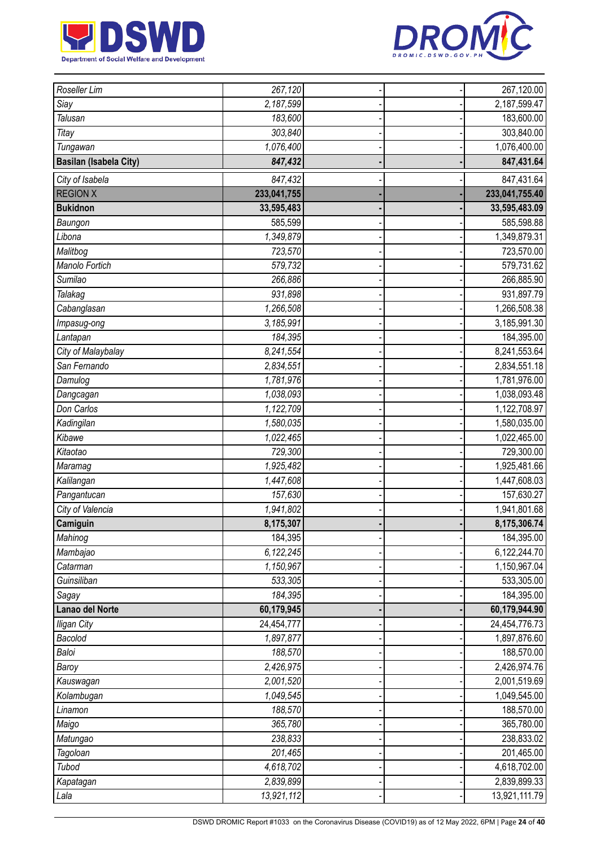



| Roseller Lim                  | 267,120     |  | 267,120.00     |
|-------------------------------|-------------|--|----------------|
| Siay                          | 2,187,599   |  | 2,187,599.47   |
| <b>Talusan</b>                | 183,600     |  | 183,600.00     |
| Titay                         | 303,840     |  | 303,840.00     |
| Tungawan                      | 1,076,400   |  | 1,076,400.00   |
| <b>Basilan (Isabela City)</b> | 847,432     |  | 847,431.64     |
| City of Isabela               | 847,432     |  | 847,431.64     |
| <b>REGION X</b>               | 233,041,755 |  | 233,041,755.40 |
| <b>Bukidnon</b>               | 33,595,483  |  | 33,595,483.09  |
| Baungon                       | 585,599     |  | 585,598.88     |
| Libona                        | 1,349,879   |  | 1,349,879.31   |
| Malitbog                      | 723,570     |  | 723,570.00     |
| Manolo Fortich                | 579,732     |  | 579,731.62     |
| Sumilao                       | 266,886     |  | 266,885.90     |
| Talakag                       | 931,898     |  | 931,897.79     |
| Cabanglasan                   | 1,266,508   |  | 1,266,508.38   |
| Impasug-ong                   | 3,185,991   |  | 3,185,991.30   |
| Lantapan                      | 184,395     |  | 184,395.00     |
| City of Malaybalay            | 8,241,554   |  | 8,241,553.64   |
| San Fernando                  | 2,834,551   |  | 2,834,551.18   |
| Damulog                       | 1,781,976   |  | 1,781,976.00   |
| Dangcagan                     | 1,038,093   |  | 1,038,093.48   |
| Don Carlos                    | 1,122,709   |  | 1,122,708.97   |
| Kadingilan                    | 1,580,035   |  | 1,580,035.00   |
| Kibawe                        | 1,022,465   |  | 1,022,465.00   |
| Kitaotao                      | 729,300     |  | 729,300.00     |
| Maramag                       | 1,925,482   |  | 1,925,481.66   |
| Kalilangan                    | 1,447,608   |  | 1,447,608.03   |
| Pangantucan                   | 157,630     |  | 157,630.27     |
| City of Valencia              | 1,941,802   |  | 1,941,801.68   |
| Camiguin                      | 8,175,307   |  | 8,175,306.74   |
| Mahinog                       | 184,395     |  | 184,395.00     |
| Mambajao                      | 6,122,245   |  | 6,122,244.70   |
| Catarman                      | 1,150,967   |  | 1,150,967.04   |
| Guinsiliban                   | 533,305     |  | 533,305.00     |
| Sagay                         | 184,395     |  | 184,395.00     |
| Lanao del Norte               | 60,179,945  |  | 60,179,944.90  |
| <b>Iligan City</b>            | 24,454,777  |  | 24,454,776.73  |
| Bacolod                       | 1,897,877   |  | 1,897,876.60   |
| Baloi                         | 188,570     |  | 188,570.00     |
| Baroy                         | 2,426,975   |  | 2,426,974.76   |
| Kauswagan                     | 2,001,520   |  | 2,001,519.69   |
| Kolambugan                    | 1,049,545   |  | 1,049,545.00   |
| Linamon                       | 188,570     |  | 188,570.00     |
| Maigo                         | 365,780     |  | 365,780.00     |
| Matungao                      | 238,833     |  | 238,833.02     |
| Tagoloan                      | 201,465     |  | 201,465.00     |
| Tubod                         | 4,618,702   |  | 4,618,702.00   |
| Kapatagan                     | 2,839,899   |  | 2,839,899.33   |
| Lala                          | 13,921,112  |  | 13,921,111.79  |
|                               |             |  |                |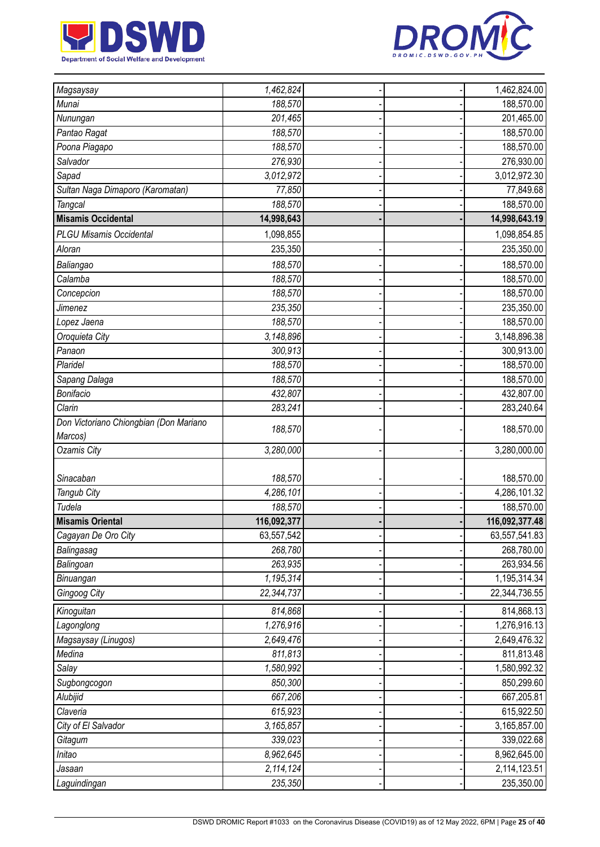



| Magsaysay                              | 1,462,824   |  | 1,462,824.00             |
|----------------------------------------|-------------|--|--------------------------|
| Munai                                  | 188,570     |  | 188,570.00               |
| Nunungan                               | 201,465     |  | 201,465.00               |
| Pantao Ragat                           | 188,570     |  | 188,570.00               |
| Poona Piagapo                          | 188,570     |  | 188,570.00               |
| Salvador                               | 276,930     |  | 276,930.00               |
| Sapad                                  | 3,012,972   |  | 3,012,972.30             |
| Sultan Naga Dimaporo (Karomatan)       | 77,850      |  | 77,849.68                |
| <b>Tangcal</b>                         | 188,570     |  | 188,570.00               |
| <b>Misamis Occidental</b>              | 14,998,643  |  | 14,998,643.19            |
| <b>PLGU Misamis Occidental</b>         | 1,098,855   |  | 1,098,854.85             |
| Aloran                                 | 235,350     |  | 235,350.00               |
| Baliangao                              | 188,570     |  | 188,570.00               |
| Calamba                                | 188,570     |  | 188,570.00               |
| Concepcion                             | 188,570     |  | 188,570.00               |
| Jimenez                                | 235,350     |  | 235,350.00               |
| Lopez Jaena                            | 188,570     |  | 188,570.00               |
| Oroquieta City                         | 3,148,896   |  | 3,148,896.38             |
| Panaon                                 | 300,913     |  | 300,913.00               |
| Plaridel                               | 188,570     |  | 188,570.00               |
|                                        | 188,570     |  | 188,570.00               |
| Sapang Dalaga<br>Bonifacio             | 432,807     |  |                          |
| Clarin                                 | 283,241     |  | 432,807.00<br>283,240.64 |
| Don Victoriano Chiongbian (Don Mariano |             |  |                          |
| Marcos)                                | 188,570     |  | 188,570.00               |
| <b>Ozamis City</b>                     | 3,280,000   |  | 3,280,000.00             |
|                                        |             |  |                          |
| Sinacaban                              | 188,570     |  | 188,570.00               |
| Tangub City                            | 4,286,101   |  | 4,286,101.32             |
| Tudela                                 | 188,570     |  | 188,570.00               |
| <b>Misamis Oriental</b>                | 116,092,377 |  | 116,092,377.48           |
| Cagayan De Oro City                    | 63,557,542  |  | 63,557,541.83            |
| Balingasag                             | 268,780     |  | 268,780.00               |
| Balingoan                              | 263,935     |  | 263,934.56               |
| Binuangan                              | 1,195,314   |  | 1,195,314.34             |
| Gingoog City                           | 22,344,737  |  | 22,344,736.55            |
| Kinoguitan                             | 814,868     |  | 814,868.13               |
| Lagonglong                             | 1,276,916   |  | 1,276,916.13             |
| Magsaysay (Linugos)                    | 2,649,476   |  | 2,649,476.32             |
| Medina                                 | 811,813     |  | 811,813.48               |
| Salay                                  | 1,580,992   |  | 1,580,992.32             |
| Sugbongcogon                           | 850,300     |  | 850,299.60               |
| Alubijid                               | 667,206     |  | 667,205.81               |
| Claveria                               | 615,923     |  | 615,922.50               |
| City of El Salvador                    | 3,165,857   |  | 3,165,857.00             |
| Gitagum                                | 339,023     |  | 339,022.68               |
| Initao                                 | 8,962,645   |  | 8,962,645.00             |
| Jasaan                                 | 2,114,124   |  | 2,114,123.51             |
| Laguindingan                           | 235,350     |  | 235,350.00               |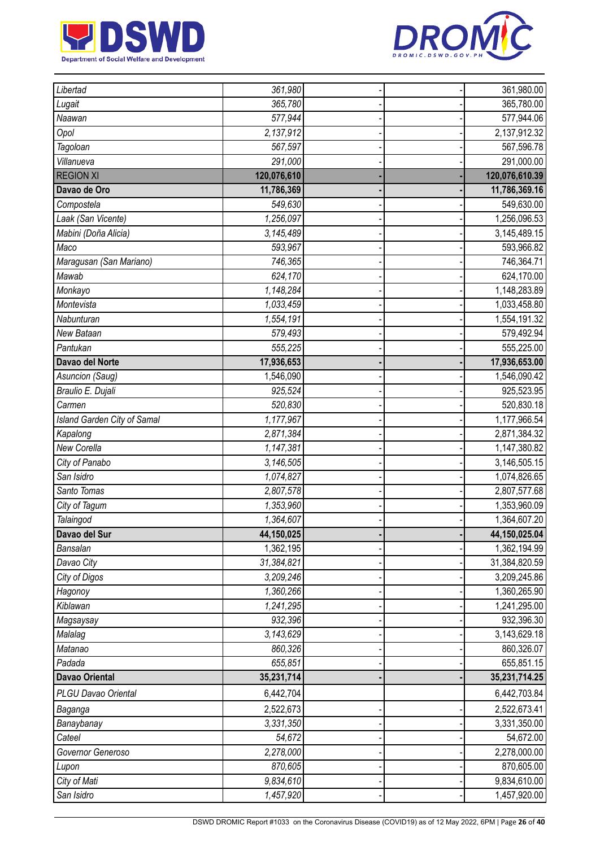



| Libertad                    | 361,980     |  | 361,980.00     |
|-----------------------------|-------------|--|----------------|
| Lugait                      | 365,780     |  | 365,780.00     |
| Naawan                      | 577,944     |  | 577,944.06     |
| Opol                        | 2,137,912   |  | 2,137,912.32   |
| Tagoloan                    | 567,597     |  | 567,596.78     |
| Villanueva                  | 291,000     |  | 291,000.00     |
| <b>REGION XI</b>            | 120,076,610 |  | 120,076,610.39 |
| Davao de Oro                | 11,786,369  |  | 11,786,369.16  |
| Compostela                  | 549,630     |  | 549,630.00     |
| Laak (San Vicente)          | 1,256,097   |  | 1,256,096.53   |
| Mabini (Doña Alicia)        | 3,145,489   |  | 3,145,489.15   |
| Maco                        | 593,967     |  | 593,966.82     |
| Maragusan (San Mariano)     | 746,365     |  | 746,364.71     |
| Mawab                       | 624,170     |  | 624,170.00     |
| Monkayo                     | 1,148,284   |  | 1,148,283.89   |
| Montevista                  | 1,033,459   |  | 1,033,458.80   |
| Nabunturan                  | 1,554,191   |  | 1,554,191.32   |
| New Bataan                  | 579,493     |  | 579,492.94     |
| Pantukan                    | 555,225     |  | 555,225.00     |
| Davao del Norte             | 17,936,653  |  | 17,936,653.00  |
| Asuncion (Saug)             | 1,546,090   |  | 1,546,090.42   |
| Braulio E. Dujali           | 925,524     |  | 925,523.95     |
| Carmen                      | 520,830     |  | 520,830.18     |
| Island Garden City of Samal | 1,177,967   |  | 1,177,966.54   |
| Kapalong                    | 2,871,384   |  | 2,871,384.32   |
| New Corella                 | 1,147,381   |  | 1,147,380.82   |
| City of Panabo              | 3,146,505   |  | 3,146,505.15   |
| San Isidro                  | 1,074,827   |  | 1,074,826.65   |
| Santo Tomas                 | 2,807,578   |  | 2,807,577.68   |
| City of Tagum               | 1,353,960   |  | 1,353,960.09   |
| Talaingod                   | 1,364,607   |  | 1,364,607.20   |
| Davao del Sur               | 44,150,025  |  | 44,150,025.04  |
| Bansalan                    | 1,362,195   |  | 1,362,194.99   |
| Davao City                  | 31,384,821  |  | 31,384,820.59  |
| City of Digos               | 3,209,246   |  | 3,209,245.86   |
| Hagonoy                     | 1,360,266   |  | 1,360,265.90   |
| Kiblawan                    | 1,241,295   |  | 1,241,295.00   |
| Magsaysay                   | 932,396     |  | 932,396.30     |
| Malalag                     | 3,143,629   |  | 3,143,629.18   |
| Matanao                     | 860,326     |  | 860,326.07     |
| Padada                      | 655,851     |  | 655,851.15     |
| <b>Davao Oriental</b>       | 35,231,714  |  | 35,231,714.25  |
| PLGU Davao Oriental         | 6,442,704   |  | 6,442,703.84   |
| Baganga                     | 2,522,673   |  | 2,522,673.41   |
| Banaybanay                  | 3,331,350   |  | 3,331,350.00   |
| Cateel                      | 54,672      |  | 54,672.00      |
| Governor Generoso           | 2,278,000   |  | 2,278,000.00   |
| Lupon                       | 870,605     |  | 870,605.00     |
| City of Mati                | 9,834,610   |  | 9,834,610.00   |
| San Isidro                  | 1,457,920   |  | 1,457,920.00   |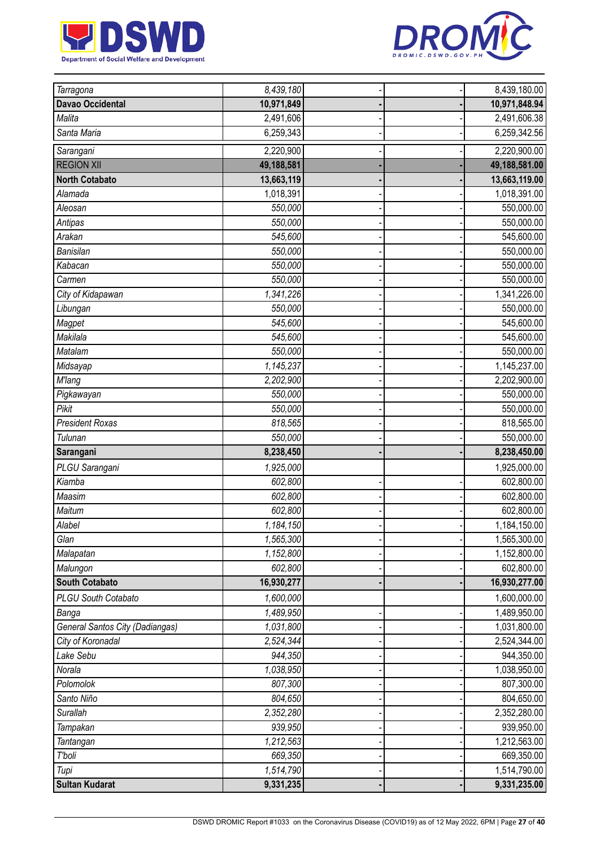



| Tarragona                              | 8,439,180  |  | 8,439,180.00  |
|----------------------------------------|------------|--|---------------|
| <b>Davao Occidental</b>                | 10,971,849 |  | 10,971,848.94 |
| Malita                                 | 2,491,606  |  | 2,491,606.38  |
| Santa Maria                            | 6,259,343  |  | 6,259,342.56  |
| Sarangani                              | 2,220,900  |  | 2,220,900.00  |
| <b>REGION XII</b>                      | 49,188,581 |  | 49,188,581.00 |
| <b>North Cotabato</b>                  | 13,663,119 |  | 13,663,119.00 |
| Alamada                                | 1,018,391  |  | 1,018,391.00  |
| Aleosan                                | 550,000    |  | 550,000.00    |
| Antipas                                | 550,000    |  | 550,000.00    |
| Arakan                                 | 545,600    |  | 545,600.00    |
| <b>Banisilan</b>                       | 550,000    |  | 550,000.00    |
| Kabacan                                | 550,000    |  | 550,000.00    |
| Carmen                                 | 550,000    |  | 550,000.00    |
| City of Kidapawan                      | 1,341,226  |  | 1,341,226.00  |
| Libungan                               | 550,000    |  | 550,000.00    |
| Magpet                                 | 545,600    |  | 545,600.00    |
| Makilala                               | 545,600    |  | 545,600.00    |
| Matalam                                | 550,000    |  | 550,000.00    |
| Midsayap                               | 1,145,237  |  | 1,145,237.00  |
| <b>M'lang</b>                          | 2,202,900  |  | 2,202,900.00  |
| Pigkawayan                             | 550,000    |  | 550,000.00    |
| Pikit                                  | 550,000    |  | 550,000.00    |
| <b>President Roxas</b>                 | 818,565    |  | 818,565.00    |
| Tulunan                                | 550,000    |  | 550,000.00    |
| Sarangani                              | 8,238,450  |  | 8,238,450.00  |
| PLGU Sarangani                         | 1,925,000  |  | 1,925,000.00  |
| Kiamba                                 | 602,800    |  | 602,800.00    |
| Maasim                                 | 602,800    |  | 602,800.00    |
| Maitum                                 | 602,800    |  | 602,800.00    |
| Alabel                                 | 1,184,150  |  | 1,184,150.00  |
| Glan                                   | 1,565,300  |  | 1,565,300.00  |
| Malapatan                              | 1,152,800  |  | 1,152,800.00  |
| Malungon                               | 602,800    |  | 602,800.00    |
| <b>South Cotabato</b>                  | 16,930,277 |  | 16,930,277.00 |
| PLGU South Cotabato                    | 1,600,000  |  | 1,600,000.00  |
| Banga                                  | 1,489,950  |  | 1,489,950.00  |
| <b>General Santos City (Dadiangas)</b> | 1,031,800  |  | 1,031,800.00  |
| City of Koronadal                      | 2,524,344  |  | 2,524,344.00  |
| Lake Sebu                              | 944,350    |  | 944,350.00    |
| Norala                                 | 1,038,950  |  | 1,038,950.00  |
| Polomolok                              | 807,300    |  | 807,300.00    |
| Santo Niño                             | 804,650    |  | 804,650.00    |
| <b>Surallah</b>                        | 2,352,280  |  | 2,352,280.00  |
| Tampakan                               | 939,950    |  | 939,950.00    |
| Tantangan                              | 1,212,563  |  | 1,212,563.00  |
| T'boli                                 | 669,350    |  | 669,350.00    |
| Tupi                                   | 1,514,790  |  | 1,514,790.00  |
| <b>Sultan Kudarat</b>                  | 9,331,235  |  | 9,331,235.00  |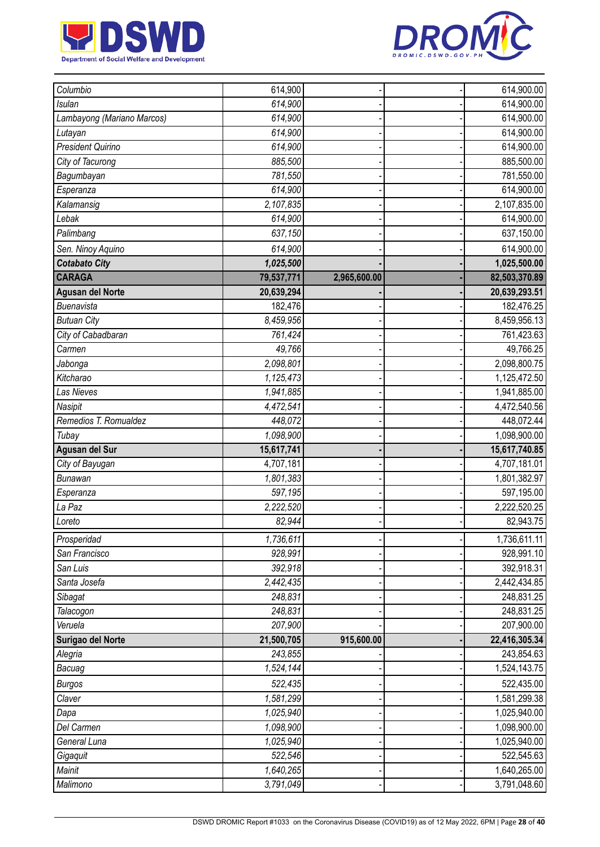



| Columbio                   | 614,900    |              | 614,900.00    |
|----------------------------|------------|--------------|---------------|
| <b>Isulan</b>              | 614,900    |              | 614,900.00    |
| Lambayong (Mariano Marcos) | 614,900    |              | 614,900.00    |
| Lutayan                    | 614,900    |              | 614,900.00    |
| <b>President Quirino</b>   | 614,900    |              | 614,900.00    |
| City of Tacurong           | 885,500    |              | 885,500.00    |
| Bagumbayan                 | 781,550    |              | 781,550.00    |
| Esperanza                  | 614,900    |              | 614,900.00    |
| Kalamansig                 | 2,107,835  |              | 2,107,835.00  |
| Lebak                      | 614,900    |              | 614,900.00    |
| Palimbang                  | 637,150    |              | 637,150.00    |
| Sen. Ninoy Aquino          | 614,900    |              | 614,900.00    |
| <b>Cotabato City</b>       | 1,025,500  |              | 1,025,500.00  |
| <b>CARAGA</b>              | 79,537,771 | 2,965,600.00 | 82,503,370.89 |
| <b>Agusan del Norte</b>    | 20,639,294 |              | 20,639,293.51 |
| Buenavista                 | 182,476    |              | 182,476.25    |
| <b>Butuan City</b>         | 8,459,956  |              | 8,459,956.13  |
| City of Cabadbaran         | 761,424    |              | 761,423.63    |
| Carmen                     | 49,766     |              | 49,766.25     |
| Jabonga                    | 2,098,801  |              | 2,098,800.75  |
| Kitcharao                  | 1,125,473  |              | 1,125,472.50  |
| <b>Las Nieves</b>          | 1,941,885  |              | 1,941,885.00  |
| Nasipit                    | 4,472,541  |              | 4,472,540.56  |
| Remedios T. Romualdez      | 448,072    |              | 448,072.44    |
| Tubay                      | 1,098,900  |              | 1,098,900.00  |
| Agusan del Sur             | 15,617,741 |              | 15,617,740.85 |
| City of Bayugan            | 4,707,181  |              | 4,707,181.01  |
| <b>Bunawan</b>             | 1,801,383  |              | 1,801,382.97  |
| Esperanza                  | 597,195    |              | 597,195.00    |
| La Paz                     | 2,222,520  |              | 2,222,520.25  |
| Loreto                     | 82,944     |              | 82,943.75     |
| Prosperidad                | 1,736,611  |              | 1,736,611.11  |
| San Francisco              | 928,991    |              | 928,991.10    |
| San Luis                   | 392,918    |              | 392,918.31    |
| Santa Josefa               | 2,442,435  |              | 2,442,434.85  |
| Sibagat                    | 248,831    |              | 248,831.25    |
| Talacogon                  | 248,831    |              | 248,831.25    |
| Veruela                    | 207,900    |              | 207,900.00    |
| Surigao del Norte          | 21,500,705 | 915,600.00   | 22,416,305.34 |
| Alegria                    | 243,855    |              | 243,854.63    |
| Bacuag                     | 1,524,144  |              | 1,524,143.75  |
| <b>Burgos</b>              | 522,435    |              | 522,435.00    |
| Claver                     | 1,581,299  |              | 1,581,299.38  |
| Dapa                       | 1,025,940  |              | 1,025,940.00  |
| Del Carmen                 | 1,098,900  |              | 1,098,900.00  |
| General Luna               | 1,025,940  |              | 1,025,940.00  |
| Gigaquit                   | 522,546    |              | 522,545.63    |
| Mainit                     | 1,640,265  |              | 1,640,265.00  |
| Malimono                   | 3,791,049  |              | 3,791,048.60  |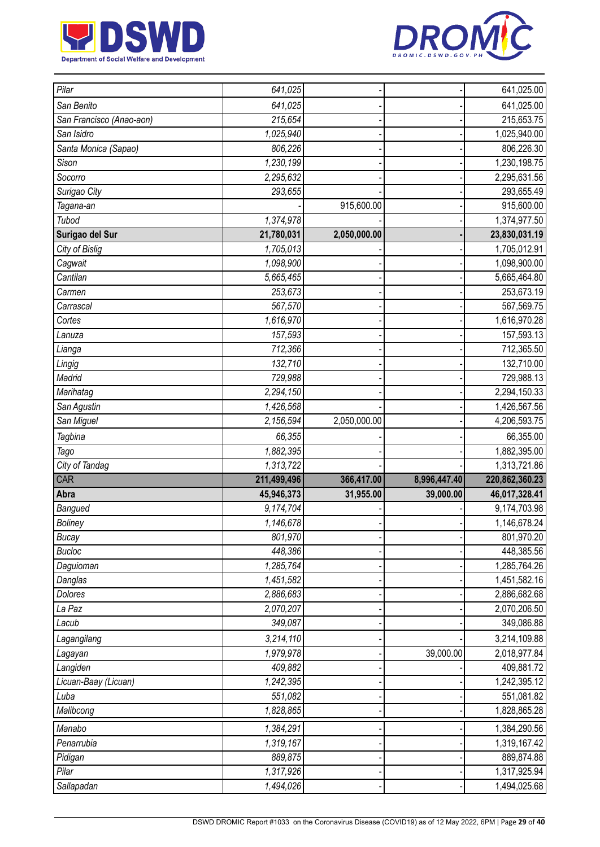



| Pilar                    | 641,025     |              |              | 641,025.00     |
|--------------------------|-------------|--------------|--------------|----------------|
| San Benito               | 641,025     |              |              | 641,025.00     |
| San Francisco (Anao-aon) | 215,654     |              |              | 215,653.75     |
| San Isidro               | 1,025,940   |              |              | 1,025,940.00   |
| Santa Monica (Sapao)     | 806,226     |              |              | 806,226.30     |
| Sison                    | 1,230,199   |              |              | 1,230,198.75   |
| Socorro                  | 2,295,632   |              |              | 2,295,631.56   |
| Surigao City             | 293,655     |              |              | 293,655.49     |
| Tagana-an                |             | 915,600.00   |              | 915,600.00     |
| Tubod                    | 1,374,978   |              |              | 1,374,977.50   |
| Surigao del Sur          | 21,780,031  | 2,050,000.00 |              | 23,830,031.19  |
| City of Bislig           | 1,705,013   |              |              | 1,705,012.91   |
| Cagwait                  | 1,098,900   |              |              | 1,098,900.00   |
| Cantilan                 | 5,665,465   |              |              | 5,665,464.80   |
| Carmen                   | 253,673     |              |              | 253,673.19     |
| Carrascal                | 567,570     |              |              | 567,569.75     |
| Cortes                   | 1,616,970   |              |              | 1,616,970.28   |
| Lanuza                   | 157,593     |              |              | 157,593.13     |
| Lianga                   | 712,366     |              |              | 712,365.50     |
| Lingig                   | 132,710     |              |              | 132,710.00     |
| Madrid                   | 729,988     |              |              | 729,988.13     |
| Marihatag                | 2,294,150   |              |              | 2,294,150.33   |
| San Agustin              | 1,426,568   |              |              | 1,426,567.56   |
| San Miguel               | 2,156,594   | 2,050,000.00 |              | 4,206,593.75   |
|                          |             |              |              |                |
| Tagbina                  | 66,355      |              |              | 66,355.00      |
| Tago                     | 1,882,395   |              |              | 1,882,395.00   |
| City of Tandag           | 1,313,722   |              |              | 1,313,721.86   |
| CAR                      | 211,499,496 | 366,417.00   | 8,996,447.40 | 220,862,360.23 |
| Abra                     | 45,946,373  | 31,955.00    | 39,000.00    | 46,017,328.41  |
| Bangued                  | 9,174,704   |              |              | 9,174,703.98   |
| <b>Boliney</b>           | 1,146,678   |              |              | 1,146,678.24   |
| <b>Bucay</b>             | 801,970     |              |              | 801,970.20     |
| <b>Bucloc</b>            | 448,386     |              |              | 448,385.56     |
| Daguioman                | 1,285,764   |              |              | 1,285,764.26   |
| Danglas                  | 1,451,582   |              |              | 1,451,582.16   |
| Dolores                  | 2,886,683   |              |              | 2,886,682.68   |
| La Paz                   | 2,070,207   |              |              | 2,070,206.50   |
| Lacub                    | 349,087     |              |              | 349,086.88     |
| Lagangilang              | 3,214,110   |              |              | 3,214,109.88   |
| Lagayan                  | 1,979,978   |              | 39,000.00    | 2,018,977.84   |
| Langiden                 | 409,882     |              |              | 409,881.72     |
| Licuan-Baay (Licuan)     | 1,242,395   |              |              | 1,242,395.12   |
| Luba                     | 551,082     |              |              | 551,081.82     |
| Malibcong                | 1,828,865   |              |              | 1,828,865.28   |
| Manabo                   | 1,384,291   |              |              | 1,384,290.56   |
| Penarrubia               | 1,319,167   |              |              | 1,319,167.42   |
| Pidigan                  | 889,875     |              |              | 889,874.88     |
| Pilar                    | 1,317,926   |              |              | 1,317,925.94   |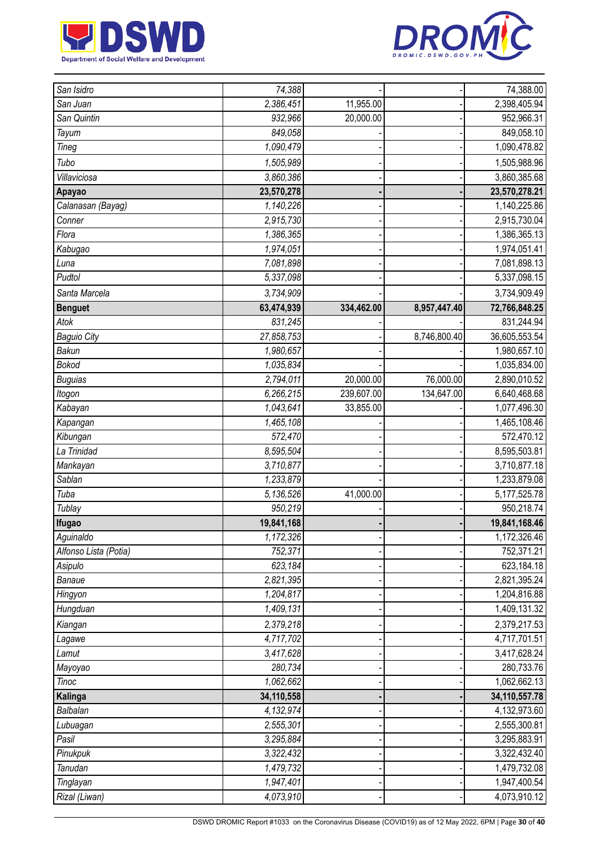



| San Isidro            | 74,388     |            |              | 74,388.00       |
|-----------------------|------------|------------|--------------|-----------------|
| San Juan              | 2,386,451  | 11,955.00  |              | 2,398,405.94    |
| San Quintin           | 932,966    | 20,000.00  |              | 952,966.31      |
| Tayum                 | 849,058    |            |              | 849,058.10      |
| Tineg                 | 1,090,479  |            |              | 1,090,478.82    |
| Tubo                  | 1,505,989  |            |              | 1,505,988.96    |
| Villaviciosa          | 3,860,386  |            |              | 3,860,385.68    |
| Apayao                | 23,570,278 |            |              | 23,570,278.21   |
| Calanasan (Bayag)     | 1,140,226  |            |              | 1,140,225.86    |
| Conner                | 2,915,730  |            |              | 2,915,730.04    |
| Flora                 | 1,386,365  |            |              | 1,386,365.13    |
| Kabugao               | 1,974,051  |            |              | 1,974,051.41    |
| Luna                  | 7,081,898  |            |              | 7,081,898.13    |
| Pudtol                | 5,337,098  |            |              | 5,337,098.15    |
| Santa Marcela         | 3,734,909  |            |              | 3,734,909.49    |
| <b>Benguet</b>        | 63,474,939 | 334,462.00 | 8,957,447.40 | 72,766,848.25   |
| Atok                  | 831,245    |            |              | 831,244.94      |
| <b>Baguio City</b>    | 27,858,753 |            | 8,746,800.40 | 36,605,553.54   |
| Bakun                 | 1,980,657  |            |              | 1,980,657.10    |
| <b>Bokod</b>          | 1,035,834  |            |              | 1,035,834.00    |
| <b>Buguias</b>        | 2,794,011  | 20,000.00  | 76,000.00    | 2,890,010.52    |
| Itogon                | 6,266,215  | 239,607.00 | 134,647.00   | 6,640,468.68    |
| Kabayan               | 1,043,641  | 33,855.00  |              | 1,077,496.30    |
| Kapangan              | 1,465,108  |            |              | 1,465,108.46    |
| Kibungan              | 572,470    |            |              | 572,470.12      |
| La Trinidad           | 8,595,504  |            |              | 8,595,503.81    |
| Mankayan              | 3,710,877  |            |              | 3,710,877.18    |
| <b>Sablan</b>         | 1,233,879  |            |              | 1,233,879.08    |
| Tuba                  | 5,136,526  | 41,000.00  |              | 5, 177, 525. 78 |
| Tublay                | 950,219    |            |              | 950,218.74      |
| Ifugao                | 19,841,168 |            |              | 19,841,168.46   |
| Aguinaldo             | 1,172,326  |            |              | 1,172,326.46    |
| Alfonso Lista (Potia) | 752,371    |            |              | 752,371.21      |
| Asipulo               | 623,184    |            |              | 623,184.18      |
| Banaue                | 2,821,395  |            |              | 2,821,395.24    |
| Hingyon               | 1,204,817  |            |              | 1,204,816.88    |
| Hungduan              | 1,409,131  |            |              | 1,409,131.32    |
| Kiangan               | 2,379,218  |            |              | 2,379,217.53    |
| Lagawe                | 4,717,702  |            |              | 4,717,701.51    |
| Lamut                 | 3,417,628  |            |              | 3,417,628.24    |
| Mayoyao               | 280,734    |            |              | 280,733.76      |
| <b>Tinoc</b>          | 1,062,662  |            |              | 1,062,662.13    |
| Kalinga               | 34,110,558 |            |              | 34,110,557.78   |
| Balbalan              | 4,132,974  |            |              | 4,132,973.60    |
| Lubuagan              | 2,555,301  |            |              | 2,555,300.81    |
| Pasil                 | 3,295,884  |            |              | 3,295,883.91    |
| Pinukpuk              | 3,322,432  |            |              | 3,322,432.40    |
| Tanudan               | 1,479,732  |            |              | 1,479,732.08    |
| Tinglayan             | 1,947,401  |            |              | 1,947,400.54    |
| Rizal (Liwan)         | 4,073,910  |            |              | 4,073,910.12    |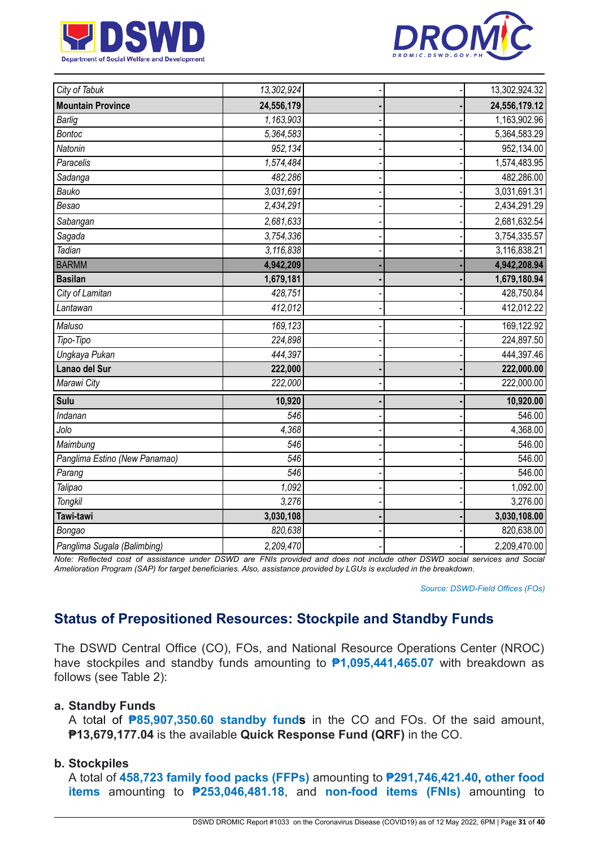



| City of Tabuk                 | 13,302,924 |  | 13,302,924.32 |
|-------------------------------|------------|--|---------------|
| <b>Mountain Province</b>      | 24,556,179 |  | 24,556,179.12 |
| <b>Barlig</b>                 | 1,163,903  |  | 1,163,902.96  |
| <b>Bontoc</b>                 | 5,364,583  |  | 5,364,583.29  |
| Natonin                       | 952,134    |  | 952,134.00    |
| Paracelis                     | 1,574,484  |  | 1,574,483.95  |
| Sadanga                       | 482,286    |  | 482,286.00    |
| Bauko                         | 3,031,691  |  | 3,031,691.31  |
| Besao                         | 2,434,291  |  | 2,434,291.29  |
| Sabangan                      | 2,681,633  |  | 2,681,632.54  |
| Sagada                        | 3,754,336  |  | 3,754,335.57  |
| Tadian                        | 3,116,838  |  | 3,116,838.21  |
| <b>BARMM</b>                  | 4,942,209  |  | 4,942,208.94  |
| <b>Basilan</b>                | 1,679,181  |  | 1,679,180.94  |
| City of Lamitan               | 428,751    |  | 428,750.84    |
| Lantawan                      | 412,012    |  | 412,012.22    |
| Maluso                        | 169,123    |  | 169,122.92    |
| Tipo-Tipo                     | 224,898    |  | 224,897.50    |
| Ungkaya Pukan                 | 444,397    |  | 444,397.46    |
| Lanao del Sur                 | 222,000    |  | 222,000.00    |
| Marawi City                   | 222,000    |  | 222,000.00    |
| Sulu                          | 10,920     |  | 10,920.00     |
| Indanan                       | 546        |  | 546.00        |
| Jolo                          | 4.368      |  | 4,368.00      |
| Maimbung                      | 546        |  | 546.00        |
| Panglima Estino (New Panamao) | 546        |  | 546.00        |
| Parang                        | 546        |  | 546.00        |
| Talipao                       | 1,092      |  | 1,092.00      |
| <b>Tongkil</b>                | 3,276      |  | 3,276.00      |
| Tawi-tawi                     | 3,030,108  |  | 3,030,108.00  |
| Bongao                        | 820,638    |  | 820,638.00    |
| Panglima Sugala (Balimbing)   | 2,209,470  |  | 2,209,470.00  |

Note: Reflected cost of assistance under DSWD are FNIs provided and does not include other DSWD social services and Social Amelioration Program (SAP) for target beneficiaries. Also, assistance provided by LGUs is excluded in the breakdown.

*Source: DSWD-Field Offices (FOs)*

## **Status of Prepositioned Resources: Stockpile and Standby Funds**

The DSWD Central Office (CO), FOs, and National Resource Operations Center (NROC) have stockpiles and standby funds amounting to **₱1,095,441,465.07** with breakdown as follows (see Table 2):

#### **a. Standby Funds**

A total of **₱85,907,350.60 standby funds** in the CO and FOs. Of the said amount, **₱13,679,177.04** is the available **Quick Response Fund (QRF)** in the CO.

#### **b. Stockpiles**

A total of **458,723 family food packs (FFPs)** amounting to **₱291,746,421.40, other food items** amounting to **₱253,046,481.18**, and **non-food items (FNIs)** amounting to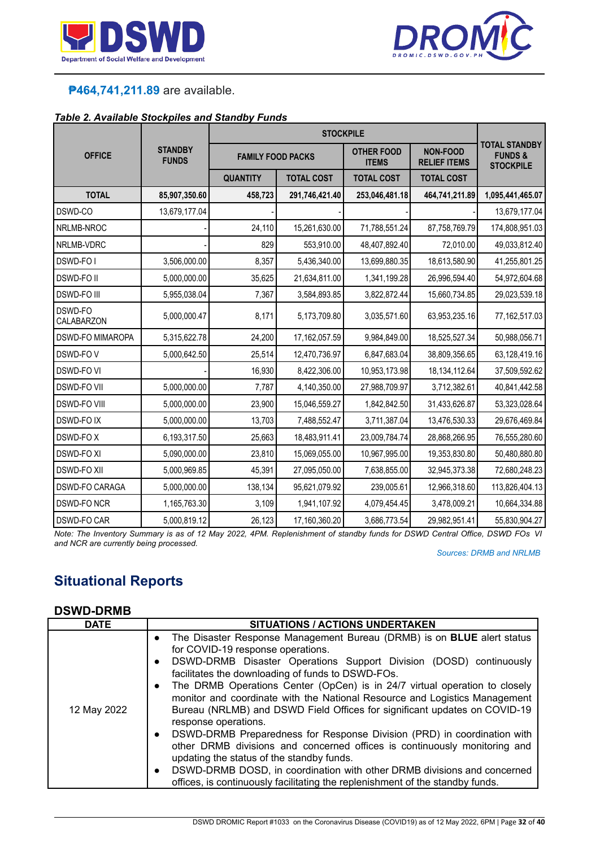



## **₱464,741,211.89** are available.

#### *Table 2. Available Stockpiles and Standby Funds*

| <b>OFFICE</b>           | <b>STANDBY</b><br><b>FUNDS</b> | <b>FAMILY FOOD PACKS</b> |                   | <b>OTHER FOOD</b><br><b>ITEMS</b> | <b>NON-FOOD</b><br><b>RELIEF ITEMS</b> | <b>TOTAL STANDBY</b><br><b>FUNDS&amp;</b><br><b>STOCKPILE</b> |
|-------------------------|--------------------------------|--------------------------|-------------------|-----------------------------------|----------------------------------------|---------------------------------------------------------------|
|                         |                                | <b>QUANTITY</b>          | <b>TOTAL COST</b> | <b>TOTAL COST</b>                 | <b>TOTAL COST</b>                      |                                                               |
| <b>TOTAL</b>            | 85,907,350.60                  | 458,723                  | 291,746,421.40    | 253,046,481.18                    | 464,741,211.89                         | 1,095,441,465.07                                              |
| DSWD-CO                 | 13,679,177.04                  |                          |                   |                                   |                                        | 13,679,177.04                                                 |
| NRLMB-NROC              |                                | 24,110                   | 15,261,630.00     | 71,788,551.24                     | 87,758,769.79                          | 174,808,951.03                                                |
| NRLMB-VDRC              |                                | 829                      | 553,910.00        | 48,407,892.40                     | 72,010.00                              | 49,033,812.40                                                 |
| DSWD-FO I               | 3,506,000.00                   | 8,357                    | 5,436,340.00      | 13,699,880.35                     | 18,613,580.90                          | 41,255,801.25                                                 |
| <b>DSWD-FOII</b>        | 5,000,000.00                   | 35,625                   | 21,634,811.00     | 1,341,199.28                      | 26,996,594.40                          | 54,972,604.68                                                 |
| <b>DSWD-FO III</b>      | 5,955,038.04                   | 7,367                    | 3,584,893.85      | 3,822,872.44                      | 15,660,734.85                          | 29,023,539.18                                                 |
| DSWD-FO<br>CALABARZON   | 5,000,000.47                   | 8,171                    | 5,173,709.80      | 3,035,571.60                      | 63,953,235.16                          | 77,162,517.03                                                 |
| <b>DSWD-FO MIMAROPA</b> | 5,315,622.78                   | 24,200                   | 17,162,057.59     | 9,984,849.00                      | 18,525,527.34                          | 50,988,056.71                                                 |
| DSWD-FOV                | 5,000,642.50                   | 25,514                   | 12,470,736.97     | 6,847,683.04                      | 38,809,356.65                          | 63,128,419.16                                                 |
| <b>DSWD-FO VI</b>       |                                | 16,930                   | 8,422,306.00      | 10,953,173.98                     | 18, 134, 112.64                        | 37,509,592.62                                                 |
| <b>DSWD-FO VII</b>      | 5,000,000.00                   | 7,787                    | 4,140,350.00      | 27,988,709.97                     | 3,712,382.61                           | 40,841,442.58                                                 |
| <b>DSWD-FO VIII</b>     | 5,000,000.00                   | 23,900                   | 15,046,559.27     | 1,842,842.50                      | 31,433,626.87                          | 53,323,028.64                                                 |
| <b>DSWD-FOIX</b>        | 5,000,000.00                   | 13,703                   | 7,488,552.47      | 3,711,387.04                      | 13,476,530.33                          | 29,676,469.84                                                 |
| <b>DSWD-FOX</b>         | 6,193,317.50                   | 25,663                   | 18,483,911.41     | 23,009,784.74                     | 28,868,266.95                          | 76,555,280.60                                                 |
| <b>DSWD-FO XI</b>       | 5,090,000.00                   | 23,810                   | 15,069,055.00     | 10,967,995.00                     | 19,353,830.80                          | 50,480,880.80                                                 |
| <b>DSWD-FO XII</b>      | 5,000,969.85                   | 45,391                   | 27,095,050.00     | 7,638,855.00                      | 32,945,373.38                          | 72,680,248.23                                                 |
| DSWD-FO CARAGA          | 5,000,000.00                   | 138,134                  | 95,621,079.92     | 239,005.61                        | 12,966,318.60                          | 113,826,404.13                                                |
| <b>DSWD-FO NCR</b>      | 1,165,763.30                   | 3,109                    | 1,941,107.92      | 4,079,454.45                      | 3,478,009.21                           | 10,664,334.88                                                 |
| <b>DSWD-FO CAR</b>      | 5,000,819.12                   | 26,123                   | 17,160,360.20     | 3,686,773.54                      | 29,982,951.41                          | 55,830,904.27                                                 |

Note: The Inventory Summary is as of 12 May 2022, 4PM. Replenishment of standby funds for DSWD Central Office, DSWD FOs VI *and NCR are currently being processed.*

*Sources: DRMB and NRLMB*

# **Situational Reports**

#### **DSWD-DRMB**

| <b>DATE</b> | <b>SITUATIONS / ACTIONS UNDERTAKEN</b>                                                                                                                                                                                                                                                                                                                                                                                                                                                                                                                                                                                                                                                                                                                                                                                                                                                                                                |
|-------------|---------------------------------------------------------------------------------------------------------------------------------------------------------------------------------------------------------------------------------------------------------------------------------------------------------------------------------------------------------------------------------------------------------------------------------------------------------------------------------------------------------------------------------------------------------------------------------------------------------------------------------------------------------------------------------------------------------------------------------------------------------------------------------------------------------------------------------------------------------------------------------------------------------------------------------------|
| 12 May 2022 | The Disaster Response Management Bureau (DRMB) is on <b>BLUE</b> alert status<br>$\bullet$<br>for COVID-19 response operations.<br>DSWD-DRMB Disaster Operations Support Division (DOSD) continuously<br>$\bullet$<br>facilitates the downloading of funds to DSWD-FOs.<br>The DRMB Operations Center (OpCen) is in 24/7 virtual operation to closely<br>$\bullet$<br>monitor and coordinate with the National Resource and Logistics Management<br>Bureau (NRLMB) and DSWD Field Offices for significant updates on COVID-19<br>response operations.<br>• DSWD-DRMB Preparedness for Response Division (PRD) in coordination with<br>other DRMB divisions and concerned offices is continuously monitoring and<br>updating the status of the standby funds.<br>DSWD-DRMB DOSD, in coordination with other DRMB divisions and concerned<br>$\bullet$<br>offices, is continuously facilitating the replenishment of the standby funds. |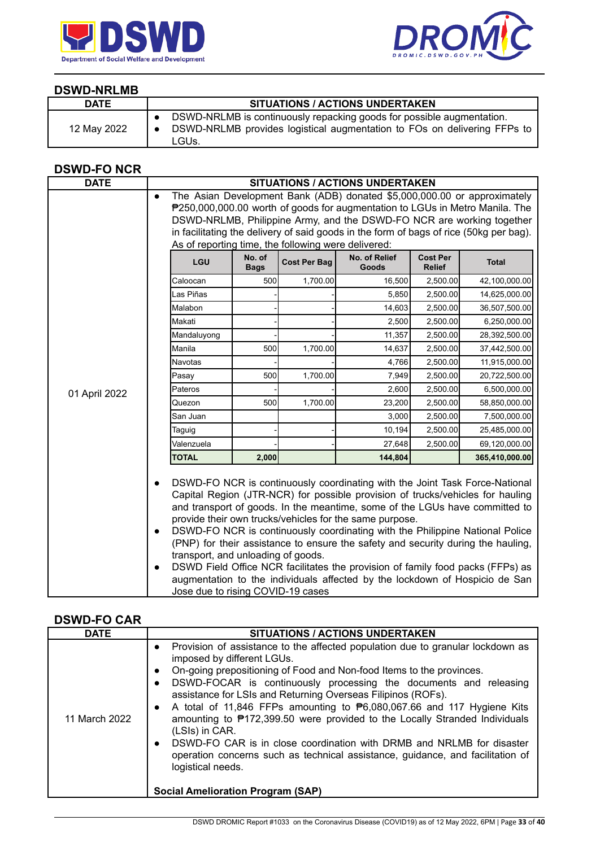



#### **DSWD-NRLMB**

| <b>DATE</b> | <b>SITUATIONS / ACTIONS UNDERTAKEN</b>                                                                                                                     |
|-------------|------------------------------------------------------------------------------------------------------------------------------------------------------------|
| 12 May 2022 | DSWD-NRLMB is continuously repacking goods for possible augmentation.<br>DSWD-NRLMB provides logistical augmentation to FOs on delivering FFPs to<br>LGUs. |

## **DSWD-FO NCR**

| <b>DATE</b>   |                                                                                                                |                                                                                                                                                                                                                                                                                                                             |                     | <b>SITUATIONS / ACTIONS UNDERTAKEN</b>                                                                                                                                                                                                                                                                                                                                                                                                                                                                                                                        |                                  |                                                                             |
|---------------|----------------------------------------------------------------------------------------------------------------|-----------------------------------------------------------------------------------------------------------------------------------------------------------------------------------------------------------------------------------------------------------------------------------------------------------------------------|---------------------|---------------------------------------------------------------------------------------------------------------------------------------------------------------------------------------------------------------------------------------------------------------------------------------------------------------------------------------------------------------------------------------------------------------------------------------------------------------------------------------------------------------------------------------------------------------|----------------------------------|-----------------------------------------------------------------------------|
|               | $\bullet$                                                                                                      | The Asian Development Bank (ADB) donated \$5,000,000.00 or approximately<br>₱250,000,000.00 worth of goods for augmentation to LGUs in Metro Manila. The<br>DSWD-NRLMB, Philippine Army, and the DSWD-FO NCR are working together<br>in facilitating the delivery of said goods in the form of bags of rice (50kg per bag). |                     |                                                                                                                                                                                                                                                                                                                                                                                                                                                                                                                                                               |                                  |                                                                             |
|               | As of reporting time, the following were delivered:                                                            |                                                                                                                                                                                                                                                                                                                             |                     |                                                                                                                                                                                                                                                                                                                                                                                                                                                                                                                                                               |                                  |                                                                             |
|               | LGU                                                                                                            | No. of<br><b>Bags</b>                                                                                                                                                                                                                                                                                                       | <b>Cost Per Bag</b> | No. of Relief<br>Goods                                                                                                                                                                                                                                                                                                                                                                                                                                                                                                                                        | <b>Cost Per</b><br><b>Relief</b> | <b>Total</b>                                                                |
|               | Caloocan                                                                                                       | 500                                                                                                                                                                                                                                                                                                                         | 1,700.00            | 16,500                                                                                                                                                                                                                                                                                                                                                                                                                                                                                                                                                        | 2,500.00                         | 42,100,000.00                                                               |
|               | Las Piñas                                                                                                      |                                                                                                                                                                                                                                                                                                                             |                     | 5,850                                                                                                                                                                                                                                                                                                                                                                                                                                                                                                                                                         | 2,500.00                         | 14,625,000.00                                                               |
|               | Malabon                                                                                                        |                                                                                                                                                                                                                                                                                                                             |                     | 14,603                                                                                                                                                                                                                                                                                                                                                                                                                                                                                                                                                        | 2,500.00                         | 36,507,500.00                                                               |
|               | Makati                                                                                                         |                                                                                                                                                                                                                                                                                                                             |                     | 2,500                                                                                                                                                                                                                                                                                                                                                                                                                                                                                                                                                         | 2,500.00                         | 6,250,000.00                                                                |
|               | Mandaluyong                                                                                                    |                                                                                                                                                                                                                                                                                                                             |                     | 11,357                                                                                                                                                                                                                                                                                                                                                                                                                                                                                                                                                        | 2,500.00                         | 28,392,500.00                                                               |
|               | Manila                                                                                                         | 500                                                                                                                                                                                                                                                                                                                         | 1,700.00            | 14,637                                                                                                                                                                                                                                                                                                                                                                                                                                                                                                                                                        | 2,500.00                         | 37,442,500.00                                                               |
|               | <b>Navotas</b>                                                                                                 |                                                                                                                                                                                                                                                                                                                             |                     | 4,766                                                                                                                                                                                                                                                                                                                                                                                                                                                                                                                                                         | 2,500.00                         | 11,915,000.00                                                               |
|               | Pasay                                                                                                          | 500                                                                                                                                                                                                                                                                                                                         | 1,700.00            | 7,949                                                                                                                                                                                                                                                                                                                                                                                                                                                                                                                                                         | 2,500.00                         | 20,722,500.00                                                               |
| 01 April 2022 | Pateros                                                                                                        |                                                                                                                                                                                                                                                                                                                             |                     | 2,600                                                                                                                                                                                                                                                                                                                                                                                                                                                                                                                                                         | 2,500.00                         | 6,500,000.00                                                                |
|               | Quezon                                                                                                         | 500                                                                                                                                                                                                                                                                                                                         | 1,700.00            | 23,200                                                                                                                                                                                                                                                                                                                                                                                                                                                                                                                                                        | 2,500.00                         | 58,850,000.00                                                               |
|               | San Juan                                                                                                       |                                                                                                                                                                                                                                                                                                                             |                     | 3,000                                                                                                                                                                                                                                                                                                                                                                                                                                                                                                                                                         | 2,500.00                         | 7,500,000.00                                                                |
|               | Taguig                                                                                                         |                                                                                                                                                                                                                                                                                                                             |                     | 10,194                                                                                                                                                                                                                                                                                                                                                                                                                                                                                                                                                        | 2,500.00                         | 25,485,000.00                                                               |
|               | Valenzuela                                                                                                     |                                                                                                                                                                                                                                                                                                                             |                     | 27,648                                                                                                                                                                                                                                                                                                                                                                                                                                                                                                                                                        | 2,500.00                         | 69,120,000.00                                                               |
|               | <b>TOTAL</b>                                                                                                   | 2,000                                                                                                                                                                                                                                                                                                                       |                     | 144,804                                                                                                                                                                                                                                                                                                                                                                                                                                                                                                                                                       |                                  | 365,410,000.00                                                              |
|               | $\bullet$<br>$\bullet$<br>transport, and unloading of goods.<br>$\bullet$<br>Jose due to rising COVID-19 cases |                                                                                                                                                                                                                                                                                                                             |                     | DSWD-FO NCR is continuously coordinating with the Joint Task Force-National<br>Capital Region (JTR-NCR) for possible provision of trucks/vehicles for hauling<br>and transport of goods. In the meantime, some of the LGUs have committed to<br>provide their own trucks/vehicles for the same purpose.<br>DSWD-FO NCR is continuously coordinating with the Philippine National Police<br>(PNP) for their assistance to ensure the safety and security during the hauling,<br>DSWD Field Office NCR facilitates the provision of family food packs (FFPs) as |                                  | augmentation to the individuals affected by the lockdown of Hospicio de San |

### **DSWD-FO CAR**

| <b>DATE</b>   | <b>SITUATIONS / ACTIONS UNDERTAKEN</b>                                                                                                                                                                                                                                                                                                                                                                                                                                                                                                                                                                                                                                                                                                                                                                      |
|---------------|-------------------------------------------------------------------------------------------------------------------------------------------------------------------------------------------------------------------------------------------------------------------------------------------------------------------------------------------------------------------------------------------------------------------------------------------------------------------------------------------------------------------------------------------------------------------------------------------------------------------------------------------------------------------------------------------------------------------------------------------------------------------------------------------------------------|
| 11 March 2022 | Provision of assistance to the affected population due to granular lockdown as<br>$\bullet$<br>imposed by different LGUs.<br>On-going prepositioning of Food and Non-food Items to the provinces.<br>$\bullet$<br>DSWD-FOCAR is continuously processing the documents and releasing<br>$\bullet$<br>assistance for LSIs and Returning Overseas Filipinos (ROFs).<br>A total of 11,846 FFPs amounting to $\mathbf{P}6,080,067.66$ and 117 Hygiene Kits<br>$\bullet$<br>amounting to ₱172,399.50 were provided to the Locally Stranded Individuals<br>(LSIs) in CAR.<br>DSWD-FO CAR is in close coordination with DRMB and NRLMB for disaster<br>$\bullet$<br>operation concerns such as technical assistance, guidance, and facilitation of<br>logistical needs.<br><b>Social Amelioration Program (SAP)</b> |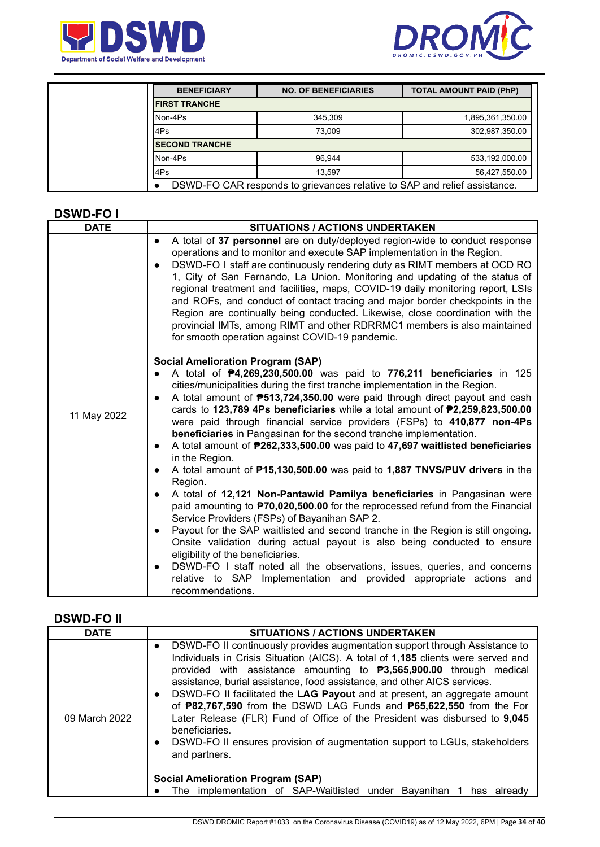



| <b>BENEFICIARY</b>                                                        | <b>NO. OF BENEFICIARIES</b> | <b>TOTAL AMOUNT PAID (PhP)</b> |  |
|---------------------------------------------------------------------------|-----------------------------|--------------------------------|--|
| <b>IFIRST TRANCHE</b>                                                     |                             |                                |  |
| INon-4Ps                                                                  | 345.309                     | 1,895,361,350.00               |  |
| 4Ps                                                                       | 73.009                      | 302,987,350.00                 |  |
| <b>ISECOND TRANCHE</b>                                                    |                             |                                |  |
| INon-4Ps                                                                  | 96.944                      | 533,192,000.00                 |  |
| 4Ps                                                                       | 13.597                      | 56,427,550.00                  |  |
| DSWD-FO CAR responds to grievances relative to SAP and relief assistance. |                             |                                |  |

#### **DSWD-FO I**

| <b>DATE</b> | <b>SITUATIONS / ACTIONS UNDERTAKEN</b>                                                                                                                                                                                                                                                                                                                                                                                                                                                                                                                                                                                                                                                                                                                                                                                                                                                                                                                                                                                                                                                                                                                                                                                                                                                                                                                                          |  |  |  |  |
|-------------|---------------------------------------------------------------------------------------------------------------------------------------------------------------------------------------------------------------------------------------------------------------------------------------------------------------------------------------------------------------------------------------------------------------------------------------------------------------------------------------------------------------------------------------------------------------------------------------------------------------------------------------------------------------------------------------------------------------------------------------------------------------------------------------------------------------------------------------------------------------------------------------------------------------------------------------------------------------------------------------------------------------------------------------------------------------------------------------------------------------------------------------------------------------------------------------------------------------------------------------------------------------------------------------------------------------------------------------------------------------------------------|--|--|--|--|
|             | A total of 37 personnel are on duty/deployed region-wide to conduct response<br>$\bullet$<br>operations and to monitor and execute SAP implementation in the Region.<br>DSWD-FO I staff are continuously rendering duty as RIMT members at OCD RO<br>$\bullet$<br>1, City of San Fernando, La Union. Monitoring and updating of the status of<br>regional treatment and facilities, maps, COVID-19 daily monitoring report, LSIs<br>and ROFs, and conduct of contact tracing and major border checkpoints in the<br>Region are continually being conducted. Likewise, close coordination with the<br>provincial IMTs, among RIMT and other RDRRMC1 members is also maintained<br>for smooth operation against COVID-19 pandemic.                                                                                                                                                                                                                                                                                                                                                                                                                                                                                                                                                                                                                                                |  |  |  |  |
| 11 May 2022 | <b>Social Amelioration Program (SAP)</b><br>A total of P4,269,230,500.00 was paid to 776,211 beneficiaries in 125<br>cities/municipalities during the first tranche implementation in the Region.<br>A total amount of <b>P513,724,350.00</b> were paid through direct payout and cash<br>cards to 123,789 4Ps beneficiaries while a total amount of P2,259,823,500.00<br>were paid through financial service providers (FSPs) to 410,877 non-4Ps<br>beneficiaries in Pangasinan for the second tranche implementation.<br>A total amount of P262,333,500.00 was paid to 47,697 waitlisted beneficiaries<br>$\bullet$<br>in the Region.<br>A total amount of <b>P15,130,500.00</b> was paid to 1,887 TNVS/PUV drivers in the<br>$\bullet$<br>Region.<br>A total of 12,121 Non-Pantawid Pamilya beneficiaries in Pangasinan were<br>paid amounting to <b>P70,020,500.00</b> for the reprocessed refund from the Financial<br>Service Providers (FSPs) of Bayanihan SAP 2.<br>Payout for the SAP waitlisted and second tranche in the Region is still ongoing.<br>$\bullet$<br>Onsite validation during actual payout is also being conducted to ensure<br>eligibility of the beneficiaries.<br>DSWD-FO I staff noted all the observations, issues, queries, and concerns<br>$\bullet$<br>relative to SAP Implementation and provided appropriate actions and<br>recommendations. |  |  |  |  |

#### **DSWD-FO II**

| <b>DATE</b>   | <b>SITUATIONS / ACTIONS UNDERTAKEN</b>                                                                                                                                                                                                                                                                                                                                                                                                                                                                                                                                                                                                                                                                                                                                                                        |  |  |  |  |  |
|---------------|---------------------------------------------------------------------------------------------------------------------------------------------------------------------------------------------------------------------------------------------------------------------------------------------------------------------------------------------------------------------------------------------------------------------------------------------------------------------------------------------------------------------------------------------------------------------------------------------------------------------------------------------------------------------------------------------------------------------------------------------------------------------------------------------------------------|--|--|--|--|--|
| 09 March 2022 | DSWD-FO II continuously provides augmentation support through Assistance to<br>Individuals in Crisis Situation (AICS). A total of 1,185 clients were served and<br>provided with assistance amounting to <b>P3,565,900.00</b> through medical<br>assistance, burial assistance, food assistance, and other AICS services.<br>DSWD-FO II facilitated the LAG Payout and at present, an aggregate amount<br>of <b>P82,767,590</b> from the DSWD LAG Funds and <b>P65,622,550</b> from the For<br>Later Release (FLR) Fund of Office of the President was disbursed to 9,045<br>beneficiaries.<br>DSWD-FO II ensures provision of augmentation support to LGUs, stakeholders<br>and partners.<br><b>Social Amelioration Program (SAP)</b><br>The implementation of SAP-Waitlisted under Bayanihan<br>has already |  |  |  |  |  |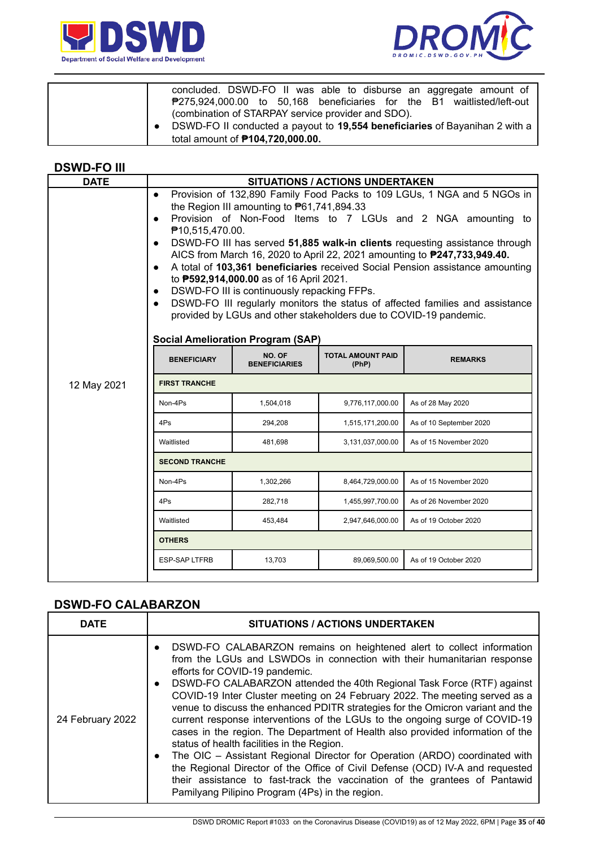



| concluded. DSWD-FO II was able to disburse an aggregate amount of<br>₱275,924,000.00 to 50,168 beneficiaries for the B1 waitlisted/left-out                                  |
|------------------------------------------------------------------------------------------------------------------------------------------------------------------------------|
| (combination of STARPAY service provider and SDO).<br>DSWD-FO II conducted a payout to 19,554 beneficiaries of Bayanihan 2 with a<br>total amount of <b>P104,720,000.00.</b> |

#### **DSWD-FO III**

| <b>SITUATIONS / ACTIONS UNDERTAKEN</b>                                                                                                                                                                                                                                                                                                                                                                                                                                                                                                                                                                                                                                                                                                                                                                            |           |                  |                        |  |  |  |
|-------------------------------------------------------------------------------------------------------------------------------------------------------------------------------------------------------------------------------------------------------------------------------------------------------------------------------------------------------------------------------------------------------------------------------------------------------------------------------------------------------------------------------------------------------------------------------------------------------------------------------------------------------------------------------------------------------------------------------------------------------------------------------------------------------------------|-----------|------------------|------------------------|--|--|--|
| <b>DATE</b><br>Provision of 132,890 Family Food Packs to 109 LGUs, 1 NGA and 5 NGOs in<br>$\bullet$<br>the Region III amounting to $P61,741,894.33$<br>Provision of Non-Food Items to 7 LGUs and 2 NGA amounting to<br>$\bullet$<br>₱10,515,470.00.<br>DSWD-FO III has served 51,885 walk-in clients requesting assistance through<br>$\bullet$<br>AICS from March 16, 2020 to April 22, 2021 amounting to <b>P247,733,949.40.</b><br>A total of 103,361 beneficiaries received Social Pension assistance amounting<br>$\bullet$<br>to <b>P592,914,000.00</b> as of 16 April 2021.<br>DSWD-FO III is continuously repacking FFPs.<br>$\bullet$<br>DSWD-FO III regularly monitors the status of affected families and assistance<br>$\bullet$<br>provided by LGUs and other stakeholders due to COVID-19 pandemic. |           |                  |                        |  |  |  |
| <b>Social Amelioration Program (SAP)</b><br>NO. OF<br><b>TOTAL AMOUNT PAID</b><br><b>BENEFICIARY</b><br><b>REMARKS</b><br><b>BENEFICIARIES</b><br>(PhP)                                                                                                                                                                                                                                                                                                                                                                                                                                                                                                                                                                                                                                                           |           |                  |                        |  |  |  |
| <b>FIRST TRANCHE</b><br>12 May 2021                                                                                                                                                                                                                                                                                                                                                                                                                                                                                                                                                                                                                                                                                                                                                                               |           |                  |                        |  |  |  |
| Non-4Ps                                                                                                                                                                                                                                                                                                                                                                                                                                                                                                                                                                                                                                                                                                                                                                                                           | 1,504,018 | 9,776,117,000.00 | As of 28 May 2020      |  |  |  |
| 4Ps<br>294,208<br>As of 10 September 2020<br>1,515,171,200.00<br>Waitlisted<br>481,698<br>3,131,037,000.00<br>As of 15 November 2020                                                                                                                                                                                                                                                                                                                                                                                                                                                                                                                                                                                                                                                                              |           |                  |                        |  |  |  |
|                                                                                                                                                                                                                                                                                                                                                                                                                                                                                                                                                                                                                                                                                                                                                                                                                   |           |                  |                        |  |  |  |
| Non-4Ps                                                                                                                                                                                                                                                                                                                                                                                                                                                                                                                                                                                                                                                                                                                                                                                                           | 1,302,266 | 8,464,729,000.00 | As of 15 November 2020 |  |  |  |
| 4Ps                                                                                                                                                                                                                                                                                                                                                                                                                                                                                                                                                                                                                                                                                                                                                                                                               | 282,718   | 1,455,997,700.00 | As of 26 November 2020 |  |  |  |
| Waitlisted                                                                                                                                                                                                                                                                                                                                                                                                                                                                                                                                                                                                                                                                                                                                                                                                        | 453,484   | 2,947,646,000.00 | As of 19 October 2020  |  |  |  |
| <b>OTHERS</b>                                                                                                                                                                                                                                                                                                                                                                                                                                                                                                                                                                                                                                                                                                                                                                                                     |           |                  |                        |  |  |  |
| <b>ESP-SAP LTFRB</b>                                                                                                                                                                                                                                                                                                                                                                                                                                                                                                                                                                                                                                                                                                                                                                                              | 13,703    | 89,069,500.00    | As of 19 October 2020  |  |  |  |
|                                                                                                                                                                                                                                                                                                                                                                                                                                                                                                                                                                                                                                                                                                                                                                                                                   |           |                  |                        |  |  |  |

## **DSWD-FO CALABARZON**

| <b>DATE</b>      | <b>SITUATIONS / ACTIONS UNDERTAKEN</b>                                                                                                                                                                                                                                                                                                                                                                                                                                                                                                                                                                                                                                                                                                                                                                                                                                                                                                                                               |  |  |  |  |
|------------------|--------------------------------------------------------------------------------------------------------------------------------------------------------------------------------------------------------------------------------------------------------------------------------------------------------------------------------------------------------------------------------------------------------------------------------------------------------------------------------------------------------------------------------------------------------------------------------------------------------------------------------------------------------------------------------------------------------------------------------------------------------------------------------------------------------------------------------------------------------------------------------------------------------------------------------------------------------------------------------------|--|--|--|--|
| 24 February 2022 | DSWD-FO CALABARZON remains on heightened alert to collect information<br>$\bullet$<br>from the LGUs and LSWDOs in connection with their humanitarian response<br>efforts for COVID-19 pandemic.<br>DSWD-FO CALABARZON attended the 40th Regional Task Force (RTF) against<br>$\bullet$<br>COVID-19 Inter Cluster meeting on 24 February 2022. The meeting served as a<br>venue to discuss the enhanced PDITR strategies for the Omicron variant and the<br>current response interventions of the LGUs to the ongoing surge of COVID-19<br>cases in the region. The Department of Health also provided information of the<br>status of health facilities in the Region.<br>The OIC - Assistant Regional Director for Operation (ARDO) coordinated with<br>$\bullet$<br>the Regional Director of the Office of Civil Defense (OCD) IV-A and requested<br>their assistance to fast-track the vaccination of the grantees of Pantawid<br>Pamilyang Pilipino Program (4Ps) in the region. |  |  |  |  |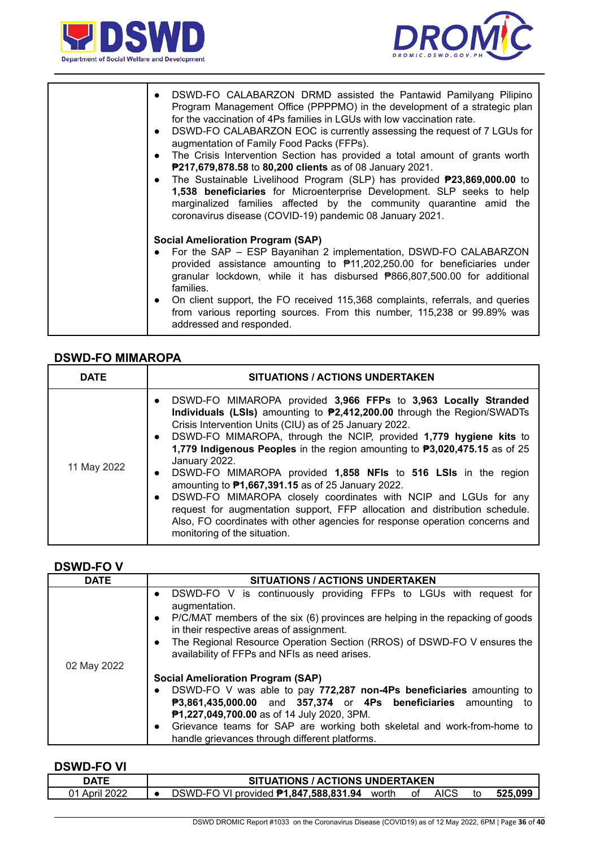



| DSWD-FO CALABARZON DRMD assisted the Pantawid Pamilyang Pilipino<br>$\bullet$<br>Program Management Office (PPPPMO) in the development of a strategic plan<br>for the vaccination of 4Ps families in LGUs with low vaccination rate.<br>DSWD-FO CALABARZON EOC is currently assessing the request of 7 LGUs for<br>$\bullet$<br>augmentation of Family Food Packs (FFPs).<br>The Crisis Intervention Section has provided a total amount of grants worth<br>$\bullet$<br>P217,679,878.58 to 80,200 clients as of 08 January 2021.<br>The Sustainable Livelihood Program (SLP) has provided <b>P23,869,000.00</b> to<br>$\bullet$<br>1,538 beneficiaries for Microenterprise Development. SLP seeks to help<br>marginalized families affected by the community quarantine amid the<br>coronavirus disease (COVID-19) pandemic 08 January 2021. |
|-----------------------------------------------------------------------------------------------------------------------------------------------------------------------------------------------------------------------------------------------------------------------------------------------------------------------------------------------------------------------------------------------------------------------------------------------------------------------------------------------------------------------------------------------------------------------------------------------------------------------------------------------------------------------------------------------------------------------------------------------------------------------------------------------------------------------------------------------|
| <b>Social Amelioration Program (SAP)</b><br>For the SAP - ESP Bayanihan 2 implementation, DSWD-FO CALABARZON<br>provided assistance amounting to \#11,202,250.00 for beneficiaries under<br>granular lockdown, while it has disbursed <b>P866,807,500.00</b> for additional<br>families.<br>• On client support, the FO received 115,368 complaints, referrals, and queries<br>from various reporting sources. From this number, 115,238 or 99.89% was<br>addressed and responded.                                                                                                                                                                                                                                                                                                                                                            |

#### **DSWD-FO MIMAROPA**

| <b>DATE</b> | <b>SITUATIONS / ACTIONS UNDERTAKEN</b>                                                                                                                                                                                                                                                                                                                                                                                                                                                                                                                                                                                                                                                                                                                                                                                         |  |  |  |
|-------------|--------------------------------------------------------------------------------------------------------------------------------------------------------------------------------------------------------------------------------------------------------------------------------------------------------------------------------------------------------------------------------------------------------------------------------------------------------------------------------------------------------------------------------------------------------------------------------------------------------------------------------------------------------------------------------------------------------------------------------------------------------------------------------------------------------------------------------|--|--|--|
| 11 May 2022 | DSWD-FO MIMAROPA provided 3,966 FFPs to 3,963 Locally Stranded<br>$\bullet$<br>Individuals (LSIs) amounting to <b>P2,412,200.00</b> through the Region/SWADTs<br>Crisis Intervention Units (CIU) as of 25 January 2022.<br>DSWD-FO MIMAROPA, through the NCIP, provided 1,779 hygiene kits to<br>$\bullet$<br>1,779 Indigenous Peoples in the region amounting to P3,020,475.15 as of 25<br>January 2022.<br>DSWD-FO MIMAROPA provided 1,858 NFIs to 516 LSIs in the region<br>$\bullet$<br>amounting to $P1,667,391.15$ as of 25 January 2022.<br>DSWD-FO MIMAROPA closely coordinates with NCIP and LGUs for any<br>$\bullet$<br>request for augmentation support, FFP allocation and distribution schedule.<br>Also, FO coordinates with other agencies for response operation concerns and<br>monitoring of the situation. |  |  |  |

#### **DSWD-FO V**

| <b>DATE</b> | <b>SITUATIONS / ACTIONS UNDERTAKEN</b>                                                                                                  |  |  |  |  |  |
|-------------|-----------------------------------------------------------------------------------------------------------------------------------------|--|--|--|--|--|
|             | DSWD-FO V is continuously providing FFPs to LGUs with request for<br>$\bullet$<br>augmentation.                                         |  |  |  |  |  |
|             | P/C/MAT members of the six (6) provinces are helping in the repacking of goods<br>$\bullet$<br>in their respective areas of assignment. |  |  |  |  |  |
|             | The Regional Resource Operation Section (RROS) of DSWD-FO V ensures the<br>$\bullet$<br>availability of FFPs and NFIs as need arises.   |  |  |  |  |  |
| 02 May 2022 |                                                                                                                                         |  |  |  |  |  |
|             | <b>Social Amelioration Program (SAP)</b>                                                                                                |  |  |  |  |  |
|             | DSWD-FO V was able to pay 772,287 non-4Ps beneficiaries amounting to                                                                    |  |  |  |  |  |
|             | P3,861,435,000.00 and 357,374 or 4Ps beneficiaries amounting<br>to                                                                      |  |  |  |  |  |
|             | P1,227,049,700.00 as of 14 July 2020, 3PM.                                                                                              |  |  |  |  |  |
|             | Grievance teams for SAP are working both skeletal and work-from-home to<br>$\bullet$                                                    |  |  |  |  |  |
|             | handle grievances through different platforms.                                                                                          |  |  |  |  |  |

#### **DSWD-FO VI**

| NATF            | <b>UATIONS / ACTIONS UNDERTAKEN</b>                                             |      |  |  |  |  |
|-----------------|---------------------------------------------------------------------------------|------|--|--|--|--|
| ימ∩מ<br>April 2 | <b>AICS</b><br>O VI provided <b>₱1,847,588,831.94</b><br>DSWD-FC<br>worth<br>οt | .099 |  |  |  |  |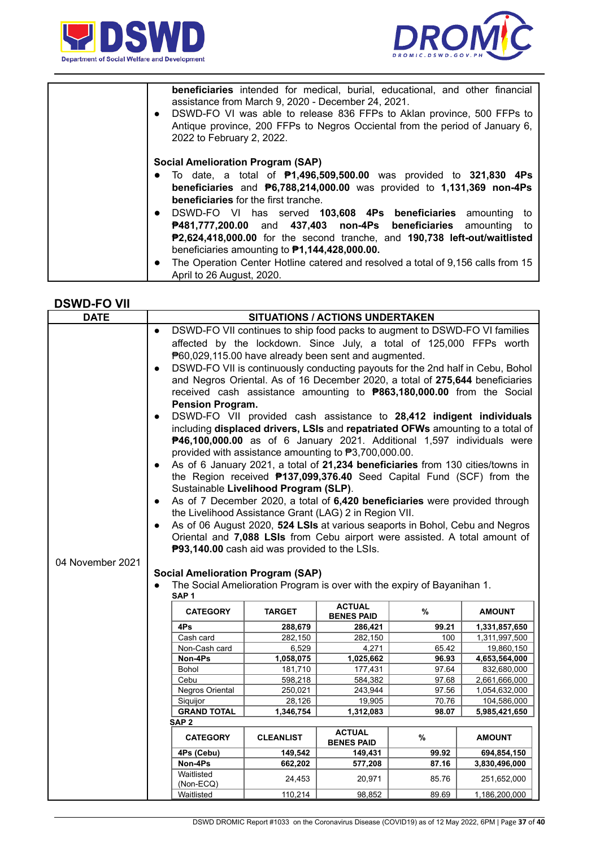



| <b>beneficiaries</b> intended for medical, burial, educational, and other financial<br>assistance from March 9, 2020 - December 24, 2021.<br>DSWD-FO VI was able to release 836 FFPs to Aklan province, 500 FFPs to<br>$\bullet$<br>Antique province, 200 FFPs to Negros Occiental from the period of January 6,<br>2022 to February 2, 2022.                                                      |
|----------------------------------------------------------------------------------------------------------------------------------------------------------------------------------------------------------------------------------------------------------------------------------------------------------------------------------------------------------------------------------------------------|
| <b>Social Amelioration Program (SAP)</b><br>• To date, a total of $P1,496,509,500.00$ was provided to 321,830 4Ps<br>beneficiaries and $P6,788,214,000.00$ was provided to 1,131,369 non-4Ps<br><b>beneficiaries</b> for the first tranche.                                                                                                                                                        |
| • DSWD-FO VI has served 103,608 4Ps beneficiaries amounting to<br>P481,777,200.00 and 437,403 non-4Ps beneficiaries amounting<br>to<br>P2,624,418,000.00 for the second tranche, and 190,738 left-out/waitlisted<br>beneficiaries amounting to $P1,144,428,000.00$ .<br>The Operation Center Hotline catered and resolved a total of 9,156 calls from 15<br>$\bullet$<br>April to 26 August, 2020. |

#### **DSWD-FO VII**

| <b>DATE</b>                                                                                                                                                                                                                                                                                                                                                                                                                                                                                                                                                                                                                                                                                                                                                                                                                                                                                                                                                                                                                                                                                                                                                                                                                                                                                                                                                                                                                               | SITUATIONS / ACTIONS UNDERTAKEN          |                                                                         |                                    |       |                              |  |  |
|-------------------------------------------------------------------------------------------------------------------------------------------------------------------------------------------------------------------------------------------------------------------------------------------------------------------------------------------------------------------------------------------------------------------------------------------------------------------------------------------------------------------------------------------------------------------------------------------------------------------------------------------------------------------------------------------------------------------------------------------------------------------------------------------------------------------------------------------------------------------------------------------------------------------------------------------------------------------------------------------------------------------------------------------------------------------------------------------------------------------------------------------------------------------------------------------------------------------------------------------------------------------------------------------------------------------------------------------------------------------------------------------------------------------------------------------|------------------------------------------|-------------------------------------------------------------------------|------------------------------------|-------|------------------------------|--|--|
| DSWD-FO VII continues to ship food packs to augment to DSWD-FO VI families<br>$\bullet$<br>affected by the lockdown. Since July, a total of 125,000 FFPs worth<br>P60,029,115.00 have already been sent and augmented.<br>DSWD-FO VII is continuously conducting payouts for the 2nd half in Cebu, Bohol<br>$\bullet$<br>and Negros Oriental. As of 16 December 2020, a total of 275,644 beneficiaries<br>received cash assistance amounting to <b>P863,180,000.00</b> from the Social<br><b>Pension Program.</b><br>DSWD-FO VII provided cash assistance to 28,412 indigent individuals<br>$\bullet$<br>including displaced drivers, LSIs and repatriated OFWs amounting to a total of<br>P46,100,000.00 as of 6 January 2021. Additional 1,597 individuals were<br>provided with assistance amounting to P3,700,000.00.<br>As of 6 January 2021, a total of 21,234 beneficiaries from 130 cities/towns in<br>$\bullet$<br>the Region received <b>P137,099,376.40</b> Seed Capital Fund (SCF) from the<br>Sustainable Livelihood Program (SLP).<br>As of 7 December 2020, a total of 6,420 beneficiaries were provided through<br>$\bullet$<br>the Livelihood Assistance Grant (LAG) 2 in Region VII.<br>As of 06 August 2020, 524 LSIs at various seaports in Bohol, Cebu and Negros<br>Oriental and 7,088 LSIs from Cebu airport were assisted. A total amount of<br>P93,140.00 cash aid was provided to the LSIs.<br>04 November 2021 |                                          |                                                                         |                                    |       |                              |  |  |
|                                                                                                                                                                                                                                                                                                                                                                                                                                                                                                                                                                                                                                                                                                                                                                                                                                                                                                                                                                                                                                                                                                                                                                                                                                                                                                                                                                                                                                           | <b>Social Amelioration Program (SAP)</b> | The Social Amelioration Program is over with the expiry of Bayanihan 1. |                                    |       |                              |  |  |
|                                                                                                                                                                                                                                                                                                                                                                                                                                                                                                                                                                                                                                                                                                                                                                                                                                                                                                                                                                                                                                                                                                                                                                                                                                                                                                                                                                                                                                           | SAP <sub>1</sub>                         |                                                                         |                                    |       |                              |  |  |
|                                                                                                                                                                                                                                                                                                                                                                                                                                                                                                                                                                                                                                                                                                                                                                                                                                                                                                                                                                                                                                                                                                                                                                                                                                                                                                                                                                                                                                           | <b>CATEGORY</b>                          | <b>TARGET</b>                                                           | <b>ACTUAL</b><br><b>BENES PAID</b> | %     | <b>AMOUNT</b>                |  |  |
|                                                                                                                                                                                                                                                                                                                                                                                                                                                                                                                                                                                                                                                                                                                                                                                                                                                                                                                                                                                                                                                                                                                                                                                                                                                                                                                                                                                                                                           | 4Ps                                      | 288,679                                                                 | 286,421                            | 99.21 | 1,331,857,650                |  |  |
|                                                                                                                                                                                                                                                                                                                                                                                                                                                                                                                                                                                                                                                                                                                                                                                                                                                                                                                                                                                                                                                                                                                                                                                                                                                                                                                                                                                                                                           | Cash card                                | 282,150                                                                 | 282,150                            | 100   | 1,311,997,500                |  |  |
|                                                                                                                                                                                                                                                                                                                                                                                                                                                                                                                                                                                                                                                                                                                                                                                                                                                                                                                                                                                                                                                                                                                                                                                                                                                                                                                                                                                                                                           | Non-Cash card                            | 6,529                                                                   | 4,271                              | 65.42 | 19,860,150                   |  |  |
|                                                                                                                                                                                                                                                                                                                                                                                                                                                                                                                                                                                                                                                                                                                                                                                                                                                                                                                                                                                                                                                                                                                                                                                                                                                                                                                                                                                                                                           | Non-4Ps                                  | 1,058,075                                                               | 1,025,662                          | 96.93 | 4,653,564,000                |  |  |
|                                                                                                                                                                                                                                                                                                                                                                                                                                                                                                                                                                                                                                                                                                                                                                                                                                                                                                                                                                                                                                                                                                                                                                                                                                                                                                                                                                                                                                           | <b>Bohol</b>                             | 181,710                                                                 | 177,431                            | 97.64 | 832,680,000                  |  |  |
|                                                                                                                                                                                                                                                                                                                                                                                                                                                                                                                                                                                                                                                                                                                                                                                                                                                                                                                                                                                                                                                                                                                                                                                                                                                                                                                                                                                                                                           | Cebu                                     | 598,218                                                                 | 584,382                            | 97.68 | 2,661,666,000                |  |  |
|                                                                                                                                                                                                                                                                                                                                                                                                                                                                                                                                                                                                                                                                                                                                                                                                                                                                                                                                                                                                                                                                                                                                                                                                                                                                                                                                                                                                                                           | Negros Oriental                          | 250,021                                                                 | 243,944                            | 97.56 | 1,054,632,000                |  |  |
|                                                                                                                                                                                                                                                                                                                                                                                                                                                                                                                                                                                                                                                                                                                                                                                                                                                                                                                                                                                                                                                                                                                                                                                                                                                                                                                                                                                                                                           | Siquijor<br><b>GRAND TOTAL</b>           | 28,126<br>1,346,754                                                     | 19,905<br>1,312,083                | 70.76 | 104,586,000<br>5,985,421,650 |  |  |
| 98.07<br>SAP <sub>2</sub>                                                                                                                                                                                                                                                                                                                                                                                                                                                                                                                                                                                                                                                                                                                                                                                                                                                                                                                                                                                                                                                                                                                                                                                                                                                                                                                                                                                                                 |                                          |                                                                         |                                    |       |                              |  |  |
| <b>ACTUAL</b><br><b>CATEGORY</b><br><b>CLEANLIST</b><br>%<br><b>AMOUNT</b><br><b>BENES PAID</b>                                                                                                                                                                                                                                                                                                                                                                                                                                                                                                                                                                                                                                                                                                                                                                                                                                                                                                                                                                                                                                                                                                                                                                                                                                                                                                                                           |                                          |                                                                         |                                    |       |                              |  |  |
|                                                                                                                                                                                                                                                                                                                                                                                                                                                                                                                                                                                                                                                                                                                                                                                                                                                                                                                                                                                                                                                                                                                                                                                                                                                                                                                                                                                                                                           | 4Ps (Cebu)                               | 149,542                                                                 | 149,431                            | 99.92 | 694,854,150                  |  |  |
|                                                                                                                                                                                                                                                                                                                                                                                                                                                                                                                                                                                                                                                                                                                                                                                                                                                                                                                                                                                                                                                                                                                                                                                                                                                                                                                                                                                                                                           | Non-4Ps                                  | 662,202                                                                 | 577,208                            | 87.16 | 3,830,496,000                |  |  |
|                                                                                                                                                                                                                                                                                                                                                                                                                                                                                                                                                                                                                                                                                                                                                                                                                                                                                                                                                                                                                                                                                                                                                                                                                                                                                                                                                                                                                                           | Waitlisted<br>(Non-ECQ)                  | 24,453                                                                  | 20,971                             | 85.76 | 251,652,000                  |  |  |
|                                                                                                                                                                                                                                                                                                                                                                                                                                                                                                                                                                                                                                                                                                                                                                                                                                                                                                                                                                                                                                                                                                                                                                                                                                                                                                                                                                                                                                           | Waitlisted                               | 110,214                                                                 | 98,852                             | 89.69 | 1,186,200,000                |  |  |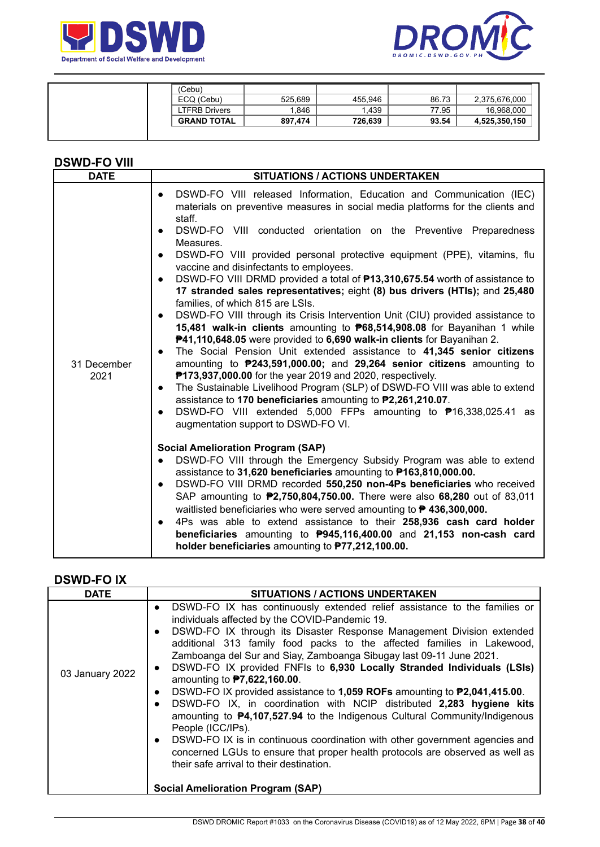



| (Cebu)             |         |         |       |               |
|--------------------|---------|---------|-------|---------------|
| ECQ (Cebu)         | 525,689 | 455.946 | 86.73 | 2,375,676,000 |
| LTFRB Drivers      | 1.846   | .439    | 77.95 | 16,968,000    |
| <b>GRAND TOTAL</b> | 897.474 | 726.639 | 93.54 | 4,525,350,150 |
|                    |         |         |       |               |

### **DSWD-FO VIII**

## **DSWD-FO IX**

| <b>DATE</b>     | SITUATIONS / ACTIONS UNDERTAKEN                                                                                                                                                                                                                                                                                                                                                                                                                                                                                                                                                                                                                                                                                                                                                                                                                                                                                                                                                                                                                                                   |
|-----------------|-----------------------------------------------------------------------------------------------------------------------------------------------------------------------------------------------------------------------------------------------------------------------------------------------------------------------------------------------------------------------------------------------------------------------------------------------------------------------------------------------------------------------------------------------------------------------------------------------------------------------------------------------------------------------------------------------------------------------------------------------------------------------------------------------------------------------------------------------------------------------------------------------------------------------------------------------------------------------------------------------------------------------------------------------------------------------------------|
| 03 January 2022 | DSWD-FO IX has continuously extended relief assistance to the families or<br>$\bullet$<br>individuals affected by the COVID-Pandemic 19.<br>DSWD-FO IX through its Disaster Response Management Division extended<br>$\bullet$<br>additional 313 family food packs to the affected families in Lakewood,<br>Zamboanga del Sur and Siay, Zamboanga Sibugay last 09-11 June 2021.<br>DSWD-FO IX provided FNFIs to 6,930 Locally Stranded Individuals (LSIs)<br>$\bullet$<br>amounting to <b>P7,622,160.00</b> .<br>DSWD-FO IX provided assistance to 1,059 ROFs amounting to P2,041,415.00.<br>$\bullet$<br>DSWD-FO IX, in coordination with NCIP distributed 2,283 hygiene kits<br>$\bullet$<br>amounting to $\mathbf{P4}$ , 107, 527.94 to the Indigenous Cultural Community/Indigenous<br>People (ICC/IPs).<br>DSWD-FO IX is in continuous coordination with other government agencies and<br>$\bullet$<br>concerned LGUs to ensure that proper health protocols are observed as well as<br>their safe arrival to their destination.<br><b>Social Amelioration Program (SAP)</b> |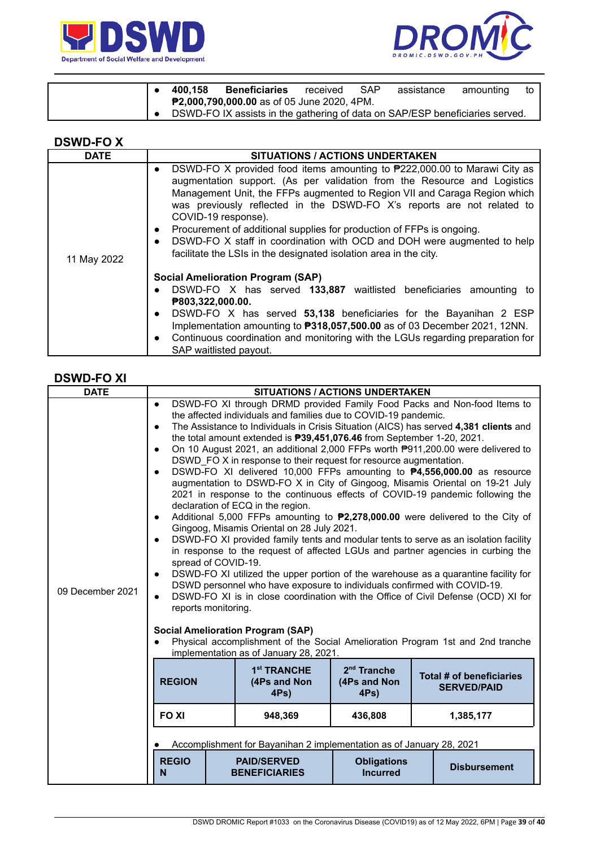



|  | 400.158 | <b>Beneficiaries</b>                                                         | received | <b>SAP</b> | assistance | amounting | to I |
|--|---------|------------------------------------------------------------------------------|----------|------------|------------|-----------|------|
|  |         | <b>P2,000,790,000.00</b> as of 05 June 2020, 4PM.                            |          |            |            |           |      |
|  |         | DSWD-FO IX assists in the gathering of data on SAP/ESP beneficiaries served. |          |            |            |           |      |

| n.<br>N<br>−<br>-<br>. . |  |
|--------------------------|--|
|--------------------------|--|

| <b>DATE</b> | <b>SITUATIONS / ACTIONS UNDERTAKEN</b>                                                                                                                                                                                                                                                                                                                                                                                                                                                                                                                                                               |
|-------------|------------------------------------------------------------------------------------------------------------------------------------------------------------------------------------------------------------------------------------------------------------------------------------------------------------------------------------------------------------------------------------------------------------------------------------------------------------------------------------------------------------------------------------------------------------------------------------------------------|
| 11 May 2022 | DSWD-FO X provided food items amounting to $P222,000.00$ to Marawi City as<br>$\bullet$<br>augmentation support. (As per validation from the Resource and Logistics<br>Management Unit, the FFPs augmented to Region VII and Caraga Region which<br>was previously reflected in the DSWD-FO X's reports are not related to<br>COVID-19 response).<br>Procurement of additional supplies for production of FFPs is ongoing.<br>$\bullet$<br>DSWD-FO X staff in coordination with OCD and DOH were augmented to help<br>$\bullet$<br>facilitate the LSIs in the designated isolation area in the city. |
|             | <b>Social Amelioration Program (SAP)</b><br>DSWD-FO X has served 133,887 waitlisted beneficiaries amounting to<br>$\bullet$<br>P803,322,000.00.<br>DSWD-FO X has served 53,138 beneficiaries for the Bayanihan 2 ESP<br>$\bullet$<br>Implementation amounting to <b>P318,057,500.00</b> as of 03 December 2021, 12NN.<br>Continuous coordination and monitoring with the LGUs regarding preparation for<br>$\bullet$<br>SAP waitlisted payout.                                                                                                                                                       |

## **DSWD-FO XI**

| <b>DATE</b>      |                                                                                                                                                                                                             |                                                                                                                                                                                                                                                                                                                                                                                                                                | <b>SITUATIONS / ACTIONS UNDERTAKEN</b> |                                                                                                                                                                                                                                                                                                                                                                                                                                                                                                                                                                                                                                                                                                                                                                                                                                                                                                                                                                                                                                           |
|------------------|-------------------------------------------------------------------------------------------------------------------------------------------------------------------------------------------------------------|--------------------------------------------------------------------------------------------------------------------------------------------------------------------------------------------------------------------------------------------------------------------------------------------------------------------------------------------------------------------------------------------------------------------------------|----------------------------------------|-------------------------------------------------------------------------------------------------------------------------------------------------------------------------------------------------------------------------------------------------------------------------------------------------------------------------------------------------------------------------------------------------------------------------------------------------------------------------------------------------------------------------------------------------------------------------------------------------------------------------------------------------------------------------------------------------------------------------------------------------------------------------------------------------------------------------------------------------------------------------------------------------------------------------------------------------------------------------------------------------------------------------------------------|
| 09 December 2021 | $\bullet$<br>$\bullet$<br>$\bullet$<br>$\bullet$<br>$\bullet$<br>$\bullet$<br>spread of COVID-19.<br>$\bullet$<br>$\bullet$<br>reports monitoring.<br><b>Social Amelioration Program (SAP)</b><br>$\bullet$ | the affected individuals and families due to COVID-19 pandemic.<br>the total amount extended is <b>P39,451,076.46</b> from September 1-20, 2021.<br>DSWD FO X in response to their request for resource augmentation.<br>declaration of ECQ in the region.<br>Gingoog, Misamis Oriental on 28 July 2021.<br>DSWD personnel who have exposure to individuals confirmed with COVID-19.<br>implementation as of January 28, 2021. |                                        | DSWD-FO XI through DRMD provided Family Food Packs and Non-food Items to<br>The Assistance to Individuals in Crisis Situation (AICS) has served 4,381 clients and<br>On 10 August 2021, an additional 2,000 FFPs worth P911,200.00 were delivered to<br>DSWD-FO XI delivered 10,000 FFPs amounting to <b>P4,556,000.00</b> as resource<br>augmentation to DSWD-FO X in City of Gingoog, Misamis Oriental on 19-21 July<br>2021 in response to the continuous effects of COVID-19 pandemic following the<br>Additional 5,000 FFPs amounting to <b>P2,278,000.00</b> were delivered to the City of<br>DSWD-FO XI provided family tents and modular tents to serve as an isolation facility<br>in response to the request of affected LGUs and partner agencies in curbing the<br>DSWD-FO XI utilized the upper portion of the warehouse as a quarantine facility for<br>DSWD-FO XI is in close coordination with the Office of Civil Defense (OCD) XI for<br>Physical accomplishment of the Social Amelioration Program 1st and 2nd tranche |
|                  | <b>REGION</b>                                                                                                                                                                                               | 1 <sup>st</sup> TRANCHE<br>(4Ps and Non<br>$4Ps$ )                                                                                                                                                                                                                                                                                                                                                                             | $2nd$ Tranche<br>(4Ps and Non<br>4Ps)  | Total # of beneficiaries<br><b>SERVED/PAID</b>                                                                                                                                                                                                                                                                                                                                                                                                                                                                                                                                                                                                                                                                                                                                                                                                                                                                                                                                                                                            |
|                  | <b>FO XI</b>                                                                                                                                                                                                | 948,369                                                                                                                                                                                                                                                                                                                                                                                                                        | 436,808                                | 1,385,177                                                                                                                                                                                                                                                                                                                                                                                                                                                                                                                                                                                                                                                                                                                                                                                                                                                                                                                                                                                                                                 |
|                  | Accomplishment for Bayanihan 2 implementation as of January 28, 2021                                                                                                                                        |                                                                                                                                                                                                                                                                                                                                                                                                                                |                                        |                                                                                                                                                                                                                                                                                                                                                                                                                                                                                                                                                                                                                                                                                                                                                                                                                                                                                                                                                                                                                                           |
|                  | <b>REGIO</b><br>N                                                                                                                                                                                           | <b>PAID/SERVED</b><br><b>BENEFICIARIES</b>                                                                                                                                                                                                                                                                                                                                                                                     | <b>Obligations</b><br><b>Incurred</b>  | <b>Disbursement</b>                                                                                                                                                                                                                                                                                                                                                                                                                                                                                                                                                                                                                                                                                                                                                                                                                                                                                                                                                                                                                       |